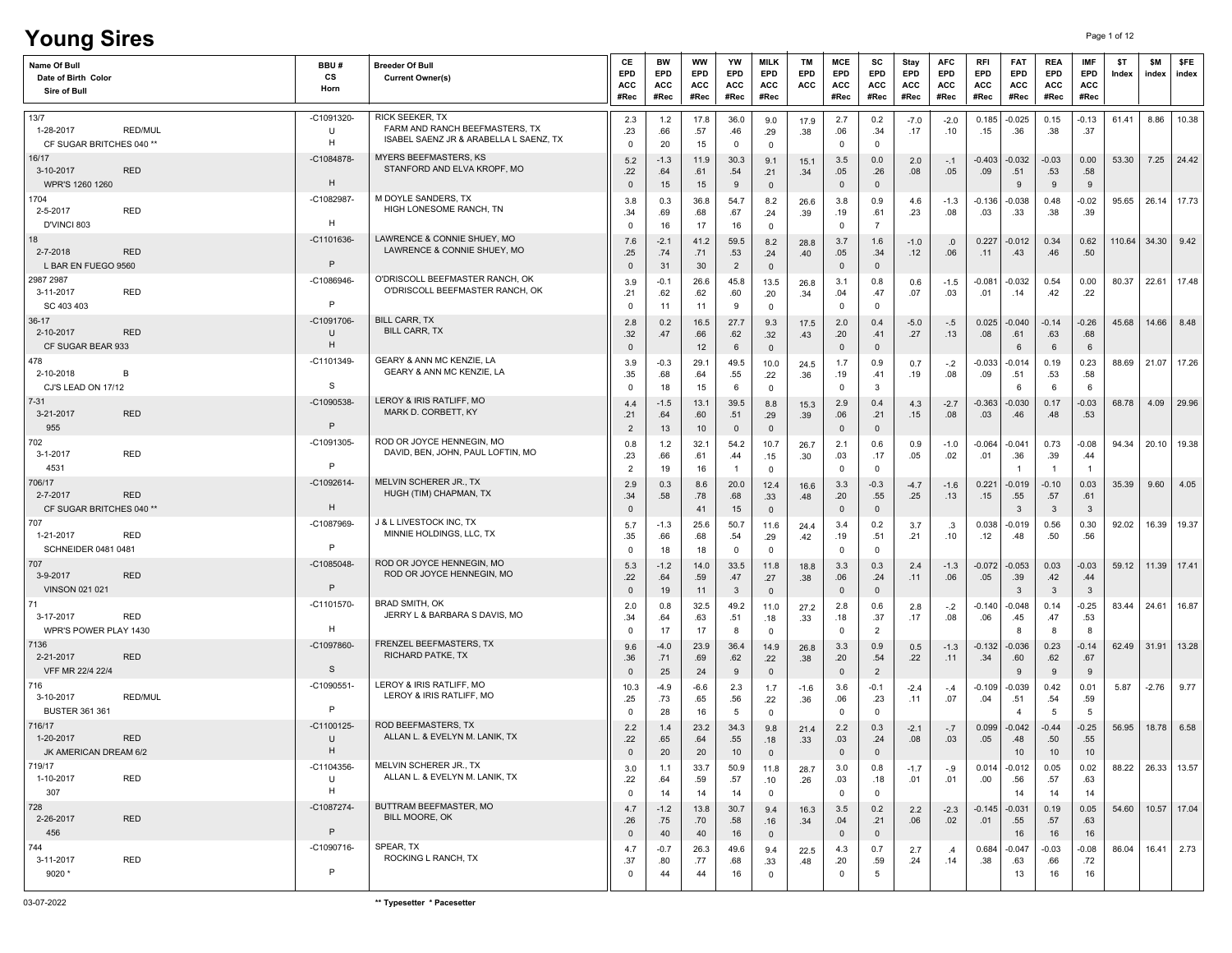| CE<br><b>MILK</b><br>MCE<br><b>AFC</b><br>BW<br>WW<br>YW<br>ТM<br>SC<br>Stay<br>Name Of Bull<br>BBU#<br><b>Breeder Of Bull</b><br>EPD<br>EPD<br>EPD<br>EPD<br>EPD<br>EPD<br>EPD<br>EPD<br>EPD<br>EPD<br>CS<br>Date of Birth Color<br><b>Current Owner(s)</b><br><b>ACC</b><br>ACC<br>ACC<br>ACC<br>ACC<br>ACC<br>ACC<br>ACC<br>ACC<br>ACC<br>Horn<br>Sire of Bull                                                                   | RFI<br><b>FAT</b><br>EPD<br>EPD<br>ACC<br>ACC        |      |  |                                  |                                         |              |              |                       |
|-------------------------------------------------------------------------------------------------------------------------------------------------------------------------------------------------------------------------------------------------------------------------------------------------------------------------------------------------------------------------------------------------------------------------------------|------------------------------------------------------|------|--|----------------------------------|-----------------------------------------|--------------|--------------|-----------------------|
| #Rec<br>#Rec<br>#Rec<br>#Rec<br>#Rec<br>#Rec<br>#Rec<br>#Rec<br>#Rec                                                                                                                                                                                                                                                                                                                                                                | #Rec                                                 | #Rec |  | <b>REA</b><br>EPD<br>ACC<br>#Rec | <b>IMF</b><br>EPD<br><b>ACC</b><br>#Rec | \$T<br>Index | \$M<br>index | <b>SFE</b><br>index   |
| RICK SEEKER, TX<br>-C1091320<br>13/7<br>2.3<br>$1.2$<br>17.8<br>36.0<br>2.7<br>0.2<br>9.0<br>17.9<br>$-7.0$<br>$-2.0$<br>FARM AND RANCH BEEFMASTERS, TX<br><b>RED/MUL</b><br>1-28-2017<br>U<br>.23<br>.66<br>.57<br>.06<br>.46<br>.38<br>.34<br>.17<br>.10<br>.29<br>ISABEL SAENZ JR & ARABELLA L SAENZ, TX<br>H<br>CF SUGAR BRITCHES 040 **<br>$\mathbf 0$<br>20<br>15<br>$\mathbf 0$<br>$\mathbf 0$<br>$\mathbf 0$<br>$\mathbf 0$ | $-0.025$<br>0.185<br>.36<br>.15                      |      |  | 0.15<br>.38                      | $-0.13$<br>.37                          | 61.41        | 8.86         | 10.38                 |
| <b>MYERS BEEFMASTERS, KS</b><br>16/17<br>-C1084878<br>5.2<br>11.9<br>30.3<br>3.5<br>0.0<br>$-1.3$<br>9.1<br>2.0<br>15.1<br>$-.1$<br>STANFORD AND ELVA KROPF, MO<br>3-10-2017<br><b>RED</b><br>.22<br>.26<br>.64<br>.61<br>.54<br>.21<br>.05<br>.08<br>.05<br>.34<br>H<br>$\mathbb O$<br>WPR'S 1260 1260<br>$\mathbf{0}$<br>15<br>15<br>9<br>$\mathbf{0}$<br>$\overline{\mathbf{0}}$                                                 | $-0.403$<br>$-0.032$<br>.09<br>.51<br>-9             |      |  | $-0.03$<br>.53<br>9              | 0.00<br>.58<br>9                        | 53.30        | 7.25         | 24.42                 |
| M DOYLE SANDERS, TX<br>1704<br>$-C1082987$<br>36.8<br>54.7<br>3.8<br>0.9<br>0.3<br>8.2<br>3.8<br>26.6<br>4.6<br>$-1.3$<br>HIGH LONESOME RANCH, TN<br><b>RED</b><br>2-5-2017<br>.34<br>.69<br>.61<br>.23<br>.08<br>.68<br>.67<br>.19<br>.24<br>.39<br>H<br>D'VINCI 803<br>17<br>$\overline{7}$<br>$\Omega$<br>16<br>16<br>$\mathbf{0}$<br>$\mathbf 0$                                                                                | $-0.136$<br>$-0.038$<br>.03<br>.33                   |      |  | 0.48<br>.38                      | $-0.02$<br>.39                          | 95.65        |              | 26.14 17.73           |
| 18<br>LAWRENCE & CONNIE SHUEY, MO<br>-C1101636-<br>7.6<br>$-2.1$<br>41.2<br>59.5<br>3.7<br>8.2<br>28.8<br>1.6<br>$-1.0$<br>.0<br>LAWRENCE & CONNIE SHUEY, MO<br>2-7-2018<br><b>RED</b><br>.25<br>.74<br>.53<br>.05<br>.34<br>.12<br>.06<br>.71<br>.24<br>.40<br>P<br>$\overline{2}$<br>$\mathbf 0$<br>$\mathbb O$<br>L BAR EN FUEGO 9560<br>$\mathbf{0}$<br>31<br>30<br>$\overline{\mathbf{0}}$                                     | 0.227<br>$-0.012$<br>.43<br>.11                      |      |  | 0.34<br>.46                      | 0.62<br>.50                             | 110.64       | 34.30        | 9.42                  |
| O'DRISCOLL BEEFMASTER RANCH, OK<br>2987 2987<br>$-C1086946$<br>$-0.1$<br>26.6<br>45.8<br>13.5<br>3.1<br>0.8<br>3.9<br>0.6<br>$-1.5$<br>26.8<br>O'DRISCOLL BEEFMASTER RANCH, OK<br>3-11-2017<br><b>RED</b><br>.21<br>.62<br>.62<br>.60<br>.20<br>.04<br>.47<br>.07<br>.03<br>.34<br>P<br>SC 403 403<br>11<br>11<br>9<br>$\mathbf{0}$<br>$\mathbf 0$<br>$^{\circ}$<br>$\mathbf{0}$                                                    | $-0.081$<br>$-0.032$<br>.01<br>.14                   |      |  | 0.54<br>.42                      | 0.00<br>.22                             | 80.37        | 22.61        | 17.48                 |
| <b>BILL CARR, TX</b><br>36-17<br>-C1091706<br>2.8<br>16.5<br>27.7<br>2.0<br>0.4<br>0.2<br>9.3<br>$-5.0$<br>17.5<br>$-.5$<br><b>BILL CARR, TX</b><br><b>RED</b><br>2-10-2017<br>U<br>.32<br>.62<br>.47<br>.66<br>.20<br>.41<br>.27<br>.13<br>.32<br>.43<br>H<br>CF SUGAR BEAR 933<br>$\mathbb O$<br>$\mathbf 0$<br>12<br>6<br>$\mathbf 0$<br>$\mathsf 0$                                                                             | $-0.040$<br>0.025<br>.08<br>.61<br>6                 |      |  | $-0.14$<br>.63<br>6              | $-0.26$<br>.68<br>6                     | 45.68        | 14.66        | 8.48                  |
| GEARY & ANN MC KENZIE. LA<br>478<br>-C1101349<br>$-0.3$<br>29.1<br>49.5<br>3.9<br>10.0<br>1.7<br>0.9<br>0.7<br>$-.2$<br>24.5<br>GEARY & ANN MC KENZIE, LA<br>2-10-2018<br>B<br>.35<br>.68<br>.64<br>.55<br>.36<br>.19<br>.19<br>.08<br>.22<br>.41<br>-S<br>CJ'S LEAD ON 17/12<br>$\mathbf{3}$<br>18<br>15<br>6<br>$\mathbf 0$<br>0<br>$\mathbf 0$                                                                                   | $-0.033$<br>$-0.014$<br>.09<br>.51<br>- 6            |      |  | 0.19<br>.53<br>6                 | 0.23<br>.58<br>-6                       | 88.69        | 21.07        | 17.26                 |
| LEROY & IRIS RATLIFF, MO<br>$7 - 31$<br>-C1090538<br>4.4<br>13.1<br>39.5<br>2.9<br>0.4<br>$-1.5$<br>8.8<br>4.3<br>15.3<br>$-2.7$<br>MARK D. CORBETT, KY<br>3-21-2017<br><b>RED</b><br>.21<br>.51<br>.06<br>.21<br>.64<br>.60<br>.39<br>.15<br>.08<br>.29<br>P<br>955<br>$\overline{2}$<br>13<br>10<br>$\mathbf{0}$<br>$\mathbf 0$<br>$\mathbf{0}$<br>$\overline{0}$                                                                 | $-0.030$<br>-0.363<br>.46<br>.03                     |      |  | 0.17<br>.48                      | $-0.03$<br>.53                          | 68.78        | 4.09         | 29.96                 |
| ROD OR JOYCE HENNEGIN, MO<br>702<br>-C1091305-<br>32.1<br>54.2<br>2.1<br>0.6<br>0.8<br>$1.2$<br>10.7<br>0.9<br>$-1.0$<br>26.7<br>DAVID, BEN, JOHN, PAUL LOFTIN, MO<br><b>RED</b><br>3-1-2017<br>.23<br>.66<br>.61<br>.17<br>.05<br>.02<br>.44<br>.15<br>.30<br>.03<br>P<br>4531<br>$\mathbf 0$<br>$\mathbf 0$<br>$\overline{2}$<br>19<br>16<br>$\overline{1}$<br>$\mathbf 0$                                                        | $-0.064$<br>$-0.041$<br>.01<br>.36                   |      |  | 0.73<br>.39<br>$\overline{1}$    | $-0.08$<br>.44<br>$\mathbf{1}$          | 94.34        | 20.10        | 19.38                 |
| MELVIN SCHERER JR., TX<br>-C1092614-<br>706/17<br>20.0<br>3.3<br>$-0.3$<br>2.9<br>0.3<br>8.6<br>12.4<br>16.6<br>$-4.7$<br>$-1.6$<br>HUGH (TIM) CHAPMAN, TX<br>2-7-2017<br><b>RED</b><br>.34<br>.58<br>.78<br>.68<br>.20<br>.55<br>.25<br>.13<br>.33<br>.48<br>H<br>CF SUGAR BRITCHES 040 **<br>$\mathbf{0}$<br>$\mathbb O$<br>41<br>15<br>$\mathbf{0}$<br>$\overline{\mathbf{0}}$                                                   | $-0.019$<br>0.221<br>.55<br>.15<br>3                 |      |  | $-0.10$<br>.57<br>$\mathbf{3}$   | 0.03<br>.61<br>$\mathbf{3}$             | 35.39        | 9.60         | 4.05                  |
| <b>J &amp; L LIVESTOCK INC, TX</b><br>707<br>-C1087969-<br>0.2<br>5.7<br>$-1.3$<br>25.6<br>50.7<br>11.6<br>3.4<br>3.7<br>.3<br>24.4<br>MINNIE HOLDINGS, LLC, TX<br>1-21-2017<br><b>RED</b><br>.35<br>.66<br>.68<br>.54<br>.19<br>.51<br>.21<br>.10<br>.29<br>.42<br>P<br>SCHNEIDER 0481 0481<br>$\mathbf 0$<br>$\Omega$<br>18<br>18<br>$\mathbf 0$<br>$\mathbf 0$<br>$\mathbf{0}$                                                   | 0.038<br>-0.019<br>.48<br>.12                        |      |  | 0.56<br>.50                      | 0.30<br>.56                             | 92.02        | 16.39        | 19.37                 |
| ROD OR JOYCE HENNEGIN, MO<br>$-C1085048-$<br>707<br>$-1.2$<br>14.0<br>33.5<br>3.3<br>0.3<br>5.3<br>11.8<br>18.8<br>2.4<br>$-1.3$<br>ROD OR JOYCE HENNEGIN, MO<br><b>RED</b><br>3-9-2017<br>.22<br>.64<br>.59<br>.06<br>.24<br>.06<br>.47<br>.11<br>.27<br>.38<br>P<br><b>VINSON 021 021</b><br>$\mathbf{3}$<br>$\mathbb O$<br>$\mathbf{0}$<br>19<br>11<br>$\mathbf 0$<br>$\overline{\mathbf{0}}$                                    | $-0.053$<br>-0.072<br>.05<br>.39<br>$\mathbf{3}$     |      |  | 0.03<br>.42<br>$\mathbf{3}$      | $-0.03$<br>.44<br>$\mathbf{3}$          | 59.12        | 11.39        | 17.41                 |
| <b>BRAD SMITH, OK</b><br>-C1101570<br>71<br>32.5<br>49.2<br>2.8<br>0.8<br>11.0<br>0.6<br>2.0<br>2.8<br>$-.2$<br>27.2<br>JERRY L & BARBARA S DAVIS, MO<br>3-17-2017<br><b>RED</b><br>.34<br>.64<br>.63<br>.51<br>.18<br>.33<br>.18<br>.37<br>.17<br>.08<br>H<br>WPR'S POWER PLAY 1430<br>17<br>17<br>$\overline{2}$<br>8<br>$\mathbf{0}$<br>$^{\circ}$<br>$\mathbf 0$                                                                | $-0.140$<br>$-0.048$<br>.06<br>.45<br>8              |      |  | 0.14<br>.47<br>8                 | $-0.25$<br>.53<br>8                     | 83.44        | 24.61        | 16.87                 |
| FRENZEL BEEFMASTERS, TX<br>-C1097860-<br>7136<br>23.9<br>3.3<br>0.9<br>$-4.0$<br>36.4<br>9.6<br>14.9<br>26.8<br>0.5<br>$-1.3$<br><b>RICHARD PATKE, TX</b><br>2-21-2017<br><b>RED</b><br>.36<br>.62<br>.20<br>.54<br>.22<br>.71<br>.69<br>.11<br>.22<br>.38<br>S<br>VFF MR 22/4 22/4<br>$\overline{2}$<br>25<br>24<br>9<br>$\overline{0}$<br>$\mathbf 0$<br>$\Omega$                                                                 | $-0.132$<br>$-0.036$<br>.34<br>.60<br>9              |      |  | 0.23<br>.62<br>9                 | $-0.14$<br>.67<br>9                     | 62.49        |              | 31.91   13.28         |
| LEROY & IRIS RATLIFF, MO<br>716<br>$-C1090551$<br>10.3<br>2.3<br>3.6<br>$-0.1$<br>$-4.9$<br>$-6.6$<br>1.7<br>$-2.4$<br>$-1.6$<br>$-.4$<br>LEROY & IRIS RATLIFF, MO<br><b>RED/MUL</b><br>3-10-2017<br>.25<br>.73<br>.65<br>.56<br>.06<br>.23<br>.07<br>.22<br>.36<br>.11<br>P<br><b>BUSTER 361 361</b><br>28<br>16<br>5<br>$\mathbf 0$<br>$\mathbf 0$<br>$\mathbf 0$<br>$\mathbf 0$                                                  | $-0.039$<br>$-0.109$<br>.04<br>.51<br>$\overline{4}$ |      |  | 0.42<br>.54<br>5                 | 0.01<br>.59<br>5                        | 5.87         | $-2.76$      | 9.77                  |
| ROD BEEFMASTERS, TX<br>716/17<br>-C1100125-<br>2.2<br>1.4<br>23.2<br>34.3<br>2.2<br>0.3<br>9.8<br>21.4<br>$-2.1$<br>$-.7$<br>ALLAN L. & EVELYN M. LANIK, TX<br>1-20-2017<br><b>RED</b><br>.22<br>U<br>.65<br>.64<br>.55<br>.03<br>.24<br>.08<br>.03<br>.18<br>.33<br>H<br>JK AMERICAN DREAM 6/2<br>$\mathbf{0}$<br>$\mathbf{0}$<br>$\mathbf 0$<br>20<br>20<br>10<br>$\overline{0}$                                                  | 0.099<br>$-0.042$<br>.05<br>.48<br>10 <sup>1</sup>   |      |  | $-0.44$<br>.50<br>10             | $-0.25$<br>.55<br>10                    |              |              | 56.95   18.78   6.58  |
| MELVIN SCHERER JR., TX<br>719/17<br>$-C1104356$ -<br>3.0<br>33.7<br>1.1<br>50.9<br>11.8<br>3.0<br>0.8<br>$-1.7$<br>$-.9$<br>28.7<br>ALLAN L. & EVELYN M. LANIK, TX<br>1-10-2017<br>RED<br>U<br>.22<br>.64<br>.59<br>.57<br>.10<br>.26<br>.03<br>.18<br>.01<br>.01<br>H<br>307<br>$^{\circ}$<br>14<br>14<br>14<br>$\mathbf 0$<br>$^{\circ}$<br>$\mathbf 0$                                                                           | 0.014<br>-0.012<br>.00.<br>.56<br>14                 |      |  | 0.05<br>.57<br>14                | 0.02<br>.63<br>14                       |              |              | 88.22   26.33   13.57 |
| BUTTRAM BEEFMASTER, MO<br>728<br>-C1087274-<br>4.7<br>$-1.2$<br>13.8<br>30.7<br>3.5<br>0.2<br>9.4<br>2.2<br>$-2.3$<br>16.3<br>BILL MOORE, OK<br>2-26-2017<br><b>RED</b><br>.21<br>.26<br>.75<br>.70<br>.58<br>.04<br>.06<br>.02<br>.16<br>.34<br>P<br>456<br>40<br>16<br>$\mathbf 0$<br>$\mathbf{0}$<br>40<br>$\overline{0}$<br>$\overline{0}$                                                                                      | $-0.145$<br>$-0.031$<br>.01<br>.55<br>16             |      |  | 0.19<br>.57<br>16                | 0.05<br>.63<br>16                       | 54.60        |              | 10.57 17.04           |
| SPEAR, TX<br>744<br>-C1090716-<br>4.7<br>$-0.7$<br>26.3<br>49.6<br>4.3<br>0.7<br>9.4<br>22.5<br>2.7<br>.4<br>ROCKING L RANCH, TX<br>RED<br>3-11-2017<br>.37<br>.59<br>.80<br>.77<br>.68<br>.20<br>.24<br>.14<br>.33<br>.48<br>P<br>5<br>9020 *<br>44<br>16<br>$\mathbf 0$<br>44<br>$\mathbf 0$<br>$\mathbf{0}$                                                                                                                      | $-0.047$<br>0.684<br>.38<br>.63<br>13                |      |  | $-0.03$<br>.66<br>16             | $-0.08$<br>.72<br>16                    | 86.04        |              | $16.41$ 2.73          |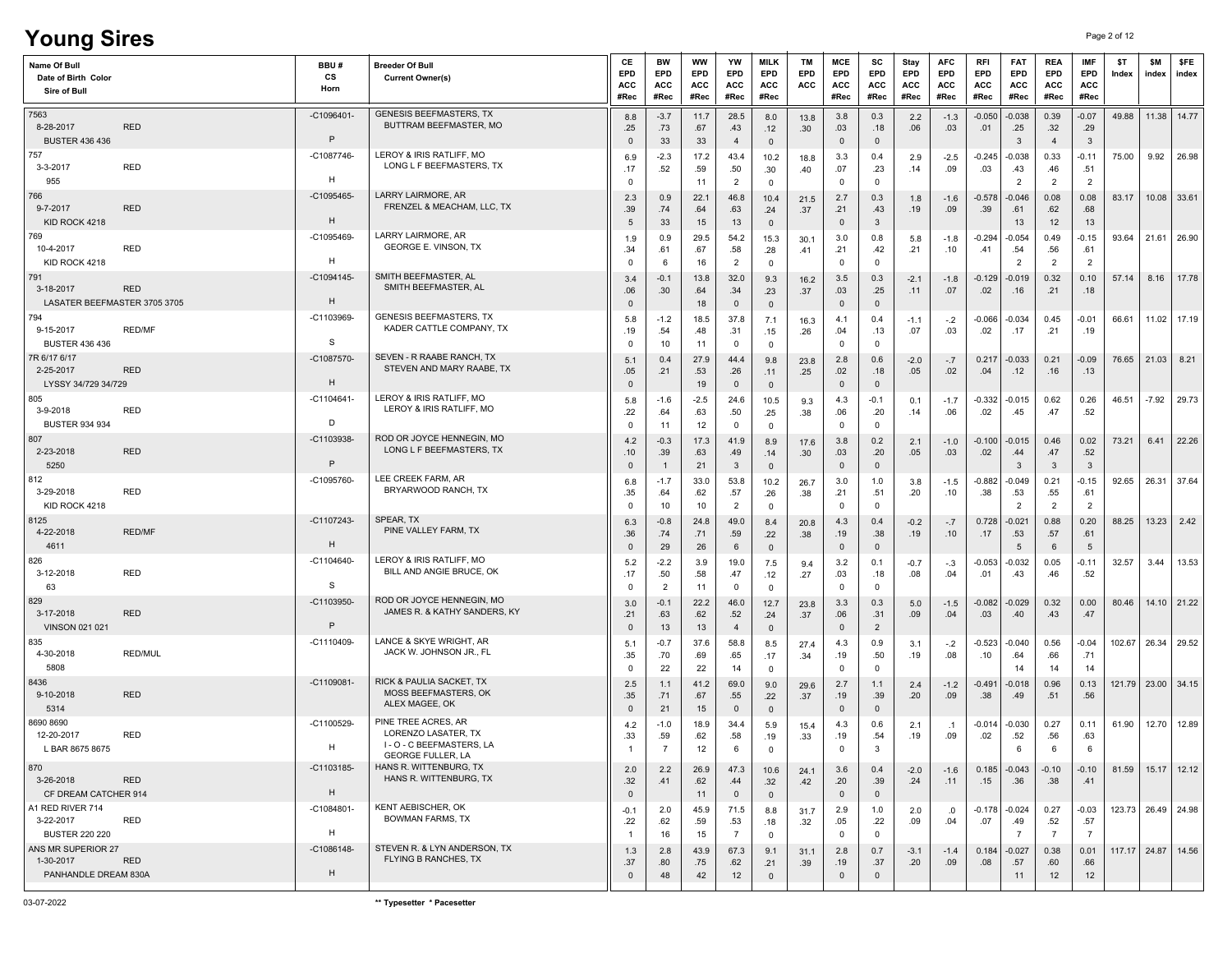# **Young Sires** Page 2 of 12

| Name Of Bull<br>Date of Birth Color<br>Sire of Bull                   | BBU#<br>cs<br>Horn | <b>Breeder Of Bull</b><br><b>Current Owner(s)</b>                                                   | CE<br>EPD<br><b>ACC</b><br>#Rec | BW<br>EPD<br><b>ACC</b><br>#Rec | <b>WW</b><br>EPD<br>ACC<br>#Rec | YW<br>EPD<br><b>ACC</b><br>#Rec | <b>MILK</b><br><b>EPD</b><br><b>ACC</b><br>#Rec | <b>TM</b><br>EPD<br>ACC  | MCE<br>EPD<br>ACC<br>#Rec    | SC<br>EPD<br><b>ACC</b><br>#Rec | Stay<br><b>EPD</b><br><b>ACC</b><br>#Rec | <b>AFC</b><br>EPD<br>ACC<br>#Rec | <b>RFI</b><br>EPD<br><b>ACC</b><br>#Rec | <b>FAT</b><br>EPD<br>ACC<br>#Rec  | <b>REA</b><br>EPD<br><b>ACC</b><br>#Rec | <b>IMF</b><br><b>EPD</b><br>ACC<br>#Rec | \$T<br>Index | \$M<br>index | \$FE<br>index          |
|-----------------------------------------------------------------------|--------------------|-----------------------------------------------------------------------------------------------------|---------------------------------|---------------------------------|---------------------------------|---------------------------------|-------------------------------------------------|--------------------------|------------------------------|---------------------------------|------------------------------------------|----------------------------------|-----------------------------------------|-----------------------------------|-----------------------------------------|-----------------------------------------|--------------|--------------|------------------------|
| 7563<br>8-28-2017<br><b>RED</b><br><b>BUSTER 436 436</b>              | $-C1096401$<br>P   | <b>GENESIS BEEFMASTERS, TX</b><br>BUTTRAM BEEFMASTER, MO                                            | 8.8<br>.25<br>$\mathbf 0$       | $-3.7$<br>.73<br>33             | 11.7<br>.67<br>33               | 28.5<br>.43<br>$\overline{4}$   | 8.0<br>.12<br>$\overline{\mathbf{0}}$           | 13.8<br>.30 <sub>1</sub> | 3.8<br>.03<br>$\overline{0}$ | 0.3<br>.18<br>$\mathbf{0}$      | 2.2<br>.06                               | $-1.3$<br>.03                    | -0.050<br>.01                           | $-0.038$<br>.25<br>3              | 0.39<br>.32<br>4                        | $-0.07$<br>.29<br>$\mathbf{3}$          | 49.88        |              | 11.38 14.77            |
| 757<br>RED<br>3-3-2017<br>955                                         | -C1087746-<br>н    | LEROY & IRIS RATLIFF, MO<br>LONG L F BEEFMASTERS, TX                                                | 6.9<br>.17<br>0                 | $-2.3$<br>.52                   | 17.2<br>.59<br>11               | 43.4<br>.50<br>$\overline{2}$   | 10.2<br>.30<br>$\overline{0}$                   | 18.8<br>.40              | 3.3<br>.07<br>$\mathbf 0$    | 0.4<br>.23<br>$\mathbf 0$       | 2.9<br>.14                               | $-2.5$<br>.09                    | $-0.245$<br>.03                         | $-0.038$<br>.43<br>$\overline{2}$ | 0.33<br>.46<br>2                        | $-0.11$<br>.51<br>$\overline{2}$        | 75.00        | 9.92         | 26.98                  |
| 766<br>9-7-2017<br><b>RED</b><br>KID ROCK 4218                        | -C1095465-<br>H    | LARRY LAIRMORE, AR<br>FRENZEL & MEACHAM, LLC, TX                                                    | 2.3<br>.39<br>5                 | 0.9<br>.74<br>33                | 22.1<br>.64<br>15               | 46.8<br>.63<br>13               | 10.4<br>.24<br>$\overline{\mathbf{0}}$          | 21.5<br>.37              | 2.7<br>.21<br>$\mathbf{0}$   | 0.3<br>.43<br>$\mathbf{3}$      | 1.8<br>.19                               | $-1.6$<br>.09                    | $-0.578$<br>.39                         | $-0.046$<br>.61<br>13             | 0.08<br>.62<br>12                       | 0.08<br>.68<br>13                       | 83.17        |              | 10.08 33.61            |
| 769<br>RED<br>10-4-2017<br>KID ROCK 4218                              | -C1095469-<br>H    | LARRY LAIRMORE, AR<br>GEORGE E. VINSON, TX                                                          | 1.9<br>.34<br>0                 | 0.9<br>.61<br>6                 | 29.5<br>.67<br>16               | 54.2<br>.58<br>$\overline{2}$   | 15.3<br>.28<br>$\overline{0}$                   | 30.1<br>.41              | 3.0<br>.21<br>$\mathbf 0$    | 0.8<br>.42<br>$\mathbf 0$       | 5.8<br>.21                               | $-1.8$<br>.10                    | -0.294<br>.41                           | -0.054<br>.54<br>$\overline{2}$   | 0.49<br>.56<br>2                        | $-0.15$<br>.61<br>$\overline{2}$        | 93.64        |              | 21.61 26.90            |
| 791<br>3-18-2017<br><b>RED</b><br>LASATER BEEFMASTER 3705 3705        | $-C1094145$<br>H   | SMITH BEEFMASTER, AL<br>SMITH BEEFMASTER, AL                                                        | 3.4<br>.06<br>$\mathbf{0}$      | $-0.1$<br>.30                   | 13.8<br>.64<br>18               | 32.0<br>.34<br>$\mathbf 0$      | 9.3<br>.23<br>$\mathbf 0$                       | 16.2<br>.37              | 3.5<br>.03<br>$\mathbf 0$    | 0.3<br>.25<br>$\mathbb O$       | $-2.1$<br>.11                            | $-1.8$<br>.07                    | -0.129<br>.02                           | $-0.019$<br>.16                   | 0.32<br>.21                             | 0.10<br>.18                             | 57.14        | 8.16         | 17.78                  |
| 794<br>9-15-2017<br><b>RED/MF</b><br><b>BUSTER 436 436</b>            | $-C1103969$<br>S   | <b>GENESIS BEEFMASTERS, TX</b><br>KADER CATTLE COMPANY, TX                                          | 5.8<br>.19<br>$\Omega$          | $-1.2$<br>.54<br>10             | 18.5<br>.48<br>11               | 37.8<br>.31<br>$\mathbf 0$      | 7.1<br>.15<br>$\overline{0}$                    | 16.3<br>.26              | 4.1<br>.04<br>$\mathbf 0$    | 0.4<br>.13<br>$^{\circ}$        | $-1.1$<br>.07                            | $-.2$<br>.03                     | -0.066<br>.02                           | $-0.034$<br>.17                   | 0.45<br>.21                             | $-0.01$<br>.19                          | 66.61        |              | 11.02 17.19            |
| 7R 6/17 6/17<br>2-25-2017<br>RED<br>LYSSY 34/729 34/729               | $-C1087570$<br>H   | SEVEN - R RAABE RANCH, TX<br>STEVEN AND MARY RAABE, TX                                              | 5.1<br>.05<br>$\mathbf{0}$      | 0.4<br>.21                      | 27.9<br>.53<br>19               | 44.4<br>.26<br>$\mathbf 0$      | 9.8<br>.11<br>$\overline{\mathbf{0}}$           | 23.8<br>.25              | 2.8<br>.02<br>$\mathsf 0$    | 0.6<br>.18<br>$\mathbb O$       | $-2.0$<br>.05                            | $-.7$<br>.02                     | 0.217<br>.04                            | $-0.033$<br>.12                   | 0.21<br>.16                             | $-0.09$<br>.13                          | 76.65        | 21.03        | 8.21                   |
| 805<br>RED<br>3-9-2018<br><b>BUSTER 934 934</b>                       | $-C1104641$<br>D   | LEROY & IRIS RATLIFF, MO<br>LEROY & IRIS RATLIFF, MO                                                | 5.8<br>.22<br>0                 | $-1.6$<br>.64<br>11             | $-2.5$<br>.63<br>12             | 24.6<br>.50<br>$\mathbf 0$      | 10.5<br>.25<br>$\overline{0}$                   | 9.3<br>.38               | 4.3<br>.06<br>$\mathbf{0}$   | $-0.1$<br>.20<br>$\mathbf 0$    | 0.1<br>.14                               | $-1.7$<br>.06                    | $-0.332$<br>.02                         | $-0.015$<br>.45                   | 0.62<br>.47                             | 0.26<br>.52                             | 46.51        | $-7.92$      | 29.73                  |
| 807<br>2-23-2018<br><b>RED</b><br>5250                                | $-C1103938$<br>P   | ROD OR JOYCE HENNEGIN, MO<br>LONG L F BEEFMASTERS, TX                                               | 4.2<br>.10<br>$\mathbf 0$       | $-0.3$<br>.39<br>-1             | 17.3<br>.63<br>21               | 41.9<br>.49<br>$\mathbf{3}$     | 8.9<br>.14<br>$\overline{\mathbf{0}}$           | 17.6<br>.30 <sub>1</sub> | 3.8<br>.03<br>$\mathbf{0}$   | 0.2<br>.20<br>$\mathbf 0$       | 2.1<br>.05                               | $-1.0$<br>.03                    | $-0.100$<br>.02                         | $-0.015$<br>.44<br>3              | 0.46<br>.47<br>$\overline{3}$           | 0.02<br>.52<br>$\overline{3}$           | 73.21        | 6.41         | 22.26                  |
| 812<br><b>RED</b><br>3-29-2018<br>KID ROCK 4218                       | -C1095760          | LEE CREEK FARM, AR<br>BRYARWOOD RANCH, TX                                                           | 6.8<br>.35<br>0                 | $-1.7$<br>.64<br>10             | 33.0<br>.62<br>10               | 53.8<br>.57<br>$\overline{2}$   | 10.2<br>.26<br>$\mathbf 0$                      | 26.7<br>.38              | 3.0<br>.21<br>$\mathbf 0$    | 1.0<br>.51<br>$\mathbf 0$       | 3.8<br>.20                               | $-1.5$<br>.10                    | -0.882<br>.38                           | $-0.049$<br>.53<br>$\overline{2}$ | 0.21<br>.55<br>$\overline{2}$           | $-0.15$<br>.61<br>$\overline{2}$        | 92.65        |              | 26.31 37.64            |
| 8125<br>4-22-2018<br><b>RED/MF</b><br>4611                            | -C1107243-<br>H    | SPEAR, TX<br>PINE VALLEY FARM, TX                                                                   | 6.3<br>.36<br>$\mathbf{0}$      | $-0.8$<br>.74<br>29             | 24.8<br>.71<br>26               | 49.0<br>.59<br>6                | 8.4<br>.22<br>$\overline{\mathbf{0}}$           | 20.8<br>.38              | 4.3<br>.19<br>$\mathbf{0}$   | 0.4<br>.38<br>$\mathbf{0}$      | $-0.2$<br>.19                            | $-.7$<br>.10                     | 0.728<br>.17                            | $-0.021$<br>.53<br>5              | 0.88<br>.57<br>6                        | 0.20<br>.61<br>5                        | 88.25        | 13.23        | 2.42                   |
| 826<br>3-12-2018<br>RED<br>63                                         | $-C1104640$<br>S   | LEROY & IRIS RATLIFF, MO<br>BILL AND ANGIE BRUCE, OK                                                | 5.2<br>.17<br>$\mathbf 0$       | $-2.2$<br>.50<br>$\overline{2}$ | 3.9<br>.58<br>11                | 19.0<br>.47<br>$\mathbf 0$      | 7.5<br>.12<br>$\mathbf 0$                       | 9.4<br>.27               | 3.2<br>.03<br>$\mathbf 0$    | 0.1<br>.18<br>$\mathbf 0$       | $-0.7$<br>.08                            | $-.3$<br>.04                     | -0.053<br>.01                           | $-0.032$<br>.43                   | 0.05<br>.46                             | $-0.11$<br>.52                          | 32.57        | 3.44         | 13.53                  |
| 829<br><b>RED</b><br>3-17-2018<br><b>VINSON 021 021</b>               | $-C1103950$<br>P   | ROD OR JOYCE HENNEGIN, MO<br>JAMES R. & KATHY SANDERS, KY                                           | 3.0<br>.21<br>$\mathbf{0}$      | $-0.1$<br>.63<br>13             | 22.2<br>.62<br>13               | 46.0<br>.52<br>$\overline{4}$   | 12.7<br>.24<br>$\overline{\mathbf{0}}$          | 23.8<br>.37              | 3.3<br>.06<br>$\mathbf{0}$   | 0.3<br>.31<br>$\overline{2}$    | 5.0<br>.09                               | $-1.5$<br>.04                    | $-0.082$<br>.03                         | $-0.029$<br>.40                   | 0.32<br>.43                             | 0.00<br>.47                             | 80.46        |              | 14.10 21.22            |
| 835<br>4-30-2018<br><b>RED/MUL</b><br>5808                            | $-C1110409$        | LANCE & SKYE WRIGHT, AR<br>JACK W. JOHNSON JR., FL                                                  | 5.1<br>.35<br>$\mathbf 0$       | $-0.7$<br>.70<br>22             | 37.6<br>.69<br>22               | 58.8<br>.65<br>14               | 8.5<br>.17<br>$\overline{\mathbf{0}}$           | 27.4<br>.34              | 4.3<br>.19<br>$\mathbf 0$    | 0.9<br>.50<br>$^{\circ}$        | 3.1<br>.19                               | $-.2$<br>.08                     | $-0.523$<br>.10                         | $-0.040$<br>.64<br>14             | 0.56<br>.66<br>14                       | $-0.04$<br>.71<br>14                    | 102.67       |              | 26.34 29.52            |
| 8436<br>9-10-2018<br><b>RED</b><br>5314                               | $-C1109081-$       | RICK & PAULIA SACKET, TX<br><b>MOSS BEEFMASTERS, OK</b><br>ALEX MAGEE, OK                           | 2.5<br>.35<br>$\mathbf{0}$      | 1.1<br>.71<br>21                | 41.2<br>.67<br>15               | 69.0<br>.55<br>0                | 9.0<br>.22<br>$\mathbf 0$                       | 29.6<br>.37              | 2.7<br>.19<br>$\mathbf{0}$   | 1.1<br>.39<br>$\mathbf 0$       | 2.4<br>.20                               | $-1.2$<br>.09                    | -0.491<br>.38                           | -0.018<br>.49                     | 0.96<br>.51                             | 0.13<br>.56                             |              |              | 121.79 23.00 34.15     |
| 8690 8690<br>RED<br>12-20-2017<br>L BAR 8675 8675                     | -C1100529-<br>H    | PINE TREE ACRES, AR<br>LORENZO LASATER, TX<br>I - O - C BEEFMASTERS, LA<br><b>GEORGE FULLER, LA</b> | 4.2<br>.33                      | $-1.0$<br>.59<br>$\overline{7}$ | 18.9<br>.62<br>12               | 34.4<br>.58<br>6                | 5.9<br>.19<br>$\Omega$                          | 15.4<br>.33              | 4.3<br>.19<br>$\Omega$       | 0.6<br>.54<br>$\mathcal{R}$     | 2.1<br>.19                               | $\cdot$ 1<br>.09                 | -0.014<br>.02                           | $-0.030$<br>.52<br>6              | 0.27<br>.56                             | 0.11<br>.63<br>6                        | 61.90        |              | 12.70 12.89            |
| 870<br>3-26-2018<br><b>RED</b><br>CF DREAM CATCHER 914                | -C1103185-<br>H    | HANS R. WITTENBURG, TX<br>HANS R. WITTENBURG, TX                                                    | 2.0<br>.32<br>$\mathbf 0$       | 2.2<br>.41                      | 26.9<br>.62<br>11               | 47.3<br>.44<br>$\overline{0}$   | 10.6<br>.32<br>$\overline{0}$                   | 24.1<br>.42              | 3.6<br>.20<br>$\overline{0}$ | 0.4<br>.39<br>$\mathbb O$       | $-2.0$<br>.24                            | $-1.6$<br>.11                    | 0.185<br>.15                            | $-0.043$<br>.36                   | $-0.10$<br>.38                          | $-0.10$<br>.41                          |              |              | 81.59   15.17   12.12  |
| A1 RED RIVER 714<br>3-22-2017<br>RED<br><b>BUSTER 220 220</b>         | $-C1084801-$<br>Н  | KENT AEBISCHER, OK<br><b>BOWMAN FARMS, TX</b>                                                       | $-0.1$<br>.22<br>$\mathbf{1}$   | 2.0<br>.62<br>16                | 45.9<br>.59<br>15               | 71.5<br>.53<br>$\overline{7}$   | 8.8<br>.18<br>$\mathbf 0$                       | 31.7<br>.32              | 2.9<br>.05<br>$\mathbf 0$    | 1.0<br>.22<br>$\mathbf 0$       | 2.0<br>.09                               | .0<br>.04                        | $-0.178$<br>.07                         | $-0.024$<br>.49<br>$\overline{7}$ | 0.27<br>.52<br>$\overline{7}$           | $-0.03$<br>.57<br>$\overline{7}$        |              |              | 123.73   26.49   24.98 |
| ANS MR SUPERIOR 27<br>1-30-2017<br><b>RED</b><br>PANHANDLE DREAM 830A | $-C1086148-$<br>H  | STEVEN R. & LYN ANDERSON, TX<br><b>FLYING B RANCHES. TX</b>                                         | 1.3<br>.37<br>$\mathbf{0}$      | 2.8<br>.80<br>48                | 43.9<br>.75<br>42               | 67.3<br>.62<br>12               | 9.1<br>.21<br>$\overline{0}$                    | 31.1<br>.39              | 2.8<br>.19<br>$\mathbf 0$    | 0.7<br>.37<br>$\mathbf{0}$      | $-3.1$<br>.20                            | $-1.4$<br>.09                    | 0.184<br>.08                            | $-0.027$<br>.57<br>11             | 0.38<br>.60<br>12                       | 0.01<br>.66<br>12                       |              |              | 117.17 24.87 14.56     |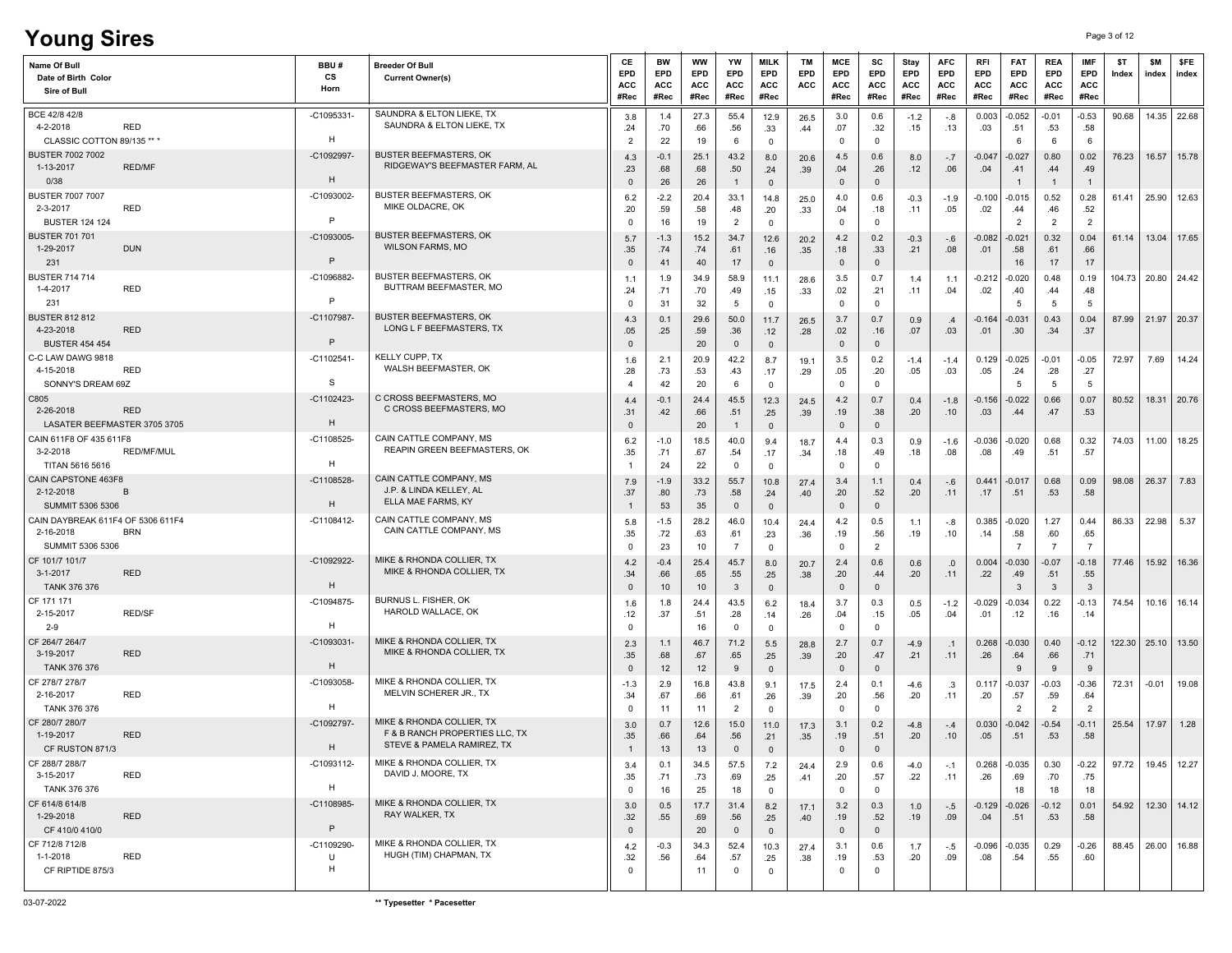# **Young Sires** Page 3 of 12

| Name Of Bull<br>Date of Birth Color<br>Sire of Bull                              | BBU#<br>CS<br>Horn         | <b>Breeder Of Bull</b><br><b>Current Owner(s)</b>                                         | CE<br>EPD<br>ACC<br>#Rec     | BW<br><b>EPD</b><br>ACC<br>#Rec | ww<br>EPD<br>ACC<br>#Rec | YW<br><b>EPD</b><br>ACC<br>#Rec | MILK<br>EPD<br>ACC<br>#Rec    | TM<br>EPD<br>ACC | MCE<br><b>EPD</b><br>ACC<br>#Rec | sc<br><b>EPD</b><br>ACC<br>#Rec | Stay<br>EPD<br>ACC<br>#Rec | <b>AFC</b><br>EPD<br>ACC<br>#Rec | RFI<br><b>EPD</b><br>ACC<br>#Rec | <b>FAT</b><br>EPD<br>ACC<br>#Rec  | <b>REA</b><br><b>EPD</b><br>ACC<br>#Rec | IMF<br>EPD<br>ACC<br>#Rec        | \$T<br>Index | \$M<br>index | \$FE<br>index         |
|----------------------------------------------------------------------------------|----------------------------|-------------------------------------------------------------------------------------------|------------------------------|---------------------------------|--------------------------|---------------------------------|-------------------------------|------------------|----------------------------------|---------------------------------|----------------------------|----------------------------------|----------------------------------|-----------------------------------|-----------------------------------------|----------------------------------|--------------|--------------|-----------------------|
| BCE 42/8 42/8<br><b>RED</b><br>4-2-2018<br>CLASSIC COTTON 89/135 ** *            | -C1095331<br>H             | SAUNDRA & ELTON LIEKE, TX<br>SAUNDRA & ELTON LIEKE, TX                                    | 3.8<br>.24<br>$\overline{2}$ | 1.4<br>.70<br>22                | 27.3<br>.66<br>19        | 55.4<br>.56<br>6                | 12.9<br>.33<br>$\mathbf 0$    | 26.5<br>.44      | 3.0<br>.07<br>0                  | 0.6<br>.32<br>$\Omega$          | $-1.2$<br>.15              | -.8<br>.13                       | 0.003<br>.03                     | $-0.052$<br>.51<br>6              | $-0.01$<br>.53<br>- 6                   | $-0.53$<br>.58<br>- 6            | 90.68        |              | 14.35 22.68           |
| <b>BUSTER 7002 7002</b><br><b>RED/MF</b><br>1-13-2017<br>0/38                    | -C1092997-<br>H            | <b>BUSTER BEEFMASTERS, OK</b><br>RIDGEWAY'S BEEFMASTER FARM. AL                           | 4.3<br>.23<br>$\mathbf{0}$   | $-0.1$<br>.68<br>26             | 25.1<br>.68<br>26        | 43.2<br>.50<br>$\overline{1}$   | 8.0<br>.24<br>$\mathbf{0}$    | 20.6<br>.39      | 4.5<br>.04<br>$\mathbf{0}$       | 0.6<br>.26<br>$\mathbf 0$       | 8.0<br>.12                 | $-.7$<br>.06                     | $-0.047$<br>.04                  | $-0.027$<br>.41                   | 0.80<br>.44<br>$\overline{1}$           | 0.02<br>.49<br>$\overline{1}$    | 76.23        | 16.57        | 15.78                 |
| <b>BUSTER 7007 7007</b><br>2-3-2017<br><b>RED</b><br><b>BUSTER 124 124</b>       | -C1093002-<br>$\mathsf{P}$ | <b>BUSTER BEEFMASTERS, OK</b><br>MIKE OLDACRE, OK                                         | 6.2<br>.20<br>$\mathbf 0$    | $-2.2$<br>.59<br>16             | 20.4<br>.58<br>19        | 33.1<br>.48<br>$\overline{2}$   | 14.8<br>.20<br>$\mathbf 0$    | 25.0<br>.33      | 4.0<br>.04<br>$\Omega$           | 0.6<br>.18<br>$^{\circ}$        | $-0.3$<br>.11              | $-1.9$<br>.05                    | $-0.100$<br>.02                  | -0.015<br>.44<br>$\overline{2}$   | 0.52<br>.46<br>$\overline{2}$           | 0.28<br>.52<br>$\overline{2}$    | 61.41        | 25.90        | 12.63                 |
| <b>BUSTER 701 701</b><br><b>DUN</b><br>1-29-2017<br>231                          | $-C1093005$<br>P           | <b>BUSTER BEEFMASTERS, OK</b><br><b>WILSON FARMS, MO</b>                                  | 5.7<br>.35<br>$\mathbf{0}$   | $-1.3$<br>.74<br>41             | 15.2<br>.74<br>40        | 34.7<br>.61<br>17               | 12.6<br>.16<br>$\overline{0}$ | 20.2<br>.35      | 4.2<br>.18<br>$\mathbf 0$        | 0.2<br>.33<br>$\mathbf 0$       | $-0.3$<br>.21              | -.6<br>.08                       | $-0.082$<br>.01                  | -0.021<br>.58<br>16               | 0.32<br>.61<br>17                       | 0.04<br>.66<br>17                | 61.14        |              | 13.04 17.65           |
| <b>BUSTER 714 714</b><br>1-4-2017<br><b>RED</b><br>231                           | -C1096882-<br>P            | <b>BUSTER BEEFMASTERS, OK</b><br>BUTTRAM BEEFMASTER, MO                                   | 1.1<br>.24<br>$\Omega$       | 1.9<br>.71<br>31                | 34.9<br>.70<br>32        | 58.9<br>.49<br>-5               | 11.1<br>.15<br>$\mathbf 0$    | 28.6<br>.33      | 3.5<br>.02<br>$\mathbf 0$        | 0.7<br>.21<br>0                 | 1.4<br>.11                 | 1.1<br>.04                       | $-0.212$<br>.02                  | $-0.020$<br>.40<br>5              | 0.48<br>.44<br>-5                       | 0.19<br>.48<br>-5                | 104.73       | 20.80        | 24.42                 |
| <b>BUSTER 812 812</b><br>4-23-2018<br><b>RED</b><br><b>BUSTER 454 454</b>        | -C1107987<br>P             | <b>BUSTER BEEFMASTERS, OK</b><br>LONG L F BEEFMASTERS, TX                                 | 4.3<br>.05<br>$\mathbf{0}$   | 0.1<br>.25                      | 29.6<br>.59<br>20        | 50.0<br>.36<br>$\mathbf{0}$     | 11.7<br>.12<br>$\mathbf 0$    | 26.5<br>.28      | 3.7<br>.02<br>$\mathbf{0}$       | 0.7<br>.16<br>$\mathbf{0}$      | 0.9<br>.07                 | .4<br>.03                        | $-0.164$<br>.01                  | 0.031<br>.30                      | 0.43<br>.34                             | 0.04<br>.37                      | 87.99        |              | 21.97 20.37           |
| C-C LAW DAWG 9818<br>4-15-2018<br><b>RED</b><br>SONNY'S DREAM 69Z                | $-C1102541$<br>S           | KELLY CUPP, TX<br>WALSH BEEFMASTER, OK                                                    | 1.6<br>.28                   | 2.1<br>.73<br>42                | 20.9<br>.53<br>20        | 42.2<br>.43<br>6                | 8.7<br>.17<br>$\mathbf 0$     | 19.1<br>.29      | 3.5<br>.05<br>0                  | 0.2<br>.20<br>$\mathbf 0$       | $-1.4$<br>.05              | $-1.4$<br>.03                    | 0.129<br>.05                     | $-0.025$<br>.24<br>5              | $-0.01$<br>.28<br>-5                    | $-0.05$<br>.27<br>-5             | 72.97        | 7.69         | 14.24                 |
| C805<br><b>RED</b><br>2-26-2018<br>LASATER BEEFMASTER 3705 3705                  | $-C1102423$<br>H           | C CROSS BEEFMASTERS, MO<br>C CROSS BEEFMASTERS, MO                                        | 4.4<br>.31<br>$\mathbf{0}$   | $-0.1$<br>.42                   | 24.4<br>.66<br>20        | 45.5<br>.51<br>$\overline{1}$   | 12.3<br>.25<br>$\mathsf 0$    | 24.5<br>.39      | 4.2<br>.19<br>$\mathbf 0$        | 0.7<br>.38<br>$\mathbf 0$       | 0.4<br>.20                 | $-1.8$<br>.10                    | $-0.156$<br>.03                  | $-0.022$<br>.44                   | 0.66<br>.47                             | 0.07<br>.53                      | 80.52        |              | 18.31 20.76           |
| CAIN 611F8 OF 435 611F8<br>3-2-2018<br>RED/MF/MUL<br>TITAN 5616 5616             | -C1108525<br>H             | CAIN CATTLE COMPANY, MS<br>REAPIN GREEN BEEFMASTERS, OK                                   | 6.2<br>.35<br>-1             | $-1.0$<br>.71<br>24             | 18.5<br>.67<br>22        | 40.0<br>.54<br>$\Omega$         | 9.4<br>.17<br>$\mathbf 0$     | 18.7<br>.34      | 4.4<br>.18<br>0                  | 0.3<br>.49<br>$^{\circ}$        | 0.9<br>.18                 | $-1.6$<br>.08                    | $-0.036$<br>.08                  | $-0.020$<br>.49                   | 0.68<br>.51                             | 0.32<br>.57                      | 74.03        | 11.00        | 18.25                 |
| CAIN CAPSTONE 463F8<br>2-12-2018<br>B<br>SUMMIT 5306 5306                        | $-C1108528$<br>H           | CAIN CATTLE COMPANY, MS<br>J.P. & LINDA KELLEY. AL<br>ELLA MAE FARMS, KY                  | 7.9<br>.37                   | $-1.9$<br>.80<br>53             | 33.2<br>.73<br>35        | 55.7<br>.58<br>$\mathbf 0$      | 10.8<br>.24<br>$\overline{0}$ | 27.4<br>.40      | 3.4<br>.20<br>0                  | 1.1<br>.52<br>$\mathbf 0$       | 0.4<br>.20                 | -.6<br>.11                       | 0.441<br>.17                     | $-0.017$<br>.51                   | 0.68<br>.53                             | 0.09<br>.58                      | 98.08        | 26.37        | 7.83                  |
| CAIN DAYBREAK 611F4 OF 5306 611F4<br>2-16-2018<br><b>BRN</b><br>SUMMIT 5306 5306 | $-C1108412-$               | CAIN CATTLE COMPANY, MS<br>CAIN CATTLE COMPANY, MS                                        | 5.8<br>.35<br>$\mathbf 0$    | $-1.5$<br>.72<br>23             | 28.2<br>.63<br>10        | 46.0<br>.61<br>$\overline{7}$   | 10.4<br>.23<br>$\mathbf 0$    | 24.4<br>.36      | 4.2<br>.19<br>$\mathbf 0$        | 0.5<br>.56<br>2                 | 1.1<br>.19                 | -.8<br>.10                       | 0.385<br>.14                     | $-0.020$<br>.58<br>$\overline{7}$ | 1.27<br>.60<br>$\overline{7}$           | 0.44<br>.65<br>$\overline{7}$    | 86.33        | 22.98        | 5.37                  |
| CF 101/7 101/7<br>3-1-2017<br><b>RED</b><br>TANK 376 376                         | -C1092922-<br>H            | MIKE & RHONDA COLLIER, TX<br>MIKE & RHONDA COLLIER, TX                                    | 4.2<br>.34<br>$\mathbf{0}$   | $-0.4$<br>.66<br>10             | 25.4<br>.65<br>10        | 45.7<br>.55<br>3                | 8.0<br>.25<br>$\mathbf 0$     | 20.7<br>.38      | 2.4<br>.20<br>$\mathbf{0}$       | 0.6<br>.44<br>$\mathbf{0}$      | 0.6<br>.20                 | .0<br>.11                        | 0.004<br>.22                     | $-0.030$<br>.49<br>-3             | $-0.07$<br>.51<br>$\mathbf{3}$          | $-0.18$<br>.55<br>$\overline{3}$ | 77.46        | 15.92        | 16.36                 |
| CF 171 171<br><b>RED/SF</b><br>2-15-2017<br>2-9                                  | -C1094875-<br>H            | BURNUS L. FISHER, OK<br>HAROLD WALLACE, OK                                                | 1.6<br>.12<br>$\Omega$       | 1.8<br>.37                      | 24.4<br>.51<br>16        | 43.5<br>.28<br>$^{\circ}$       | 6.2<br>.14<br>$\mathbf 0$     | 18.4<br>.26      | 3.7<br>.04<br>0                  | 0.3<br>.15<br>$\Omega$          | 0.5<br>.05                 | $-1.2$<br>.04                    | $-0.029$<br>.01                  | $-0.034$<br>.12                   | 0.22<br>.16                             | $-0.13$<br>.14                   | 74.54        | 10.16        | 16.14                 |
| CF 264/7 264/7<br><b>RED</b><br>3-19-2017<br>TANK 376 376                        | -C1093031-<br>H            | MIKE & RHONDA COLLIER, TX<br>MIKE & RHONDA COLLIER, TX                                    | 2.3<br>.35<br>$\mathbf{0}$   | 1.1<br>.68<br>12                | 46.7<br>.67<br>12        | 71.2<br>.65<br>9                | 5.5<br>.25<br>$\mathbf 0$     | 28.8<br>.39      | 2.7<br>.20<br>$\mathbf{0}$       | 0.7<br>.47<br>$\mathbf{0}$      | $-4.9$<br>.21              | $\cdot$ .1<br>.11                | 0.268<br>.26                     | $-0.030$<br>.64<br>9              | 0.40<br>.66<br>9                        | $-0.12$<br>.71<br>9              | 122.30       | 25.10        | 13.50                 |
| CF 278/7 278/7<br>2-16-2017<br><b>RED</b><br>TANK 376 376                        | -C1093058-<br>H            | MIKE & RHONDA COLLIER, TX<br>MELVIN SCHERER JR., TX                                       | $-1.3$<br>.34<br>- 0         | 2.9<br>.67<br>11                | 16.8<br>.66<br>11        | 43.8<br>.61<br>$\overline{2}$   | 9.1<br>.26<br>$\mathbf 0$     | 17.5<br>.39      | 2.4<br>.20<br>0                  | 0.1<br>.56<br>0                 | $-4.6$<br>.20              | .3<br>.11                        | 0.117<br>.20                     | $-0.037$<br>.57<br>$\overline{2}$ | $-0.03$<br>.59<br>$\overline{2}$        | $-0.36$<br>.64<br>$\overline{2}$ | 72.31        | $-0.01$      | 19.08                 |
| CF 280/7 280/7<br>1-19-2017<br><b>RED</b><br>CF RUSTON 871/3                     | -C1092797<br>H             | MIKE & RHONDA COLLIER. TX<br>F & B RANCH PROPERTIES LLC, TX<br>STEVE & PAMELA RAMIREZ, TX | 3.0<br>.35                   | 0.7<br>.66<br>13                | 12.6<br>.64<br>13        | 15.0<br>.56<br>$\Omega$         | 11.0<br>.21<br>$\Omega$       | 17.3<br>.35      | 3.1<br>.19<br>$\Omega$           | 0.2<br>.51<br>$\Omega$          | $-4.8$<br>.20              | -.4<br>.10                       | 0.030<br>.05                     | $-0.042$<br>.51                   | $-0.54$<br>.53                          | $-0.11$<br>.58                   | 25.54        | 17.97        | 1.28                  |
| CF 288/7 288/7<br>3-15-2017<br><b>RED</b><br>TANK 376 376                        | -C1093112-<br>H            | MIKE & RHONDA COLLIER, TX<br>DAVID J. MOORE, TX                                           | 3.4<br>.35<br>$\mathbf 0$    | 0.1<br>.71<br>16                | 34.5<br>.73<br>25        | 57.5<br>.69<br>18               | 7.2<br>.25<br>$\mathbf 0$     | 24.4<br>.41      | 2.9<br>.20<br>$\mathbf 0$        | 0.6<br>.57<br>$\mathbf 0$       | $-4.0$<br>.22              | $-.1$<br>.11                     | 0.268<br>.26                     | $-0.035$<br>.69<br>18             | 0.30<br>.70<br>18                       | $-0.22$<br>.75<br>18             | 97.72        |              | 19.45 12.27           |
| CF 614/8 614/8<br>1-29-2018<br><b>RED</b><br>CF 410/0 410/0                      | -C1108985-<br>P            | MIKE & RHONDA COLLIER, TX<br>RAY WALKER, TX                                               | 3.0<br>.32<br>$\mathsf 0$    | 0.5<br>.55                      | 17.7<br>.69<br>20        | 31.4<br>.56<br>$\mathbf{0}$     | 8.2<br>.25<br>$\overline{0}$  | 17.1<br>.40      | 3.2<br>.19<br>$\mathbf{0}$       | 0.3<br>.52<br>$\mathbf{0}$      | 1.0<br>.19                 | $-.5$<br>.09                     | $-0.129$<br>.04                  | $-0.026$<br>.51                   | $-0.12$<br>.53                          | 0.01<br>.58                      | 54.92        |              | $12.30$ 14.12         |
| CF 712/8 712/8<br><b>RED</b><br>1-1-2018<br>CF RIPTIDE 875/3                     | $-C1109290$<br>U<br>H      | MIKE & RHONDA COLLIER, TX<br>HUGH (TIM) CHAPMAN, TX                                       | 4.2<br>.32<br>$\mathbf 0$    | $-0.3$<br>.56                   | 34.3<br>.64<br>11        | 52.4<br>.57<br>$\mathbf 0$      | 10.3<br>.25<br>$^{\circ}$     | 27.4<br>.38      | 3.1<br>.19<br>$\mathbf{0}$       | 0.6<br>.53<br>$\mathbf 0$       | 1.7<br>.20                 | $-.5$<br>.09                     | $-0.096$<br>.08                  | $-0.035$<br>.54                   | 0.29<br>.55                             | $-0.26$<br>.60                   |              |              | 88.45   26.00   16.88 |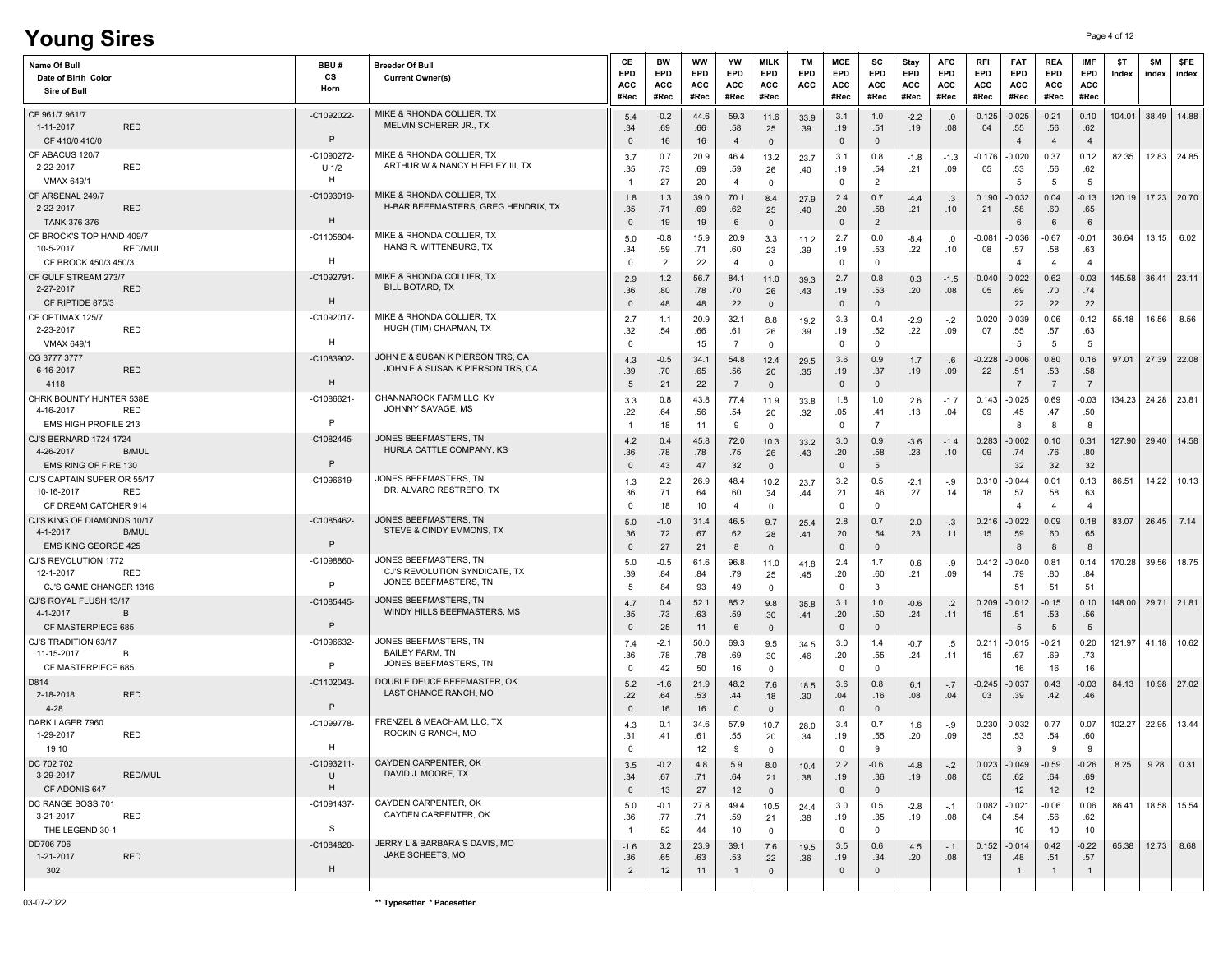| <b>Young Sires</b>                                                                    |                |                             |                                                                                 |                                        |                                       |                                 |                                    |                                             |                         |                                          |                                            |                            |                                  |                           |                                      |                                         |                                         | Page 4 of 12 |              |                     |
|---------------------------------------------------------------------------------------|----------------|-----------------------------|---------------------------------------------------------------------------------|----------------------------------------|---------------------------------------|---------------------------------|------------------------------------|---------------------------------------------|-------------------------|------------------------------------------|--------------------------------------------|----------------------------|----------------------------------|---------------------------|--------------------------------------|-----------------------------------------|-----------------------------------------|--------------|--------------|---------------------|
| Name Of Bull<br>Date of Birth Color<br>Sire of Bull                                   |                | BBU#<br>cs<br>Horn          | <b>Breeder Of Bull</b><br><b>Current Owner(s)</b>                               | CE<br>EPD<br><b>ACC</b><br>#Rec        | BW<br>EPD<br><b>ACC</b><br>#Rec       | <b>WW</b><br>EPD<br>ACC<br>#Rec | YW<br>EPD<br>ACC<br>#Rec           | <b>MILK</b><br>EPD<br><b>ACC</b><br>#Rec    | <b>TM</b><br>EPD<br>ACC | MCE<br>EPD<br>ACC<br>#Rec                | sc<br>EPD<br>ACC<br>#Rec                   | Stay<br>EPD<br>ACC<br>#Rec | <b>AFC</b><br>EPD<br>ACC<br>#Rec | RFI<br>EPD<br>ACC<br>#Rec | <b>FAT</b><br>EPD<br>ACC<br>#Rec     | <b>REA</b><br>EPD<br><b>ACC</b><br>#Rec | <b>IMF</b><br>EPD<br><b>ACC</b><br>#Rec | \$T<br>Index | \$M<br>index | <b>SFE</b><br>index |
| CF 961/7 961/7<br>1-11-2017<br>CF 410/0 410/0                                         | <b>RED</b>     | -C1092022-<br>$\mathsf{P}$  | MIKE & RHONDA COLLIER, TX<br>MELVIN SCHERER JR., TX                             | 5.4<br>.34<br>$\Omega$                 | $-0.2$<br>.69<br>16                   | 44.6<br>.66<br>16               | 59.3<br>.58<br>$\overline{4}$      | 11.6<br>.25<br>$\mathsf 0$                  | 33.9<br>.39             | 3.1<br>.19<br>$\mathbf 0$                | 1.0<br>.51<br>$\mathbf 0$                  | $-2.2$<br>.19              | .0<br>.08                        | $-0.125$<br>.04           | $-0.025$<br>.55<br>$\overline{4}$    | $-0.21$<br>.56<br>$\overline{4}$        | 0.10<br>.62<br>$\overline{4}$           | 104.01       |              | 38.49 14.88         |
| CF ABACUS 120/7<br>2-22-2017<br><b>VMAX 649/1</b>                                     | <b>RED</b>     | -C1090272-<br>$U$ 1/2<br>H  | MIKE & RHONDA COLLIER, TX<br>ARTHUR W & NANCY H EPLEY III, TX                   | 3.7<br>.35                             | 0.7<br>.73<br>27                      | 20.9<br>.69<br>20               | 46.4<br>.59<br>$\overline{4}$      | 13.2<br>.26<br>$\mathbf 0$                  | 23.7<br>.40             | 3.1<br>.19<br>$\mathbf 0$                | 0.8<br>.54<br>$\overline{2}$               | $-1.8$<br>.21              | $-1.3$<br>.09                    | $-0.176$<br>.05           | $-0.020$<br>.53<br>5                 | 0.37<br>.56<br>5                        | 0.12<br>.62<br>5                        | 82.35        |              | 12.83 24.85         |
| CF ARSENAL 249/7<br>2-22-2017                                                         | <b>RED</b>     | -C1093019<br>H              | MIKE & RHONDA COLLIER. TX<br>H-BAR BEEFMASTERS, GREG HENDRIX, TX                | 1.8<br>.35                             | 1.3<br>.71                            | 39.0<br>.69                     | 70.1<br>.62                        | 8.4<br>.25                                  | 27.9<br>.40             | 2.4<br>.20                               | 0.7<br>.58                                 | $-4.4$<br>.21              | .3<br>.10                        | 0.190<br>.21              | $-0.032$<br>.58                      | 0.04<br>.60                             | $-0.13$<br>.65                          | 120.19       |              | 17.23 20.70         |
| <b>TANK 376 376</b><br>CF BROCK'S TOP HAND 409/7<br>10-5-2017<br>CF BROCK 450/3 450/3 | <b>RED/MUL</b> | $-C1105804$<br>H            | MIKE & RHONDA COLLIER, TX<br>HANS R. WITTENBURG, TX                             | $\mathbf{0}$<br>5.0<br>.34<br>$\Omega$ | 19<br>$-0.8$<br>.59<br>$\overline{2}$ | 19<br>15.9<br>.71<br>22         | 6<br>20.9<br>.60<br>$\overline{4}$ | $\overline{0}$<br>3.3<br>.23<br>$\mathbf 0$ | 11.2<br>.39             | $\mathbf 0$<br>2.7<br>.19<br>$\mathbf 0$ | $\overline{2}$<br>0.0<br>.53<br>$^{\circ}$ | $-8.4$<br>.22              | .0<br>.10                        | $-0.081$<br>.08           | 6<br>-0.036<br>.57<br>$\overline{4}$ | 6<br>$-0.67$<br>.58<br>$\overline{4}$   | 6<br>-0.01<br>.63<br>$\overline{a}$     | 36.64        | 13.15        | 6.02                |
| CF GULF STREAM 273/7<br>2-27-2017<br>CF RIPTIDE 875/3                                 | <b>RED</b>     | $-C1092791$<br>H            | MIKE & RHONDA COLLIER, TX<br><b>BILL BOTARD, TX</b>                             | 2.9<br>.36<br>$\mathbf{0}$             | 1.2<br>.80<br>48                      | 56.7<br>.78<br>48               | 84.1<br>.70<br>22                  | 11.0<br>.26<br>$\overline{0}$               | 39.3<br>.43             | 2.7<br>.19<br>$\mathsf 0$                | 0.8<br>.53<br>$\mathbf 0$                  | 0.3<br>.20                 | $-1.5$<br>.08                    | $-0.040$<br>.05           | $-0.022$<br>.69<br>22                | 0.62<br>.70<br>22                       | $-0.03$<br>.74<br>22                    | 145.58       | 36.41        | 23.11               |
| CF OPTIMAX 125/7<br>2-23-2017<br>VMAX 649/1                                           | <b>RED</b>     | -C1092017-<br>H             | MIKE & RHONDA COLLIER, TX<br>HUGH (TIM) CHAPMAN, TX                             | 2.7<br>.32<br>0                        | 1.1<br>.54                            | 20.9<br>.66<br>15               | 32.1<br>.61<br>$\overline{7}$      | 8.8<br>.26<br>$\mathbf 0$                   | 19.2<br>.39             | 3.3<br>.19<br>$\mathbf 0$                | 0.4<br>.52<br>$\mathbf 0$                  | $-2.9$<br>.22              | $-.2$<br>.09                     | 0.020<br>.07              | $-0.039$<br>.55<br>5                 | 0.06<br>.57<br>-5                       | $-0.12$<br>.63<br>-5                    | 55.18        | 16.56        | 8.56                |
| CG 3777 3777<br>6-16-2017<br>4118                                                     | <b>RED</b>     | -C1083902<br>H              | JOHN E & SUSAN K PIERSON TRS, CA<br>JOHN E & SUSAN K PIERSON TRS, CA            | 4.3<br>.39<br>5                        | $-0.5$<br>.70<br>21                   | 34.1<br>.65<br>22               | 54.8<br>.56<br>$\overline{7}$      | 12.4<br>.20<br>$\mathsf 0$                  | 29.5<br>.35             | 3.6<br>.19<br>$\mathbf 0$                | 0.9<br>.37<br>$\mathbf{0}$                 | 1.7<br>.19                 | $-.6$<br>.09                     | -0.228<br>.22             | $-0.006$<br>.51<br>$\overline{7}$    | 0.80<br>.53<br>$\overline{7}$           | 0.16<br>.58<br>$\overline{7}$           | 97.01        |              | 27.39 22.08         |
| CHRK BOUNTY HUNTER 538E<br>4-16-2017<br>EMS HIGH PROFILE 213                          | <b>RED</b>     | $-C1086621$<br>$\mathsf{P}$ | CHANNAROCK FARM LLC, KY<br>JOHNNY SAVAGE, MS                                    | 3.3<br>.22                             | 0.8<br>.64<br>18                      | 43.8<br>.56<br>11               | 77.4<br>.54<br>9                   | 11.9<br>.20<br>$\mathbf 0$                  | 33.8<br>.32             | 1.8<br>.05<br>$\mathbf 0$                | 1.0<br>.41<br>$\overline{7}$               | 2.6<br>.13                 | $-1.7$<br>.04                    | 0.143<br>.09              | $-0.025$<br>.45<br>-8                | 0.69<br>.47<br>8                        | $-0.03$<br>.50<br>8                     | 134.23       |              | 24.28 23.81         |
| <b>CJ'S BERNARD 1724 1724</b><br>4-26-2017<br>EMS RING OF FIRE 130                    | <b>B/MUL</b>   | $-C1082445$<br>$\mathsf{P}$ | JONES BEEFMASTERS, TN<br>HURLA CATTLE COMPANY, KS                               | 4.2<br>.36<br>$\mathbf{0}$             | 0.4<br>.78<br>43                      | 45.8<br>.78<br>47               | 72.0<br>.75<br>32                  | 10.3<br>.26<br>$\mathsf 0$                  | 33.2<br>.43             | 3.0<br>.20<br>$\mathbf 0$                | 0.9<br>.58<br>5                            | $-3.6$<br>.23              | $-1.4$<br>.10                    | 0.283<br>.09              | $-0.002$<br>.74<br>32                | 0.10<br>.76<br>32                       | 0.31<br>.80<br>32                       | 127.90       |              | 29.40 14.58         |
| CJ'S CAPTAIN SUPERIOR 55/17<br>10-16-2017<br>CF DREAM CATCHER 914                     | RED            | $-C1096619-$                | JONES BEEFMASTERS, TN<br>DR. ALVARO RESTREPO, TX                                | 1.3<br>.36<br>$^{\circ}$               | 2.2<br>.71<br>18                      | 26.9<br>.64<br>10               | 48.4<br>.60<br>$\overline{4}$      | 10.2<br>.34<br>$\mathbf 0$                  | 23.7<br>.44             | 3.2<br>.21<br>$\mathbf 0$                | 0.5<br>.46<br>$\mathbf 0$                  | $-2.1$<br>.27              | $-.9$<br>.14                     | 0.310<br>.18              | $-0.044$<br>.57<br>4                 | 0.01<br>.58<br>$\overline{a}$           | 0.13<br>.63<br>$\overline{a}$           | 86.51        | 14.22        | 10.13               |
| CJ'S KING OF DIAMONDS 10/17<br>4-1-2017<br><b>EMS KING GEORGE 425</b>                 | <b>B/MUL</b>   | $-C1085462$<br>$\mathsf{P}$ | JONES BEEFMASTERS, TN<br>STEVE & CINDY EMMONS, TX                               | 5.0<br>.36<br>$\mathbf{0}$             | $-1.0$<br>.72<br>27                   | 31.4<br>.67<br>21               | 46.5<br>.62<br>8                   | 9.7<br>.28<br>$\overline{0}$                | 25.4<br>.41             | 2.8<br>.20<br>$\mathbf 0$                | 0.7<br>.54<br>$\mathbf 0$                  | 2.0<br>.23                 | $-.3$<br>.11                     | 0.216<br>.15              | $-0.022$<br>.59<br>8                 | 0.09<br>.60<br>8                        | 0.18<br>.65<br>8                        | 83.07        |              | 26.45 7.14          |
| CJ'S REVOLUTION 1772<br>12-1-2017<br>CJ'S GAME CHANGER 1316                           | <b>RED</b>     | $-C1098860$<br>$\mathsf{P}$ | JONES BEEFMASTERS, TN<br>CJ'S REVOLUTION SYNDICATE, TX<br>JONES BEEFMASTERS, TN | 5.0<br>.39<br>5                        | $-0.5$<br>.84<br>84                   | 61.6<br>.84<br>93               | 96.8<br>.79<br>49                  | 11.0<br>.25<br>$\mathsf 0$                  | 41.8<br>.45             | 2.4<br>.20<br>$\mathbf 0$                | 1.7<br>.60<br>3                            | 0.6<br>.21                 | -.9<br>.09                       | 0.412<br>.14              | $-0.040$<br>.79<br>51                | 0.81<br>.80<br>51                       | 0.14<br>.84<br>51                       | 170.28       | 39.56        | 18.75               |
| CJ'S ROYAL FLUSH 13/17<br>4-1-2017<br>CF MASTERPIECE 685                              | B              | -C1085445-<br>P             | JONES BEEFMASTERS, TN<br>WINDY HILLS BEEFMASTERS, MS                            | 4.7<br>.35<br>$\mathbf{0}$             | 0.4<br>.73<br>25                      | 52.1<br>.63<br>11               | 85.2<br>.59<br>6                   | 9.8<br>.30 <sub>1</sub><br>$\overline{0}$   | 35.8<br>.41             | 3.1<br>.20<br>$\mathbf 0$                | 1.0<br>.50<br>$\mathbf 0$                  | $-0.6$<br>.24              | $\cdot$ .2<br>.11                | 0.209<br>.15              | $-0.012$<br>.51<br>5                 | $-0.15$<br>.53<br>5                     | 0.10<br>.56<br>$\sqrt{5}$               | 148.00       | 29.71        | 21.81               |
| CJ'S TRADITION 63/17<br>11-15-2017<br>CF MASTERPIECE 685                              | B              | -C1096632<br>P              | JONES BEEFMASTERS, TN<br><b>BAILEY FARM, TN</b><br>JONES BEEFMASTERS. TN        | 7.4<br>.36<br>$\Omega$                 | $-2.1$<br>.78<br>42                   | 50.0<br>.78<br>50               | 69.3<br>.69<br>16                  | 9.5<br>.30<br>$\mathbf 0$                   | 34.5<br>.46             | 3.0<br>.20<br>$\mathbf 0$                | 1.4<br>.55<br>$\mathbf 0$                  | $-0.7$<br>.24              | .5<br>.11                        | 0.211<br>.15              | $-0.015$<br>.67<br>16                | $-0.21$<br>.69<br>16                    | 0.20<br>.73<br>16                       | 121.97       | 41.18        | 10.62               |
| D814<br>2-18-2018<br>4-28                                                             | <b>RED</b>     | $-C1102043$<br>$\mathsf{P}$ | DOUBLE DEUCE BEEFMASTER, OK<br>LAST CHANCE RANCH, MO                            | 5.2<br>.22<br>$\mathbf{0}$             | $-1.6$<br>.64<br>16                   | 21.9<br>.53<br>16               | 48.2<br>.44<br>$\mathbf{0}$        | 7.6<br>.18<br>$\mathbb O$                   | 18.5<br>.30             | 3.6<br>.04<br>$\mathbf 0$                | 0.8<br>.16<br>$\mathbf 0$                  | 6.1<br>.08                 | $-.7$<br>.04                     | -0.245<br>.03             | -0.037<br>.39                        | 0.43<br>.42                             | $-0.03$<br>.46                          | 84.13        |              | 10.98 27.02         |
| DARK LAGER 7960<br>1-29-2017<br>19 10                                                 | RED            | -C1099778-<br>H             | FRENZEL & MEACHAM, LLC, TX<br>ROCKIN G RANCH, MO                                | 4.3<br>.31<br>$\mathbf 0$              | 0.1<br>.41                            | 34.6<br>.61<br>12               | 57.9<br>.55<br>9                   | 10.7<br>.20<br>$\mathbf 0$                  | 28.0<br>.34             | 3.4<br>.19<br>$\mathbf 0$                | 0.7<br>.55<br>9                            | 1.6<br>.20                 | $-0.9$<br>.09                    | 0.230<br>.35              | $-0.032$<br>.53<br>9                 | 0.77<br>.54<br>9                        | 0.07<br>.60<br>9                        |              |              | 102.27 22.95 13.44  |
| DC 702 702<br>3-29-2017<br>CF ADONIS 647                                              | <b>RED/MUL</b> | $-C1093211-$<br>U<br>H      | CAYDEN CARPENTER, OK<br>DAVID J. MOORE, TX                                      | 3.5<br>.34<br>$\mathbf 0$              | $-0.2$<br>.67<br>13                   | 4.8<br>.71<br>27                | 5.9<br>.64<br>12                   | 8.0<br>.21<br>$\overline{0}$                | 10.4<br>.38             | 2.2<br>.19<br>$\mathbf 0$                | $-0.6$<br>.36<br>$\mathbf{0}$              | $-4.8$<br>.19              | $-.2$<br>.08                     | 0.023<br>.05              | $-0.049$<br>.62<br>12                | $-0.59$<br>.64<br>12                    | $-0.26$<br>.69<br>12                    | 8.25         | 9.28         | 0.31                |
| DC RANGE BOSS 701<br>3-21-2017<br>THE LEGEND 30-1                                     | RED            | -C1091437-<br>S             | CAYDEN CARPENTER, OK<br>CAYDEN CARPENTER, OK                                    | 5.0<br>.36<br>-1                       | $-0.1$<br>.77<br>52                   | 27.8<br>.71<br>44               | 49.4<br>.59<br>10                  | 10.5<br>.21<br>$\mathbf 0$                  | 24.4<br>.38             | 3.0<br>.19<br>$\mathbf 0$                | 0.5<br>.35<br>$\mathbf 0$                  | $-2.8$<br>.19              | $-.1$<br>.08                     | 0.082<br>.04              | -0.021<br>.54<br>10                  | $-0.06$<br>.56<br>10                    | 0.06<br>.62<br>10                       | 86.41        |              | 18.58 15.54         |
| DD706 706<br>1-21-2017<br>302                                                         | <b>RED</b>     | -C1084820-<br>H             | JERRY L & BARBARA S DAVIS, MO<br>JAKE SCHEETS, MO                               | $-1.6$<br>.36<br>$\overline{2}$        | 3.2<br>.65<br>12                      | 23.9<br>.63<br>11               | 39.1<br>.53<br>$\mathbf{1}$        | 7.6<br>.22<br>$\mathbf{0}$                  | 19.5<br>.36             | 3.5<br>.19<br>$\overline{0}$             | 0.6<br>.34<br>$\mathbf{0}$                 | 4.5<br>.20                 | $-.1$<br>.08                     | 0.152<br>.13              | $-0.014$<br>.48<br>$\mathbf{1}$      | 0.42<br>.51<br>$\overline{1}$           | $-0.22$<br>.57<br>$\overline{1}$        | 65.38        |              | $12.73$ 8.68        |
|                                                                                       |                |                             |                                                                                 |                                        |                                       |                                 |                                    |                                             |                         |                                          |                                            |                            |                                  |                           |                                      |                                         |                                         |              |              |                     |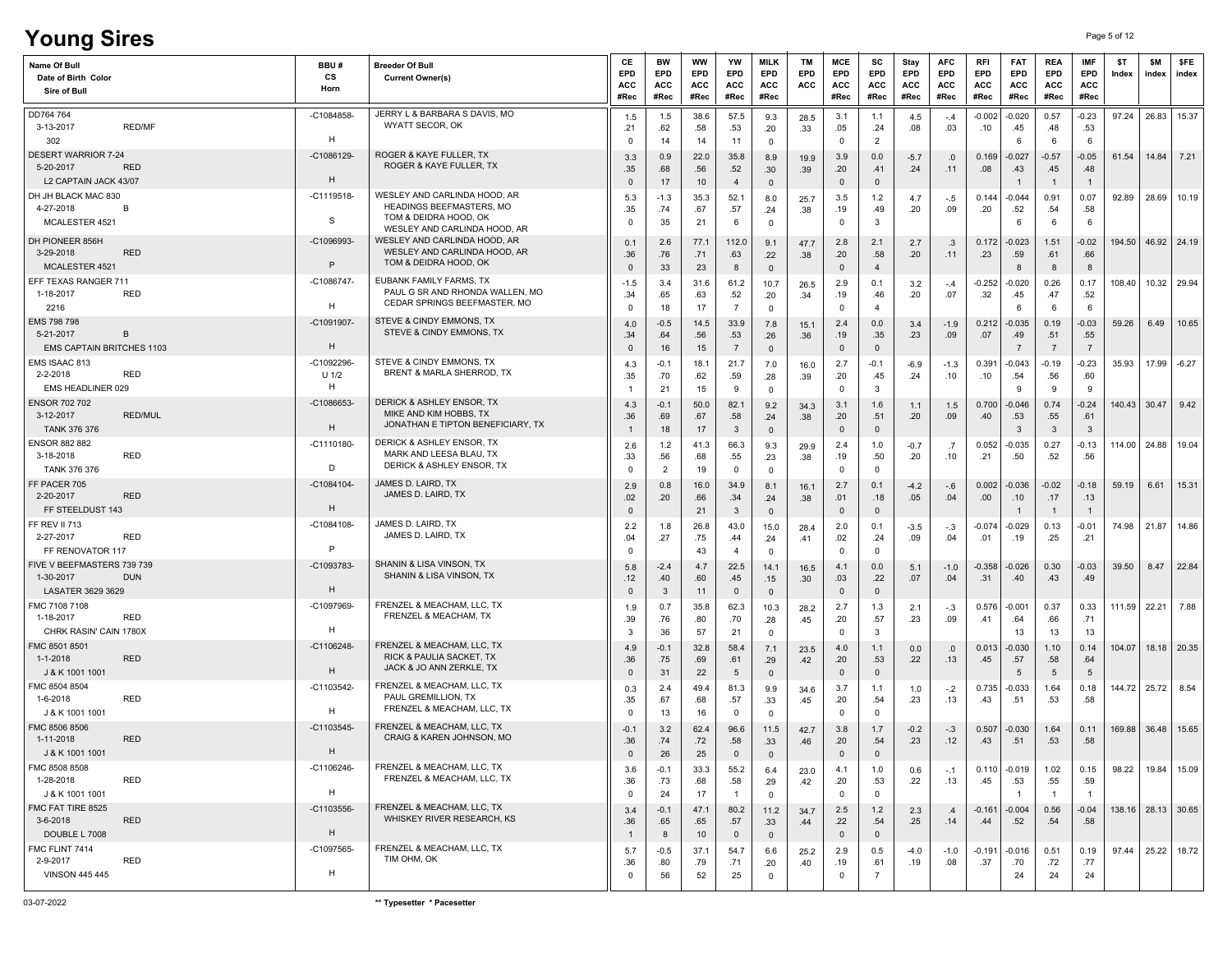# **Young Sires** Page 5 of 12

| Name Of Bull<br>Date of Birth Color<br>Sire of Bull                            | BBU#<br>СS<br>Horn        | <b>Breeder Of Bull</b><br><b>Current Owner(s)</b>                                                                 | СE<br><b>EPD</b><br>ACC<br>#Rec | BW<br>EPD<br>ACC<br>#Rec     | ww<br>EPD<br>ACC<br>#Rec | YW<br>EPD<br>ACC<br>#Rec      | <b>MILK</b><br>EPD<br>ACC<br>#Rec      | ТM<br><b>EPD</b><br>ACC  | MCE<br>EPD<br>ACC<br>#Rec  | SC<br>EPD<br>ACC<br>#Rec      | Stay<br>EPD<br>ACC<br>#Rec | <b>AFC</b><br>EPD<br>ACC<br>#Rec | RFI<br>EPD<br><b>ACC</b><br>#Rec | <b>FAT</b><br>EPD<br>ACC<br>#Rec  | REA<br>EPD<br>ACC<br>#Rec        | <b>IMF</b><br>EPD<br><b>ACC</b><br>#Rec | \$T<br>Index           | \$M<br>index           | \$FE<br>index           |
|--------------------------------------------------------------------------------|---------------------------|-------------------------------------------------------------------------------------------------------------------|---------------------------------|------------------------------|--------------------------|-------------------------------|----------------------------------------|--------------------------|----------------------------|-------------------------------|----------------------------|----------------------------------|----------------------------------|-----------------------------------|----------------------------------|-----------------------------------------|------------------------|------------------------|-------------------------|
| DD764 764<br><b>RED/MF</b><br>3-13-2017<br>302                                 | $-C1084858$<br>H          | JERRY L & BARBARA S DAVIS, MO<br>WYATT SECOR, OK                                                                  | 1.5<br>.21<br>0                 | 1.5<br>.62<br>14             | 38.6<br>.58<br>14        | 57.5<br>.53<br>11             | 9.3<br>.20<br>$\mathbf 0$              | 28.5<br>.33              | 3.1<br>.05<br>$\mathbf 0$  | 1.1<br>.24<br>$\overline{2}$  | 4.5<br>.08                 | $-.4$<br>.03                     | $-0.002$<br>.10                  | $-0.020$<br>.45<br>-6             | 0.57<br>.48<br>6                 | $-0.23$<br>.53<br>-6                    | 97.24                  |                        | 26.83 15.37             |
| <b>DESERT WARRIOR 7-24</b><br><b>RED</b><br>5-20-2017<br>L2 CAPTAIN JACK 43/07 | -C1086129<br>H            | ROGER & KAYE FULLER. TX<br>ROGER & KAYE FULLER, TX                                                                | 3.3<br>.35<br>$\mathbf{0}$      | 0.9<br>.68<br>17             | 22.0<br>.56<br>10        | 35.8<br>.52<br>$\overline{4}$ | 8.9<br>.30<br>$\overline{\mathbf{0}}$  | 19.9<br>.39              | 3.9<br>.20<br>$\mathbf 0$  | 0.0<br>.41<br>$\overline{0}$  | $-5.7$<br>.24              | .0<br>.11                        | 0.169<br>.08                     | $-0.027$<br>.43<br>$\overline{1}$ | $-0.57$<br>.45<br>$\overline{1}$ | $-0.05$<br>.48<br>$\overline{1}$        | 61.54                  | 14.84                  | 7.21                    |
| DH JH BLACK MAC 830<br>4-27-2018<br>B<br>MCALESTER 4521                        | $-C1119518-$<br>S         | WESLEY AND CARLINDA HOOD, AR<br>HEADINGS BEEFMASTERS, MO<br>TOM & DEIDRA HOOD, OK<br>WESLEY AND CARLINDA HOOD, AR | 5.3<br>.35<br>0                 | $-1.3$<br>.74<br>35          | 35.3<br>.67<br>21        | 52.1<br>.57<br>6              | 8.0<br>.24<br>$\mathbf 0$              | 25.7<br>.38              | 3.5<br>.19<br>$\mathbf 0$  | 1.2<br>.49<br>$\mathbf{3}$    | 4.7<br>.20                 | $-.5$<br>.09                     | 0.144<br>.20                     | -0.044<br>.52<br>6                | 0.91<br>.54<br>6                 | 0.07<br>.58<br>6                        | 92.89                  | 28.69                  | 10.19                   |
| DH PIONEER 856H<br>3-29-2018<br><b>RED</b><br>MCALESTER 4521                   | -C1096993<br>$\mathsf{P}$ | WESLEY AND CARLINDA HOOD, AR<br>WESLEY AND CARLINDA HOOD, AR<br>TOM & DEIDRA HOOD, OK                             | 0.1<br>.36<br>$\mathbf 0$       | 2.6<br>.76<br>33             | 77.1<br>.71<br>23        | 112.0<br>.63<br>8             | 9.1<br>.22<br>$\overline{\mathbf{0}}$  | 47.7<br>.38              | 2.8<br>.20<br>$\mathbf{0}$ | 2.1<br>.58<br>$\overline{4}$  | 2.7<br>.20                 | .3<br>.11                        | 0.172<br>.23                     | $-0.023$<br>.59<br>8              | 1.51<br>.61<br>8                 | $-0.02$<br>.66<br>8                     | 194.50                 |                        | 46.92 24.19             |
| EFF TEXAS RANGER 711<br>RED<br>1-18-2017<br>2216                               | -C1086747-<br>H           | EUBANK FAMILY FARMS, TX<br>PAUL G SR AND RHONDA WALLEN, MO<br>CEDAR SPRINGS BEEFMASTER, MO                        | $-1.5$<br>.34<br>0              | 3.4<br>.65<br>18             | 31.6<br>.63<br>17        | 61.2<br>.52<br>$\overline{7}$ | 10.7<br>.20<br>$\overline{0}$          | 26.5<br>.34              | 2.9<br>.19<br>$\mathbf{0}$ | 0.1<br>.46<br>$\overline{4}$  | 3.2<br>.20                 | $-.4$<br>.07                     | $-0.252$<br>.32                  | $-0.020$<br>.45<br>6              | 0.26<br>.47<br>6                 | 0.17<br>.52<br>-6                       | 108.40                 |                        | 10.32 29.94             |
| EMS 798 798<br>5-21-2017<br><b>B</b><br><b>EMS CAPTAIN BRITCHES 1103</b>       | -C1091907-<br>H           | STEVE & CINDY EMMONS, TX<br>STEVE & CINDY EMMONS, TX                                                              | 4.0<br>.34<br>$\mathbf 0$       | $-0.5$<br>.64<br>16          | 14.5<br>.56<br>15        | 33.9<br>.53<br>$\overline{7}$ | 7.8<br>.26<br>$\mathbf 0$              | 15.1<br>.36              | 2.4<br>.19<br>$\mathbf 0$  | 0.0<br>.35<br>$\mathbb O$     | 3.4<br>.23                 | $-1.9$<br>.09                    | 0.212<br>.07                     | $-0.035$<br>.49<br>$\overline{7}$ | 0.19<br>.51<br>$\overline{7}$    | $-0.03$<br>.55<br>$\overline{7}$        | 59.26                  | 6.49                   | 10.65                   |
| EMS ISAAC 813<br>2-2-2018<br>RED<br>EMS HEADLINER 029                          | -C1092296<br>$U$ 1/2<br>H | STEVE & CINDY EMMONS, TX<br>BRENT & MARLA SHERROD. TX                                                             | 4.3<br>.35                      | $-0.1$<br>.70<br>21          | 18.1<br>.62<br>15        | 21.7<br>.59<br>9              | 7.0<br>.28<br>$\mathbf 0$              | 16.0<br>.39              | 2.7<br>.20<br>0            | $-0.1$<br>.45<br>$\mathbf{3}$ | $-6.9$<br>.24              | $-1.3$<br>.10                    | 0.391<br>.10                     | $-0.043$<br>.54<br>-9             | $-0.19$<br>.56<br>9              | $-0.23$<br>.60<br>-9                    | 35.93                  | 17.99                  | $-6.27$                 |
| <b>ENSOR 702 702</b><br>3-12-2017<br><b>RED/MUL</b><br><b>TANK 376 376</b>     | -C1086653<br>H            | DERICK & ASHLEY ENSOR, TX<br>MIKE AND KIM HOBBS, TX<br>JONATHAN E TIPTON BENEFICIARY, TX                          | 4.3<br>.36<br>-1                | $-0.1$<br>.69<br>18          | 50.0<br>.67<br>17        | 82.1<br>.58<br>$\mathbf{3}$   | 9.2<br>.24<br>$\overline{\mathbf{0}}$  | 34.3<br>.38              | 3.1<br>.20<br>$\mathbf{0}$ | 1.6<br>.51<br>$\overline{0}$  | 1.1<br>.20                 | 1.5<br>.09                       | 0.700<br>.40                     | $-0.046$<br>.53<br>3              | 0.74<br>.55<br>$\mathbf{3}$      | $-0.24$<br>.61<br>$\mathbf{3}$          |                        | $140.43$ 30.47   9.42  |                         |
| <b>ENSOR 882 882</b><br>3-18-2018<br>RED<br>TANK 376 376                       | $-C1110180-$<br>D         | DERICK & ASHLEY ENSOR, TX<br>MARK AND LEESA BLAU, TX<br><b>DERICK &amp; ASHLEY ENSOR, TX</b>                      | 2.6<br>.33<br>$\mathbf 0$       | 1.2<br>.56<br>$\overline{2}$ | 41.3<br>.68<br>19        | 66.3<br>.55<br>$\mathbf 0$    | 9.3<br>.23<br>$\mathbf 0$              | 29.9<br>.38              | 2.4<br>.19<br>$\mathbf 0$  | 1.0<br>.50<br>$\mathbf 0$     | $-0.7$<br>.20              | .7<br>.10                        | 0.052<br>.21                     | $-0.035$<br>.50                   | 0.27<br>.52                      | $-0.13$<br>.56                          | 114.00                 | 24.88                  | 19.04                   |
| FF PACER 705<br>2-20-2017<br><b>RED</b><br>FF STEELDUST 143                    | $-C1084104$<br>H          | JAMES D. LAIRD, TX<br>JAMES D. LAIRD, TX                                                                          | 2.9<br>.02<br>$\mathbf 0$       | 0.8<br>.20                   | 16.0<br>.66<br>21        | 34.9<br>.34<br>$\mathbf{3}$   | 8.1<br>.24<br>$\overline{\mathbf{0}}$  | 16.1<br>.38              | 2.7<br>.01<br>$\mathbf 0$  | 0.1<br>.18<br>$\mathsf 0$     | $-4.2$<br>.05              | -.6<br>.04                       | 0.002<br>.00                     | $-0.036$<br>.10                   | $-0.02$<br>.17<br>-1             | $-0.18$<br>.13<br>$\mathbf{1}$          | 59.19                  | 6.61                   | 15.31                   |
| FF REV II 713<br>2-27-2017<br>RED<br>FF RENOVATOR 117                          | $-C1084108$<br>P          | JAMES D. LAIRD, TX<br>JAMES D. LAIRD, TX                                                                          | 2.2<br>.04<br>$\Omega$          | 1.8<br>.27                   | 26.8<br>.75<br>43        | 43.0<br>.44<br>$\overline{4}$ | 15.0<br>.24<br>$\overline{0}$          | 28.4<br>.41              | 2.0<br>.02<br>$\mathbf 0$  | 0.1<br>.24<br>$^{\circ}$      | $-3.5$<br>.09              | $-.3$<br>.04                     | -0.074<br>.01                    | -0.029<br>.19                     | 0.13<br>.25                      | $-0.01$<br>.21                          | 74.98                  |                        | 21.87 14.86             |
| FIVE V BEEFMASTERS 739 739<br>1-30-2017<br><b>DUN</b><br>LASATER 3629 3629     | -C1093783<br>H            | SHANIN & LISA VINSON, TX<br>SHANIN & LISA VINSON, TX                                                              | 5.8<br>.12<br>$\mathbf 0$       | $-2.4$<br>.40<br>3           | 4.7<br>.60<br>11         | 22.5<br>.45<br>$\mathbf{0}$   | 14.1<br>.15<br>$\overline{\mathbf{0}}$ | 16.5<br>.30 <sub>1</sub> | 4.1<br>.03<br>$\mathbf 0$  | 0.0<br>.22<br>$\overline{0}$  | 5.1<br>.07                 | $-1.0$<br>.04                    | $-0.358$<br>.31                  | $-0.026$<br>.40                   | 0.30<br>.43                      | $-0.03$<br>.49                          | 39.50                  | 8.47                   | 22.84                   |
| FMC 7108 7108<br><b>RED</b><br>1-18-2017<br>CHRK RASIN' CAIN 1780X             | -C1097969<br>H            | FRENZEL & MEACHAM, LLC, TX<br>FRENZEL & MEACHAM, TX                                                               | 1.9<br>.39<br>3                 | 0.7<br>.76<br>36             | 35.8<br>.80<br>57        | 62.3<br>.70<br>21             | 10.3<br>.28<br>$\overline{0}$          | 28.2<br>.45              | 2.7<br>.20<br>$\mathbf{0}$ | 1.3<br>.57<br>$\mathbf{3}$    | 2.1<br>.23                 | $-.3$<br>.09                     | 0.576<br>.41                     | $-0.001$<br>.64<br>13             | 0.37<br>.66<br>13                | 0.33<br>.71<br>13                       | 111.59 22.21           |                        | 7.88                    |
| FMC 8501 8501<br>1-1-2018<br><b>RED</b><br>J & K 1001 1001                     | $-C1106248-$<br>H         | FRENZEL & MEACHAM, LLC, TX<br>RICK & PAULIA SACKET, TX<br>JACK & JO ANN ZERKLE, TX                                | 4.9<br>.36<br>$\Omega$          | $-0.1$<br>.75<br>31          | 32.8<br>.69<br>22        | 58.4<br>.61<br>5              | 7.1<br>.29<br>$\overline{\mathbf{0}}$  | 23.5<br>.42              | 4.0<br>.20<br>$\mathbf{0}$ | 1.1<br>.53<br>$\overline{0}$  | 0.0<br>.22                 | .0<br>.13                        | 0.013<br>.45                     | -0.030<br>.57<br>5                | 1.10<br>.58<br>5                 | 0.14<br>.64<br>5                        |                        | 104.07   18.18   20.35 |                         |
| FMC 8504 8504<br>1-6-2018<br>RED<br>J & K 1001 1001                            | -C1103542-<br>H           | FRENZEL & MEACHAM, LLC, TX<br>PAUL GREMILLION, TX<br>FRENZEL & MEACHAM, LLC, TX                                   | 0.3<br>.35<br>0                 | 2.4<br>.67<br>13             | 49.4<br>.68<br>16        | 81.3<br>.57<br>$\mathbf 0$    | 9.9<br>.33<br>$\mathbf{0}$             | 34.6<br>.45              | 3.7<br>.20<br>0            | 1.1<br>.54<br>$\mathbf 0$     | 1.0<br>.23                 | $-.2$<br>.13                     | 0.735<br>.43                     | $-0.033$<br>.51                   | 1.64<br>.53                      | 0.18<br>.58                             |                        | 144.72 25.72           | 8.54                    |
| FMC 8506 8506<br>1-11-2018<br><b>RED</b><br>J & K 1001 1001                    | $-C1103545$<br>H          | FRENZEL & MEACHAM, LLC, TX<br>CRAIG & KAREN JOHNSON, MO                                                           | $-0.1$<br>.36                   | 3.2<br>.74<br>26             | 62.4<br>.72<br>25        | 96.6<br>.58<br>U              | 11.5<br>.33<br>$\mathbf{0}$            | 42.7<br>.46              | 3.8<br>.20<br>0            | 1.7<br>.54<br>$\cup$          | $-0.2$<br>.23              | $-.3$<br>.12                     | 0.507<br>.43                     | $-0.030$<br>.51                   | 1.64<br>.53                      | 0.11<br>.58                             |                        | 169.88 36.48 15.65     |                         |
| FMC 8508 8508<br>1-28-2018<br>RED<br>J & K 1001 1001                           | $-C1106246-$<br>H         | FRENZEL & MEACHAM, LLC, TX<br>FRENZEL & MEACHAM, LLC, TX                                                          | 3.6<br>.36<br>$\mathbf 0$       | $-0.1$<br>.73<br>24          | 33.3<br>.68<br>17        | 55.2<br>.58<br>$\mathbf{1}$   | 6.4<br>.29<br>$\mathbf 0$              | 23.0<br>.42              | 4.1<br>.20<br>$\mathbf 0$  | 1.0<br>.53<br>$\mathbf 0$     | 0.6<br>.22                 | $-.1$<br>.13                     | 0.110<br>.45                     | $-0.019$<br>.53<br>-1             | 1.02<br>.55<br>$\overline{1}$    | 0.15<br>.59<br>$\overline{1}$           |                        |                        | 98.22   19.84   15.09   |
| FMC FAT TIRE 8525<br>3-6-2018<br><b>RED</b><br>DOUBLE L 7008                   | -C1103556-<br>H           | FRENZEL & MEACHAM, LLC, TX<br>WHISKEY RIVER RESEARCH, KS                                                          | 3.4<br>.36<br>$\overline{1}$    | $-0.1$<br>.65<br>8           | 47.1<br>.65<br>10        | 80.2<br>.57<br>$\mathbf{0}$   | 11.2<br>.33<br>$\overline{0}$          | 34.7<br>.44              | 2.5<br>.22<br>$\mathbf 0$  | 1.2<br>.54<br>$\mathbb O$     | 2.3<br>.25                 | .4<br>.14                        | $-0.161$<br>.44                  | $-0.004$<br>.52                   | 0.56<br>.54                      | $-0.04$<br>.58                          | 138.16   28.13   30.65 |                        |                         |
| FMC FLINT 7414<br>2-9-2017<br>RED<br><b>VINSON 445 445</b>                     | -C1097565-<br>H           | FRENZEL & MEACHAM, LLC, TX<br>TIM OHM, OK                                                                         | 5.7<br>.36<br>$\mathbf 0$       | -0.5<br>.80<br>56            | 37.1<br>.79<br>52        | 54.7<br>.71<br>25             | 6.6<br>.20<br>$\mathbf 0$              | 25.2<br>.40              | 2.9<br>.19<br>$\mathbf 0$  | 0.5<br>.61<br>$\overline{7}$  | $-4.0$<br>.19              | $-1.0$<br>.08                    | $-0.191$<br>.37                  | $-0.016$<br>.70<br>24             | 0.51<br>.72<br>24                | 0.19<br>.77<br>24                       |                        |                        | $97.44$   25.22   18.72 |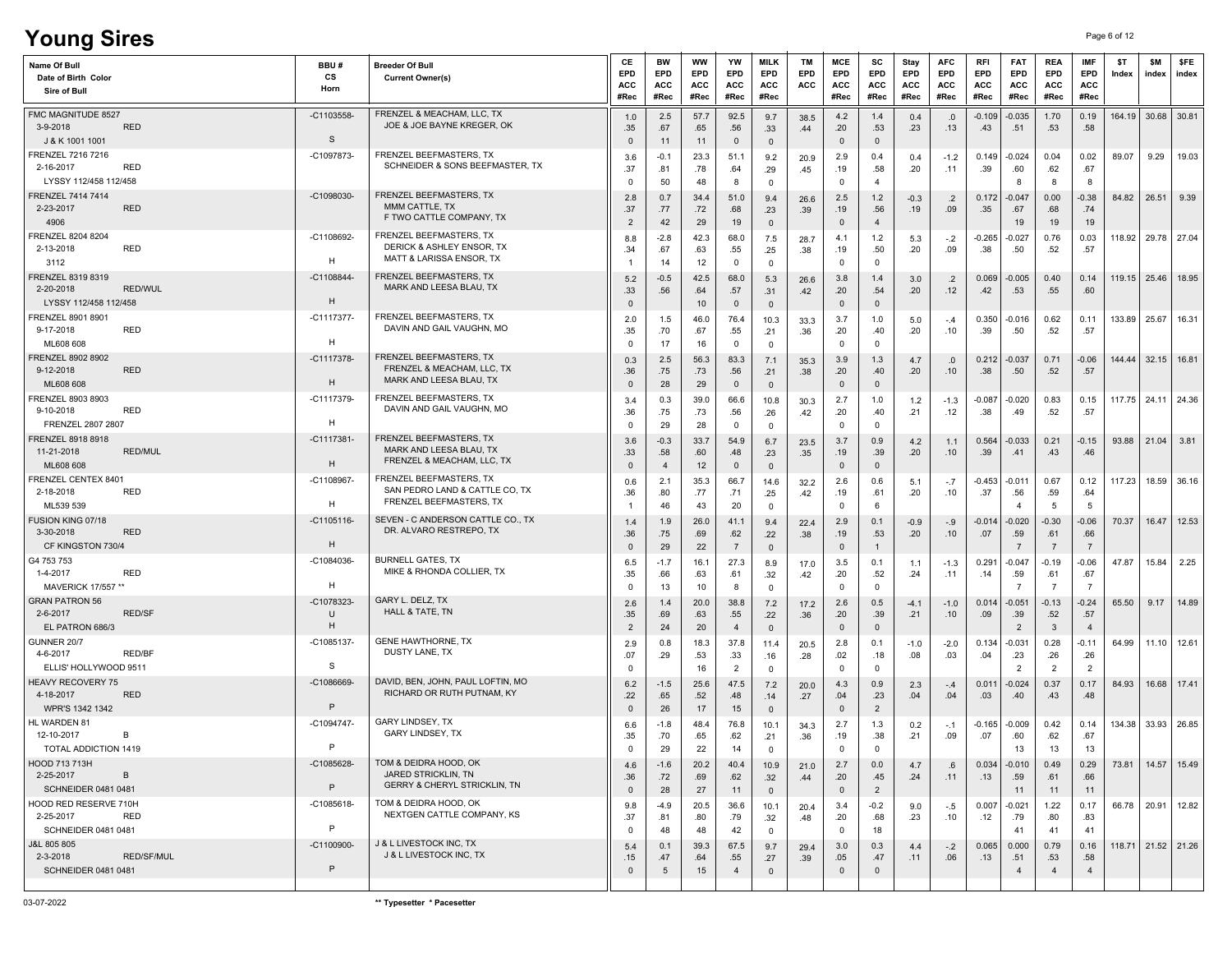# **Young Sires** Page 6 of 12

| Name Of Bull<br>Date of Birth Color<br>Sire of Bull       |                   | BBU#<br>СS<br>Horn          | <b>Breeder Of Bull</b><br><b>Current Owner(s)</b>                                    | СE<br>EPD<br>ACC<br>#Rec     | <b>BW</b><br><b>EPD</b><br>ACC<br>#Rec | ww<br><b>EPD</b><br>ACC<br>#Rec | YW<br><b>EPD</b><br>ACC<br>#Rec | <b>MILK</b><br><b>EPD</b><br>ACC<br>#Rec | TM<br>EPD<br>ACC | MCE<br><b>EPD</b><br>ACC<br>#Rec | SC<br><b>EPD</b><br>ACC<br>#Rec | Stay<br><b>EPD</b><br>ACC<br>#Rec | <b>AFC</b><br><b>EPD</b><br>ACC<br>#Rec | RFI<br>EPD<br>ACC<br>#Rec | <b>FAT</b><br>EPD<br>ACC<br>#Rec  | <b>REA</b><br>EPD<br>ACC<br>#Rec | <b>IMF</b><br>EPD<br>ACC<br>#Rec | \$T<br>Index | \$M<br>index           | \$FE<br>index |
|-----------------------------------------------------------|-------------------|-----------------------------|--------------------------------------------------------------------------------------|------------------------------|----------------------------------------|---------------------------------|---------------------------------|------------------------------------------|------------------|----------------------------------|---------------------------------|-----------------------------------|-----------------------------------------|---------------------------|-----------------------------------|----------------------------------|----------------------------------|--------------|------------------------|---------------|
| FMC MAGNITUDE 8527<br>3-9-2018<br>J & K 1001 1001         | <b>RED</b>        | -C1103558-<br>S             | FRENZEL & MEACHAM, LLC, TX<br>JOE & JOE BAYNE KREGER, OK                             | 1.0<br>.35<br>$\mathbf 0$    | 2.5<br>.67<br>11                       | 57.7<br>.65<br>11               | 92.5<br>.56<br>$\mathbf{0}$     | 9.7<br>.33<br>$\mathbf{0}$               | 38.5<br>.44      | 4.2<br>.20<br>$\Omega$           | 1.4<br>.53<br>$\mathbf{0}$      | 0.4<br>.23                        | .0<br>.13                               | $-0.109$<br>.43           | $-0.035$<br>.51                   | 1.70<br>.53                      | 0.19<br>.58                      | 164.19       | $30.68$ 30.81          |               |
| FRENZEL 7216 7216<br>2-16-2017<br>LYSSY 112/458 112/458   | <b>RED</b>        | -C1097873-                  | FRENZEL BEEFMASTERS, TX<br>SCHNEIDER & SONS BEEFMASTER, TX                           | 3.6<br>.37<br>0              | $-0.1$<br>.81<br>50                    | 23.3<br>.78<br>48               | 51.1<br>.64<br>8                | 9.2<br>.29<br>$\mathbf{0}$               | 20.9<br>.45      | 2.9<br>.19<br>$\Omega$           | 0.4<br>.58<br>$\overline{4}$    | 0.4<br>.20                        | $-1.2$<br>.11                           | 0.149<br>.39              | $-0.024$<br>.60<br>-8             | 0.04<br>.62<br>8                 | 0.02<br>.67<br>8                 | 89.07        | 9.29                   | 19.03         |
| FRENZEL 7414 7414<br>2-23-2017<br>4906                    | <b>RED</b>        | -C1098030-                  | FRENZEL BEEFMASTERS, TX<br>MMM CATTLE, TX<br>F TWO CATTLE COMPANY, TX                | 2.8<br>.37<br>$\overline{2}$ | 0.7<br>.77<br>42                       | 34.4<br>.72<br>29               | 51.0<br>.68<br>19               | 9.4<br>.23<br>$\overline{0}$             | 26.6<br>.39      | 2.5<br>.19<br>$\mathbf 0$        | 1.2<br>.56<br>$\overline{4}$    | $-0.3$<br>.19                     | $\cdot$ .2<br>.09                       | 0.172<br>.35              | -0.047<br>.67<br>19               | 0.00<br>.68<br>19                | $-0.38$<br>.74<br>19             | 84.82        | 26.51                  | 9.39          |
| FRENZEL 8204 8204<br>2-13-2018<br>3112                    | RED               | -C1108692-<br>н             | FRENZEL BEEFMASTERS, TX<br>DERICK & ASHLEY ENSOR, TX<br>MATT & LARISSA ENSOR, TX     | 8.8<br>.34                   | $-2.8$<br>.67<br>14                    | 42.3<br>.63<br>12               | 68.0<br>.55<br>$\mathbf 0$      | 7.5<br>.25<br>$\mathbf 0$                | 28.7<br>.38      | 4.1<br>.19<br>$\Omega$           | 1.2<br>.50<br>$^{\circ}$        | 5.3<br>.20                        | $-.2$<br>.09                            | $-0.265$<br>.38           | $-0.027$<br>.50                   | 0.76<br>.52                      | 0.03<br>.57                      | 118.92       | 29.78 27.04            |               |
| FRENZEL 8319 8319<br>2-20-2018<br>LYSSY 112/458 112/458   | RED/WUL           | $-C1108844-$<br>H           | FRENZEL BEEFMASTERS, TX<br>MARK AND LEESA BLAU, TX                                   | 5.2<br>.33<br>$\mathbf 0$    | $-0.5$<br>.56                          | 42.5<br>.64<br>10               | 68.0<br>.57<br>$\mathbf 0$      | 5.3<br>.31<br>$\mathbf{0}$               | 26.6<br>.42      | 3.8<br>.20<br>$\Omega$           | 1.4<br>.54<br>$\mathsf 0$       | 3.0<br>.20                        | $\cdot$<br>.12                          | 0.069<br>.42              | $-0.005$<br>.53                   | 0.40<br>.55                      | 0.14<br>.60                      | 119.15       | 25.46                  | 18.95         |
| FRENZEL 8901 8901<br>9-17-2018<br>ML608 608               | <b>RED</b>        | -C1117377-<br>н             | FRENZEL BEEFMASTERS, TX<br>DAVIN AND GAIL VAUGHN, MO                                 | 2.0<br>.35<br>0              | 1.5<br>.70<br>17                       | 46.0<br>.67<br>16               | 76.4<br>.55<br>$\mathbf 0$      | 10.3<br>.21<br>$\mathbf{0}$              | 33.3<br>.36      | 3.7<br>.20<br>$\Omega$           | 1.0<br>.40<br>$\Omega$          | 5.0<br>.20                        | $-.4$<br>.10                            | 0.350<br>.39              | -0.016<br>.50                     | 0.62<br>.52                      | 0.11<br>.57                      | 133.89       | 25.67                  | 16.31         |
| FRENZEL 8902 8902<br>9-12-2018<br>ML608 608               | <b>RED</b>        | $-C1117378$<br>Н            | FRENZEL BEEFMASTERS, TX<br>FRENZEL & MEACHAM, LLC, TX<br>MARK AND LEESA BLAU, TX     | 0.3<br>.36<br>$\Omega$       | 2.5<br>.75<br>28                       | 56.3<br>.73<br>29               | 83.3<br>.56<br>$\overline{0}$   | 7.1<br>.21<br>$\mathbf{0}$               | 35.3<br>.38      | 3.9<br>.20<br>$\Omega$           | 1.3<br>.40<br>$\mathbf{0}$      | 4.7<br>.20                        | .0<br>.10                               | 0.212<br>.38              | $-0.037$<br>.50                   | 0.71<br>.52                      | $-0.06$<br>.57                   | 144.44       | 32.15                  | 16.81         |
| FRENZEL 8903 8903<br>9-10-2018<br>FRENZEL 2807 2807       | <b>RED</b>        | -C1117379-<br>н             | FRENZEL BEEFMASTERS. TX<br>DAVIN AND GAIL VAUGHN, MO                                 | 3.4<br>.36<br>0              | 0.3<br>.75<br>29                       | 39.0<br>.73<br>28               | 66.6<br>.56<br>$\mathbf 0$      | 10.8<br>.26<br>$\mathbf{0}$              | 30.3<br>.42      | 2.7<br>.20<br>$\Omega$           | 1.0<br>.40<br>$\Omega$          | 1.2<br>.21                        | $-1.3$<br>.12                           | -0.087<br>.38             | $-0.020$<br>.49                   | 0.83<br>.52                      | 0.15<br>.57                      | 117.75       | 24.11                  | 24.36         |
| FRENZEL 8918 8918<br>11-21-2018<br>ML608 608              | <b>RED/MUL</b>    | $-C1117381$<br>H            | FRENZEL BEEFMASTERS, TX<br>MARK AND LEESA BLAU, TX<br>FRENZEL & MEACHAM, LLC, TX     | 3.6<br>.33<br>$\mathbf 0$    | $-0.3$<br>.58<br>$\overline{4}$        | 33.7<br>.60<br>12               | 54.9<br>.48<br>$\mathbf 0$      | 6.7<br>.23<br>$\mathbf{0}$               | 23.5<br>.35      | 3.7<br>.19<br>$\Omega$           | 0.9<br>.39<br>$\mathbf{0}$      | 4.2<br>.20                        | 1.1<br>.10                              | 0.564<br>.39              | $-0.033$<br>.41                   | 0.21<br>.43                      | $-0.15$<br>.46                   | 93.88        | 21.04                  | 3.81          |
| FRENZEL CENTEX 8401<br>2-18-2018<br>ML539 539             | RED               | $-C1108967$<br>н            | FRENZEL BEEFMASTERS, TX<br>SAN PEDRO LAND & CATTLE CO, TX<br>FRENZEL BEEFMASTERS, TX | 0.6<br>.36                   | 2.1<br>.80<br>46                       | 35.3<br>.77<br>43               | 66.7<br>.71<br>20               | 14.6<br>.25<br>$\mathbf 0$               | 32.2<br>.42      | 2.6<br>.19<br>$\Omega$           | 0.6<br>.61<br>6                 | 5.1<br>.20                        | $-.7$<br>.10                            | $-0.453$<br>.37           | -0.011<br>.56<br>4                | 0.67<br>.59<br>-5                | 0.12<br>.64<br>-5                | 117.23       | 18.59                  | 36.16         |
| FUSION KING 07/18<br>3-30-2018<br>CF KINGSTON 730/4       | <b>RED</b>        | $-C1105116$<br>H            | SEVEN - C ANDERSON CATTLE CO., TX<br>DR. ALVARO RESTREPO, TX                         | 1.4<br>.36<br>$\mathbf 0$    | 1.9<br>.75<br>29                       | 26.0<br>.69<br>22               | 41.1<br>.62<br>$\overline{7}$   | 9.4<br>.22<br>$\mathbf{0}$               | 22.4<br>.38      | 2.9<br>.19<br>$\mathbf 0$        | 0.1<br>.53<br>$\mathbf{1}$      | $-0.9$<br>.20                     | -.9<br>.10                              | $-0.014$<br>.07           | $-0.020$<br>.59                   | $-0.30$<br>.61<br>$\overline{7}$ | $-0.06$<br>.66<br>-7             | 70.37        | 16.47                  | 12.53         |
| G4 753 753<br>1-4-2017<br>MAVERICK 17/557 **              | RED               | -C1084036-<br>н             | BURNELL GATES, TX<br>MIKE & RHONDA COLLIER, TX                                       | 6.5<br>.35<br>0              | $-1.7$<br>.66<br>13                    | 16.1<br>.63<br>10               | 27.3<br>.61<br>8                | 8.9<br>.32<br>$\mathbf 0$                | 17.0<br>.42      | 3.5<br>.20<br>$\Omega$           | 0.1<br>.52<br>$\Omega$          | 1.1<br>.24                        | $-1.3$<br>.11                           | 0.291<br>.14              | $-0.047$<br>.59<br>$\overline{7}$ | -0.19<br>.61<br>$\overline{7}$   | $-0.06$<br>.67<br>$\overline{7}$ | 47.87        | 15.84                  | 2.25          |
| <b>GRAN PATRON 56</b><br>2-6-2017<br>EL PATRON 686/3      | <b>RED/SF</b>     | -C1078323-<br>U<br>Н        | GARY L. DELZ, TX<br>HALL & TATE, TN                                                  | 2.6<br>.35<br>$\overline{2}$ | 1.4<br>.69<br>24                       | 20.0<br>.63<br>20               | 38.8<br>.55<br>$\overline{4}$   | 7.2<br>.22<br>$\mathbf{0}$               | 17.2<br>.36      | 2.6<br>.20<br>$\mathbf 0$        | 0.5<br>.39<br>$\mathbf 0$       | $-4.1$<br>.21                     | $-1.0$<br>.10                           | 0.014<br>.09              | $-0.051$<br>.39<br>$\overline{2}$ | $-0.13$<br>.52<br>$\mathbf{3}$   | $-0.24$<br>.57<br>$\overline{4}$ | 65.50        | 9.17                   | 14.89         |
| GUNNER 20/7<br>4-6-2017<br>ELLIS' HOLLYWOOD 9511          | <b>RED/BF</b>     | -C1085137-<br>s             | <b>GENE HAWTHORNE, TX</b><br>DUSTY LANE, TX                                          | 2.9<br>.07<br>0              | 0.8<br>.29                             | 18.3<br>.53<br>16               | 37.8<br>.33<br>$\overline{2}$   | 11.4<br>.16<br>$^{\circ}$                | 20.5<br>.28      | 2.8<br>.02<br>$\Omega$           | 0.1<br>.18<br>$\Omega$          | $-1.0$<br>.08                     | $-2.0$<br>.03                           | 0.134<br>.04              | $-0.031$<br>.23<br>$\overline{2}$ | 0.28<br>.26<br>$\overline{2}$    | $-0.11$<br>.26<br>$\overline{2}$ | 64.99        | 11.10                  | 12.61         |
| <b>HEAVY RECOVERY 75</b><br>4-18-2017<br>WPR'S 1342 1342  | <b>RED</b>        | -C1086669-<br>P             | DAVID, BEN, JOHN, PAUL LOFTIN, MO<br>RICHARD OR RUTH PUTNAM, KY                      | 6.2<br>.22<br>$\Omega$       | $-1.5$<br>.65<br>26                    | 25.6<br>.52<br>17               | 47.5<br>.48<br>15               | 7.2<br>.14<br>$\mathbf{0}$               | 20.0<br>.27      | 4.3<br>.04<br>$\Omega$           | 0.9<br>.23<br>$\overline{2}$    | 2.3<br>.04                        | $-.4$<br>.04                            | 0.011<br>.03              | -0.024<br>.40                     | 0.37<br>.43                      | 0.17<br>.48                      | 84.93        | 16.68 17.41            |               |
| HL WARDEN 81<br>12-10-2017<br>TOTAL ADDICTION 1419        | B                 | -C1094747-<br>P             | GARY LINDSEY, TX<br><b>GARY LINDSEY, TX</b>                                          | 6.6<br>.35                   | $-1.8$<br>.70<br>29                    | 48.4<br>.65<br>22               | 76.8<br>.62<br>14               | 10.1<br>.21<br>$\Omega$                  | 34.3<br>.36      | 2.7<br>.19                       | 1.3<br>.38                      | 0.2<br>.21                        | $-.1$<br>.09                            | -0.165<br>.07             | $-0.009$<br>.60<br>13             | 0.42<br>.62<br>13                | 0.14<br>.67<br>13                | 134.38       | 33.93                  | 26.85         |
| HOOD 713 713H<br>2-25-2017<br><b>SCHNEIDER 0481 0481</b>  | B                 | $-C1085628-$<br>P           | TOM & DEIDRA HOOD, OK<br>JARED STRICKLIN, TN<br>GERRY & CHERYL STRICKLIN, TN         | 4.6<br>.36<br>$\mathbf{0}$   | $-1.6$<br>.72<br>28                    | 20.2<br>.69<br>27               | 40.4<br>.62<br>11               | 10.9<br>.32<br>$\mathbf{0}$              | 21.0<br>.44      | 2.7<br>.20<br>$\mathbf 0$        | 0.0<br>.45<br>$\overline{2}$    | 4.7<br>.24                        | .6<br>.11                               | 0.034<br>.13              | $-0.010$<br>.59<br>11             | 0.49<br>.61<br>11                | 0.29<br>.66<br>11                | 73.81        |                        | 14.57 15.49   |
| HOOD RED RESERVE 710H<br>2-25-2017<br>SCHNEIDER 0481 0481 | <b>RED</b>        | $-C1085618-$<br>$\mathsf P$ | TOM & DEIDRA HOOD, OK<br>NEXTGEN CATTLE COMPANY, KS                                  | 9.8<br>.37<br>$\mathbf{0}$   | $-4.9$<br>.81<br>48                    | 20.5<br>.80<br>48               | 36.6<br>.79<br>42               | 10.1<br>.32<br>$\mathbf 0$               | 20.4<br>.48      | 3.4<br>.20<br>0                  | $-0.2$<br>.68<br>18             | 9.0<br>.23                        | $-.5$<br>.10                            | 0.007<br>.12              | $-0.021$<br>.79<br>41             | 1.22<br>.80<br>41                | 0.17<br>.83<br>41                |              | 66.78 20.91 12.82      |               |
| J&L 805 805<br>2-3-2018<br>SCHNEIDER 0481 0481            | <b>RED/SF/MUL</b> | $-C1100900-$<br>P           | J & L LIVESTOCK INC, TX<br><b>J &amp; L LIVESTOCK INC. TX</b>                        | 5.4<br>.15<br>0              | 0.1<br>.47<br>$5\phantom{.0}$          | 39.3<br>.64<br>15               | 67.5<br>.55<br>$\overline{4}$   | 9.7<br>.27<br>$\mathbf 0$                | 29.4<br>.39      | 3.0<br>.05<br>$\mathbf{0}$       | 0.3<br>.47<br>$\mathbf 0$       | 4.4<br>.11                        | $-.2$<br>.06                            | 0.065<br>.13              | 0.000<br>.51<br>$\overline{4}$    | 0.79<br>.53<br>$\overline{4}$    | 0.16<br>.58<br>$\overline{4}$    |              | 118.71   21.52   21.26 |               |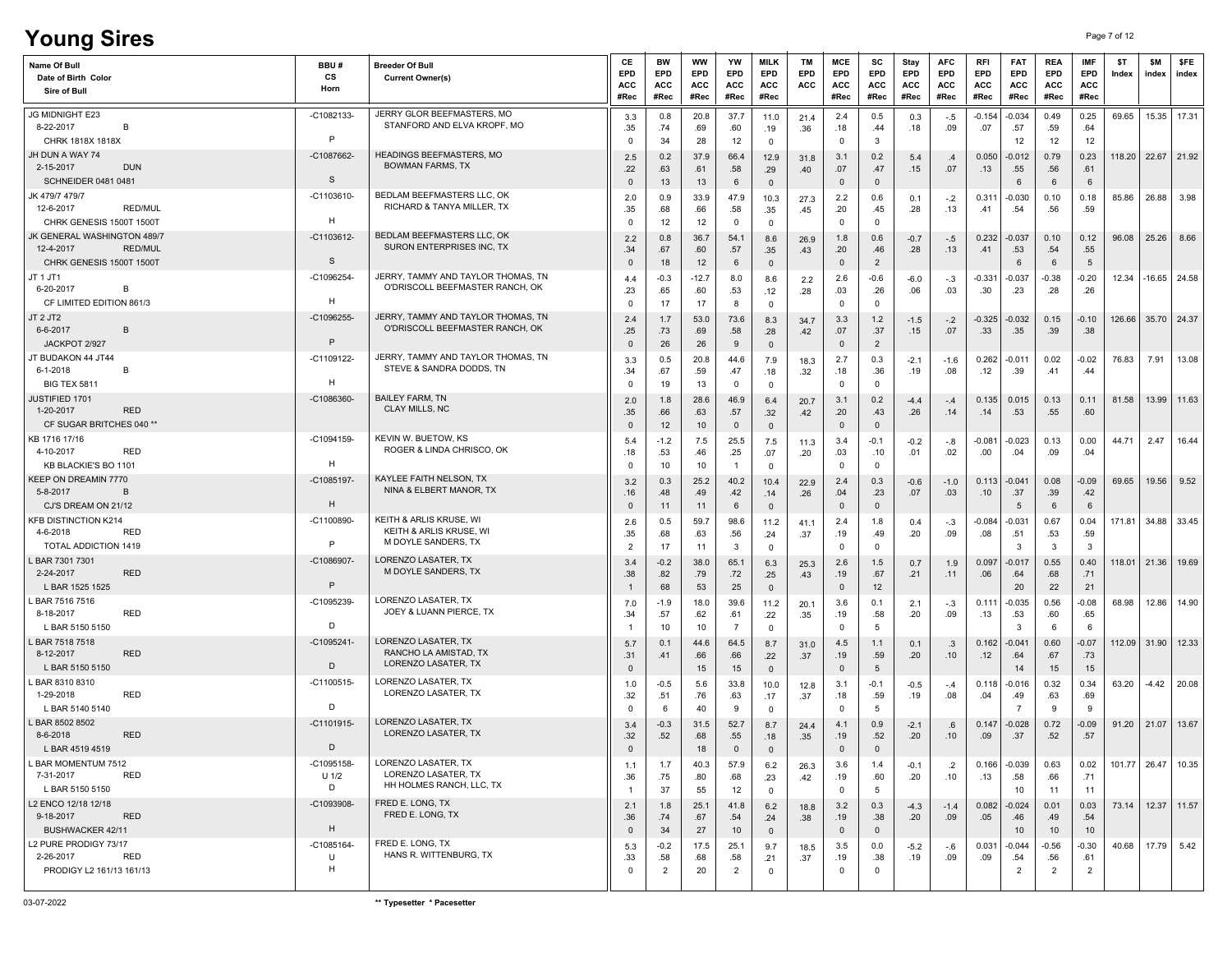# **Young Sires** Page 7 of 12

| Name Of Bull<br>Date of Birth Color<br>Sire of Bull                                          | BBU#<br>cs<br>Horn         | <b>Breeder Of Bull</b><br><b>Current Owner(s)</b>                         | CE<br>EPD<br>ACC<br>#Rec                | BW<br>EPD<br><b>ACC</b><br>#Rec | ww<br>EPD<br>ACC<br>#Rec | YW<br>EPD<br>ACC<br>#Rec         | <b>MILK</b><br>EPD<br>ACC<br>#Rec                        | ТM<br><b>EPD</b><br>ACC | MCE<br>EPD<br>ACC<br>#Rec                 | SC<br>EPD<br>ACC<br>#Rec                   | Stay<br>EPD<br>ACC<br>#Rec | <b>AFC</b><br>EPD<br>ACC<br>#Rec | RFI<br>EPD<br><b>ACC</b><br>#Rec | <b>FAT</b><br>EPD<br>ACC<br>#Rec  | REA<br>EPD<br>ACC<br>#Rec | <b>IMF</b><br>EPD<br><b>ACC</b><br>#Rec | \$T<br>Index | \$M<br>index           | \$FE<br>index          |
|----------------------------------------------------------------------------------------------|----------------------------|---------------------------------------------------------------------------|-----------------------------------------|---------------------------------|--------------------------|----------------------------------|----------------------------------------------------------|-------------------------|-------------------------------------------|--------------------------------------------|----------------------------|----------------------------------|----------------------------------|-----------------------------------|---------------------------|-----------------------------------------|--------------|------------------------|------------------------|
| JG MIDNIGHT E23<br>8-22-2017<br>B                                                            | $-C1082133$                | JERRY GLOR BEEFMASTERS, MO<br>STANFORD AND ELVA KROPF, MO                 | 3.3<br>.35                              | 0.8<br>.74                      | 20.8<br>.69              | 37.7<br>.60                      | 11.0<br>.19                                              | 21.4<br>.36             | 2.4<br>.18                                | 0.5<br>.44                                 | 0.3<br>.18                 | $-.5$<br>.09                     | $-0.154$<br>.07                  | $-0.034$<br>.57                   | 0.49<br>.59               | 0.25<br>.64                             | 69.65        |                        | 15.35 17.31            |
| CHRK 1818X 1818X<br>JH DUN A WAY 74<br><b>DUN</b><br>2-15-2017<br><b>SCHNEIDER 0481 0481</b> | P<br>-C1087662-<br>S       | HEADINGS BEEFMASTERS, MO<br><b>BOWMAN FARMS, TX</b>                       | 0<br>2.5<br>.22<br>$\mathbf{0}$         | 34<br>0.2<br>.63<br>13          | 28<br>37.9<br>.61<br>13  | 12<br>66.4<br>.58<br>6           | $\overline{0}$<br>12.9<br>.29<br>$\overline{\mathbf{0}}$ | 31.8<br>.40             | $\mathbf 0$<br>3.1<br>.07<br>$\mathbf{0}$ | -3<br>0.2<br>.47<br>$\mathbf{0}$           | 5.4<br>.15                 | .4<br>.07                        | 0.050<br>.13                     | 12<br>-0.012<br>.55<br>6          | 12<br>0.79<br>.56<br>6    | 12<br>0.23<br>.61<br>6                  |              | 118.20   22.67   21.92 |                        |
| JK 479/7 479/7<br>12-6-2017<br><b>RED/MUL</b><br>CHRK GENESIS 1500T 1500T                    | $-C1103610$<br>H           | BEDLAM BEEFMASTERS LLC, OK<br>RICHARD & TANYA MILLER, TX                  | 2.0<br>.35                              | 0.9<br>.68                      | 33.9<br>.66              | 47.9<br>.58                      | 10.3<br>.35                                              | 27.3<br>.45             | 2.2<br>.20                                | 0.6<br>.45                                 | 0.1<br>.28                 | $-.2$<br>.13                     | 0.311<br>.41                     | $-0.030$<br>.54                   | 0.10<br>.56               | 0.18<br>.59                             | 85.86        | 26.88                  | 3.98                   |
| JK GENERAL WASHINGTON 489/7<br>12-4-2017<br><b>RED/MUL</b><br>CHRK GENESIS 1500T 1500T       | -C1103612-<br>S            | BEDLAM BEEFMASTERS LLC, OK<br>SURON ENTERPRISES INC, TX                   | $^{\circ}$<br>2.2<br>.34<br>$\mathbf 0$ | 12<br>0.8<br>.67<br>18          | 12<br>36.7<br>.60<br>12  | $\mathbf{0}$<br>54.1<br>.57<br>6 | $\overline{0}$<br>8.6<br>.35<br>$\overline{0}$           | 26.9<br>.43             | $\mathbf 0$<br>1.8<br>.20<br>$\mathbf{0}$ | $^{\circ}$<br>0.6<br>.46<br>$\overline{2}$ | $-0.7$<br>.28              | $-.5$<br>.13                     | 0.232<br>.41                     | $-0.037$<br>.53<br>6              | 0.10<br>.54<br>6          | 0.12<br>.55<br>$5\overline{5}$          | 96.08        | 25.26                  | 8.66                   |
| JT 1 JT1<br>6-20-2017<br>B<br>CF LIMITED EDITION 861/3                                       | -C1096254-<br>H            | JERRY, TAMMY AND TAYLOR THOMAS, TN<br>O'DRISCOLL BEEFMASTER RANCH, OK     | 4.4<br>.23<br>$^{\circ}$                | $-0.3$<br>.65<br>17             | $-12.7$<br>.60<br>17     | 8.0<br>.53<br>8                  | 8.6<br>.12<br>$\overline{\mathbf{0}}$                    | 2.2<br>.28              | 2.6<br>.03<br>$\mathbf{0}$                | $-0.6$<br>.26<br>$\mathbf 0$               | -6.0<br>.06                | $-.3$<br>.03                     | $-0.331$<br>.30                  | $-0.037$<br>.23                   | $-0.38$<br>.28            | $-0.20$<br>.26                          | 12.34        |                        | $-16.65$ 24.58         |
| JT 2 JT2<br>6-6-2017<br>B<br>JACKPOT 2/927                                                   | -C1096255-<br>P            | JERRY, TAMMY AND TAYLOR THOMAS, TN<br>O'DRISCOLL BEEFMASTER RANCH, OK     | 2.4<br>.25<br>$\mathbf{0}$              | 1.7<br>.73<br>26                | 53.0<br>.69<br>26        | 73.6<br>.58<br>9                 | 8.3<br>.28<br>$\overline{\mathbf{0}}$                    | 34.7<br>.42             | 3.3<br>.07<br>$\overline{0}$              | 1.2<br>.37<br>$\overline{2}$               | $-1.5$<br>.15              | $-.2$<br>.07                     | -0.325<br>.33                    | $-0.032$<br>.35                   | 0.15<br>.39               | $-0.10$<br>.38                          |              | 126.66 35.70 24.37     |                        |
| JT BUDAKON 44 JT44<br>6-1-2018<br>B<br><b>BIG TEX 5811</b>                                   | -C1109122-<br>н            | JERRY, TAMMY AND TAYLOR THOMAS, TN<br>STEVE & SANDRA DODDS, TN            | 3.3<br>.34<br>0                         | 0.5<br>.67<br>19                | 20.8<br>.59<br>13        | 44.6<br>.47<br>$\mathbf 0$       | 7.9<br>.18<br>$\overline{0}$                             | 18.3<br>.32             | 2.7<br>.18<br>$\mathbf 0$                 | 0.3<br>.36<br>$\mathbf 0$                  | $-2.1$<br>.19              | $-1.6$<br>.08                    | 0.262<br>.12                     | $-0.011$<br>.39                   | 0.02<br>.41               | $-0.02$<br>.44                          | 76.83        | 7.91                   | 13.08                  |
| JUSTIFIED 1701<br>1-20-2017<br><b>RED</b><br>CF SUGAR BRITCHES 040 **                        | $-C1086360$                | <b>BAILEY FARM, TN</b><br><b>CLAY MILLS, NC</b>                           | 2.0<br>.35<br>$\mathbf{0}$              | 1.8<br>.66<br>12                | 28.6<br>.63<br>10        | 46.9<br>.57<br>$\mathbf 0$       | 6.4<br>.32<br>$\overline{\mathbf{0}}$                    | 20.7<br>.42             | 3.1<br>.20<br>$\overline{0}$              | 0.2<br>.43<br>$\mathbf 0$                  | $-4.4$<br>.26              | $-.4$<br>.14                     | 0.135<br>.14                     | 0.015<br>.53                      | 0.13<br>.55               | 0.11<br>.60                             | 81.58        |                        | 13.99 11.63            |
| KB 1716 17/16<br>4-10-2017<br>RED<br>KB BLACKIE'S BO 1101                                    | -C1094159-<br>H            | KEVIN W. BUETOW, KS<br>ROGER & LINDA CHRISCO, OK                          | 5.4<br>.18<br>$\mathbf 0$               | $-1.2$<br>.53<br>10             | 7.5<br>.46<br>10         | 25.5<br>.25<br>$\overline{1}$    | 7.5<br>.07<br>$\overline{0}$                             | 11.3<br>.20             | 3.4<br>.03<br>$\mathbf 0$                 | $-0.1$<br>.10<br>$^{\circ}$                | $-0.2$<br>.01              | -.8<br>.02                       | $-0.081$<br>.00                  | $-0.023$<br>.04                   | 0.13<br>.09               | 0.00<br>.04                             | 44.71        | 2.47                   | 16.44                  |
| KEEP ON DREAMIN 7770<br>5-8-2017<br>B<br>CJ'S DREAM ON 21/12                                 | $-C1085197$<br>H           | KAYLEE FAITH NELSON, TX<br>NINA & ELBERT MANOR, TX                        | 3.2<br>.16<br>$\mathbf 0$               | 0.3<br>.48<br>11                | 25.2<br>.49<br>11        | 40.2<br>.42<br>6                 | 10.4<br>.14<br>$\overline{\mathbf{0}}$                   | 22.9<br>.26             | 2.4<br>.04<br>$\mathbf 0$                 | 0.3<br>.23<br>$\mathbf{0}$                 | $-0.6$<br>.07              | $-1.0$<br>.03                    | 0.113<br>.10                     | $-0.041$<br>.37<br>5              | 0.08<br>.39<br>6          | $-0.09$<br>.42<br>6                     | 69.65        | 19.56                  | 9.52                   |
| <b>KFB DISTINCTION K214</b><br>4-6-2018<br>RED<br>TOTAL ADDICTION 1419                       | $-C1100890$<br>P           | KEITH & ARLIS KRUSE, WI<br>KEITH & ARLIS KRUSE, WI<br>M DOYLE SANDERS, TX | 2.6<br>.35<br>$\overline{2}$            | 0.5<br>.68<br>17                | 59.7<br>.63<br>11        | 98.6<br>.56<br>3                 | 11.2<br>.24<br>$\mathbf 0$                               | 41.1<br>.37             | 2.4<br>.19<br>$\Omega$                    | 1.8<br>.49<br>$\mathbf 0$                  | 0.4<br>.20                 | $-.3$<br>.09                     | -0.084<br>.08                    | $-0.031$<br>.51<br>3              | 0.67<br>.53<br>3          | 0.04<br>.59<br>$\mathbf{3}$             | 171.81       |                        | 34.88 33.45            |
| L BAR 7301 7301<br>2-24-2017<br><b>RED</b><br>L BAR 1525 1525                                | $-C1086907$<br>P           | LORENZO LASATER, TX<br>M DOYLE SANDERS, TX                                | 3.4<br>.38<br>-1                        | $-0.2$<br>.82<br>68             | 38.0<br>.79<br>53        | 65.1<br>.72<br>25                | 6.3<br>.25<br>$\overline{\mathbf{0}}$                    | 25.3<br>.43             | 2.6<br>.19<br>$\mathbf 0$                 | 1.5<br>.67<br>12                           | 0.7<br>.21                 | 1.9<br>.11                       | 0.097<br>.06                     | -0.017<br>.64<br>20               | 0.55<br>.68<br>22         | 0.40<br>.71<br>21                       | 118.01       | 21.36 19.69            |                        |
| L BAR 7516 7516<br>8-18-2017<br><b>RED</b><br>L BAR 5150 5150                                | -C1095239<br>D             | LORENZO LASATER, TX<br>JOEY & LUANN PIERCE, TX                            | 7.0<br>.34                              | $-1.9$<br>.57<br>10             | 18.0<br>.62<br>10        | 39.6<br>.61<br>$\overline{7}$    | 11.2<br>.22<br>$\mathbf 0$                               | 20.1<br>.35             | 3.6<br>.19<br>$\mathbf 0$                 | 0.1<br>.58<br>5                            | 2.1<br>.20                 | $-.3$<br>.09                     | 0.111<br>.13                     | $-0.035$<br>.53<br>3              | 0.56<br>.60<br>-6         | $-0.08$<br>.65<br>-6                    | 68.98        |                        | 12.86 14.90            |
| L BAR 7518 7518<br>8-12-2017<br><b>RED</b><br>L BAR 5150 5150                                | $-C1095241-$<br>D          | LORENZO LASATER, TX<br>RANCHO LA AMISTAD, TX<br>LORENZO LASATER, TX       | 5.7<br>.31<br>$\mathbf 0$               | 0.1<br>.41                      | 44.6<br>.66<br>15        | 64.5<br>.66<br>15                | 8.7<br>.22<br>$\overline{\mathbf{0}}$                    | 31.0<br>.37             | 4.5<br>.19<br>$\overline{0}$              | 1.1<br>.59<br>$5\phantom{.0}$              | 0.1<br>.20                 | .3<br>.10                        | 0.162<br>.12                     | -0.041<br>.64<br>14               | 0.60<br>.67<br>15         | $-0.07$<br>.73<br>15                    |              | 112.09 31.90 12.33     |                        |
| L BAR 8310 8310<br>1-29-2018<br>RED<br>L BAR 5140 5140                                       | -C1100515-<br>D            | LORENZO LASATER, TX<br>LORENZO LASATER, TX                                | 1.0<br>.32<br>0                         | $-0.5$<br>.51<br>-6             | 5.6<br>.76<br>40         | 33.8<br>.63<br>9                 | 10.0<br>.17<br>$\mathbf{0}$                              | 12.8<br>.37             | 3.1<br>.18<br>$\mathbf 0$                 | $-0.1$<br>.59<br>5                         | $-0.5$<br>.19              | $-.4$<br>.08                     | 0.118<br>.04                     | -0.016<br>.49<br>-7               | 0.32<br>.63<br>9          | 0.34<br>.69<br>-9                       | 63.20        | $-4.42$                | 20.08                  |
| BAR 8502 8502<br>8-6-2018<br><b>RED</b><br>L BAR 4519 4519                                   | $-C1101915$<br>D           | <b>LORENZO LASATER. TX</b><br>LORENZO LASATER, TX                         | 3.4<br>.32                              | $-0.3$<br>.52                   | 31.5<br>.68<br>18        | 52.7<br>.55<br>$\Omega$          | 8.7<br>.18<br>$\mathbf 0$                                | 24.4<br>.35             | 4.1<br>.19<br>$\Omega$                    | 0.9<br>.52<br>$\Omega$                     | $-2.1$<br>.20              | .6<br>.10                        | 0.147<br>.09                     | $-0.028$<br>.37                   | 0.72<br>.52               | $-0.09$<br>.57                          | 91.20        | 21.07   13.67          |                        |
| L BAR MOMENTUM 7512<br>7-31-2017<br>RED<br>L BAR 5150 5150                                   | -C1095158-<br>$U$ 1/2<br>D | LORENZO LASATER, TX<br>LORENZO LASATER, TX<br>HH HOLMES RANCH, LLC, TX    | 1.1<br>.36<br>-1                        | 1.7<br>.75<br>37                | 40.3<br>.80<br>55        | 57.9<br>.68<br>12                | 6.2<br>.23<br>$\mathbf 0$                                | 26.3<br>.42             | 3.6<br>.19<br>$\mathbf{0}$                | 1.4<br>.60<br>5                            | $-0.1$<br>.20              | $\cdot$ .2<br>.10                | 0.166<br>.13                     | $-0.039$<br>.58<br>10             | 0.63<br>.66<br>11         | 0.02<br>.71<br>11                       |              |                        | 101.77   26.47   10.35 |
| L2 ENCO 12/18 12/18<br>9-18-2017<br><b>RED</b><br>BUSHWACKER 42/11                           | -C1093908-<br>H            | FRED E. LONG, TX<br>FRED E. LONG. TX                                      | 2.1<br>.36<br>$\mathbf 0$               | 1.8<br>.74<br>34                | 25.1<br>.67<br>27        | 41.8<br>.54<br>10                | 6.2<br>.24<br>$\overline{0}$                             | 18.8<br>.38             | 3.2<br>.19<br>$\overline{0}$              | 0.3<br>.38<br>$\mathbf 0$                  | $-4.3$<br>.20              | $-1.4$<br>.09                    | 0.082<br>.05                     | $-0.024$<br>.46<br>10             | 0.01<br>.49<br>10         | 0.03<br>.54<br>10                       |              | 73.14   12.37   11.57  |                        |
| L2 PURE PRODIGY 73/17<br>2-26-2017<br>RED<br>PRODIGY L2 161/13 161/13                        | $-C1085164$<br>U<br>H      | FRED E. LONG, TX<br>HANS R. WITTENBURG, TX                                | 5.3<br>.33<br>$\Omega$                  | $-0.2$<br>.58<br>$\overline{2}$ | 17.5<br>.68<br>20        | 25.1<br>.58<br>$\overline{2}$    | 9.7<br>.21<br>$\mathbf 0$                                | 18.5<br>.37             | 3.5<br>.19<br>$\mathbf 0$                 | 0.0<br>.38<br>$\mathbf 0$                  | $-5.2$<br>.19              | $-.6$<br>.09                     | 0.031<br>.09                     | $-0.044$<br>.54<br>$\overline{2}$ | $-0.56$<br>.56<br>2       | $-0.30$<br>.61<br>$\overline{2}$        |              | 40.68   17.79   5.42   |                        |
|                                                                                              |                            |                                                                           |                                         |                                 |                          |                                  |                                                          |                         |                                           |                                            |                            |                                  |                                  |                                   |                           |                                         |              |                        |                        |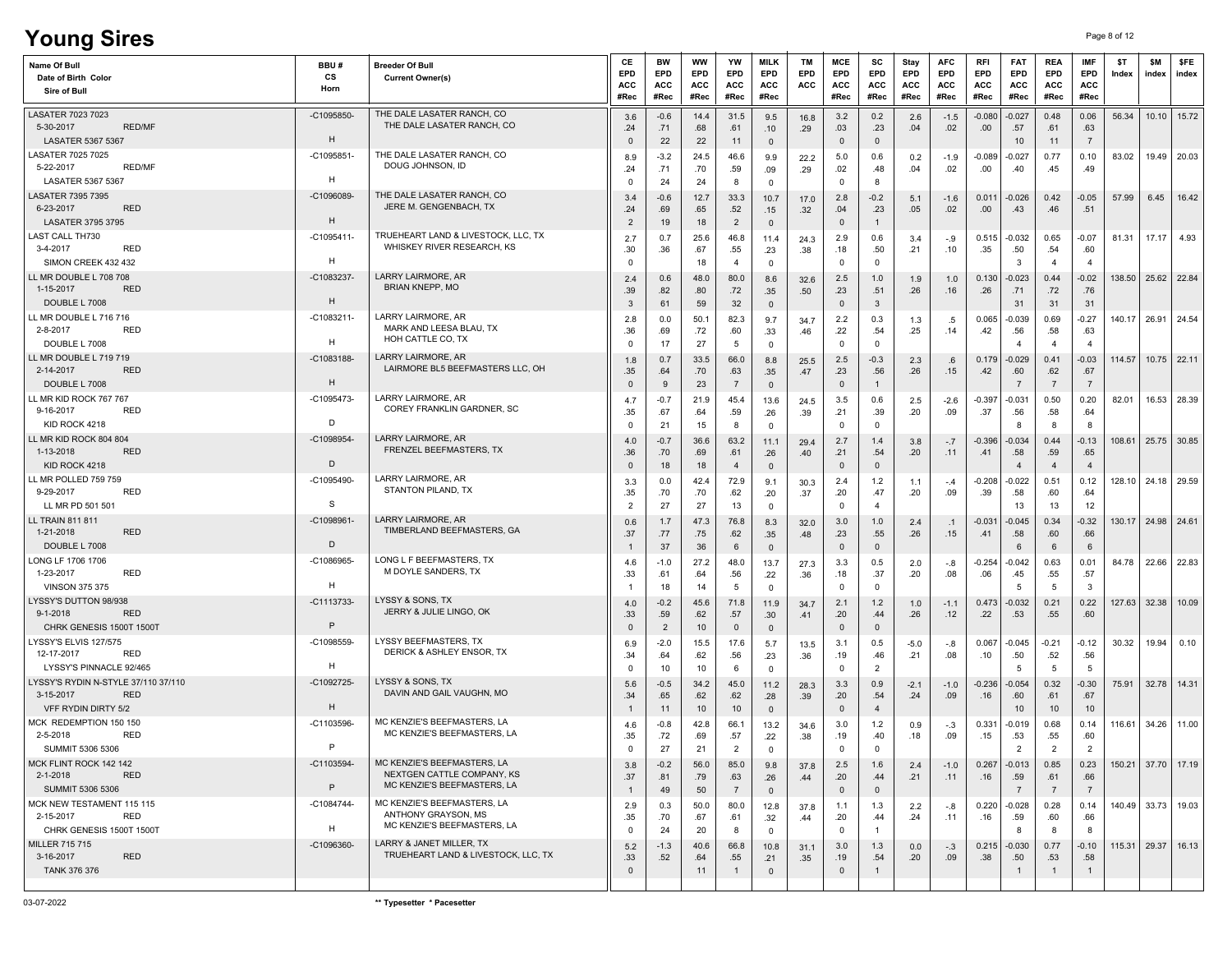# **Young Sires** Page 8 of 12

| <b>Name Of Bull</b><br>Date of Birth Color<br>Sire of Bull                            | BBU#<br>CS<br>Horn | <b>Breeder Of Bull</b><br><b>Current Owner(s)</b>                                        | СE<br>EPD<br>ACC<br>#Rec     | <b>BW</b><br>EPD<br><b>ACC</b><br>#Rec | <b>WW</b><br>EPD<br>ACC<br>#Rec | YW<br><b>EPD</b><br><b>ACC</b><br>#Rec | <b>MILK</b><br><b>EPD</b><br>ACC<br>#Rec | TM<br>EPD<br>ACC | MCE<br>EPD<br>ACC<br>#Rec    | SC<br><b>EPD</b><br>ACC<br>#Rec | Stay<br><b>EPD</b><br>ACC<br>#Rec | <b>AFC</b><br><b>EPD</b><br>ACC<br>#Rec | RFI<br>EPD<br>ACC<br>#Rec | <b>FAT</b><br>EPD<br>ACC<br>#Rec  | <b>REA</b><br><b>EPD</b><br><b>ACC</b><br>#Rec | <b>IMF</b><br>EPD<br>ACC<br>#Rec | \$T<br>Index       | \$M<br>index  | \$FE<br>index |
|---------------------------------------------------------------------------------------|--------------------|------------------------------------------------------------------------------------------|------------------------------|----------------------------------------|---------------------------------|----------------------------------------|------------------------------------------|------------------|------------------------------|---------------------------------|-----------------------------------|-----------------------------------------|---------------------------|-----------------------------------|------------------------------------------------|----------------------------------|--------------------|---------------|---------------|
| LASATER 7023 7023<br>5-30-2017<br><b>RED/MF</b><br><b>LASATER 5367 5367</b>           | $-C1095850$<br>H   | THE DALE LASATER RANCH, CO<br>THE DALE LASATER RANCH, CO                                 | 3.6<br>.24<br>$\Omega$       | $-0.6$<br>.71<br>22                    | 14.4<br>.68<br>22               | 31.5<br>.61<br>11                      | 9.5<br>.10<br>$\mathbf 0$                | 16.8<br>.29      | 3.2<br>.03<br>$\mathbf{0}$   | 0.2<br>.23<br>$\mathbf{0}$      | 2.6<br>.04                        | $-1.5$<br>.02                           | $-0.080$<br>.00           | $-0.027$<br>.57<br>10             | 0.48<br>.61<br>11                              | 0.06<br>.63<br>$\overline{7}$    | 56.34              |               | $10.10$ 15.72 |
| LASATER 7025 7025<br>5-22-2017<br>RED/MF<br>LASATER 5367 5367                         | $-C1095851$<br>н   | THE DALE LASATER RANCH, CO<br>DOUG JOHNSON, ID                                           | 8.9<br>.24<br>0              | $-3.2$<br>.71<br>24                    | 24.5<br>.70<br>24               | 46.6<br>.59<br>8                       | 9.9<br>.09<br>$\mathbf 0$                | 22.2<br>.29      | 5.0<br>.02<br>$\mathbf 0$    | 0.6<br>.48<br>8                 | 0.2<br>.04                        | $-1.9$<br>.02                           | -0.089<br>.00             | -0.027<br>.40                     | 0.77<br>.45                                    | 0.10<br>.49                      | 83.02              |               | 19.49 20.03   |
| <b>LASATER 7395 7395</b><br>6-23-2017<br>RED<br><b>LASATER 3795 3795</b>              | -C1096089<br>H     | THE DALE LASATER RANCH, CO<br>JERE M. GENGENBACH, TX                                     | 3.4<br>.24<br>$\overline{2}$ | $-0.6$<br>.69<br>19                    | 12.7<br>.65<br>18               | 33.3<br>.52<br>$\overline{2}$          | 10.7<br>.15<br>$\mathbf 0$               | 17.0<br>.32      | 2.8<br>.04<br>$\mathbf 0$    | $-0.2$<br>.23<br>$\overline{1}$ | 5.1<br>.05                        | $-1.6$<br>.02                           | 0.011<br>.00              | $-0.026$<br>.43                   | 0.42<br>.46                                    | $-0.05$<br>.51                   | 57.99              | 6.45          | 16.42         |
| <b>LAST CALL TH730</b><br>3-4-2017<br><b>RED</b><br>SIMON CREEK 432 432               | $-C1095411$<br>H   | TRUEHEART LAND & LIVESTOCK, LLC, TX<br>WHISKEY RIVER RESEARCH, KS                        | 2.7<br>.30<br>$\Omega$       | 0.7<br>.36                             | 25.6<br>.67<br>18               | 46.8<br>.55<br>$\overline{a}$          | 11.4<br>.23<br>$\mathbf 0$               | 24.3<br>.38      | 2.9<br>.18<br>$\mathbf 0$    | 0.6<br>.50<br>$^{\circ}$        | 3.4<br>.21                        | -.9<br>.10                              | 0.515<br>.35              | $-0.032$<br>.50<br>3              | 0.65<br>.54<br>$\overline{4}$                  | $-0.07$<br>.60<br>$\overline{a}$ | 81.31              | 17.17         | 4.93          |
| LL MR DOUBLE L 708 708<br>1-15-2017<br><b>RED</b><br>DOUBLE L 7008                    | -C1083237-<br>H    | <b>LARRY LAIRMORE, AR</b><br><b>BRIAN KNEPP, MO</b>                                      | 2.4<br>.39<br>3              | 0.6<br>.82<br>61                       | 48.0<br>.80<br>59               | 80.0<br>.72<br>32                      | 8.6<br>.35<br>$\mathbf{0}$               | 32.6<br>.50      | 2.5<br>.23<br>$\mathbf 0$    | 1.0<br>.51<br>$\mathbf{3}$      | 1.9<br>.26                        | 1.0<br>.16                              | 0.130<br>.26              | $-0.023$<br>.71<br>31             | 0.44<br>.72<br>31                              | $-0.02$<br>.76<br>31             | 138.50             | 25.62 22.84   |               |
| LL MR DOUBLE L 716 716<br><b>RED</b><br>2-8-2017<br>DOUBLE L 7008                     | $-C1083211$<br>H   | LARRY LAIRMORE, AR<br>MARK AND LEESA BLAU, TX<br>HOH CATTLE CO, TX                       | 2.8<br>.36<br>0              | 0.0<br>.69<br>17                       | 50.1<br>.72<br>27               | 82.3<br>.60<br>5                       | 9.7<br>.33<br>$\mathbf 0$                | 34.7<br>.46      | 2.2<br>.22<br>$\overline{0}$ | 0.3<br>.54<br>$\Omega$          | 1.3<br>.25                        | .5<br>.14                               | 0.065<br>.42              | $-0.039$<br>.56<br>$\overline{4}$ | 0.69<br>.58<br>$\overline{4}$                  | $-0.27$<br>.63                   | 140.17             | 26.91         | 24.54         |
| LL MR DOUBLE L 719 719<br>2-14-2017<br><b>RED</b><br>DOUBLE L 7008                    | $-C1083188-$<br>H  | LARRY LAIRMORE, AR<br>LAIRMORE BL5 BEEFMASTERS LLC, OH                                   | 1.8<br>.35<br>$\Omega$       | 0.7<br>.64<br>9                        | 33.5<br>.70<br>23               | 66.0<br>.63<br>$\overline{7}$          | 8.8<br>.35<br>$\mathbf 0$                | 25.5<br>.47      | 2.5<br>.23<br>$\mathbf{0}$   | $-0.3$<br>.56<br>$\mathbf{1}$   | 2.3<br>.26                        | .6<br>.15                               | 0.179<br>.42              | -0.029<br>.60<br>7                | 0.41<br>.62<br>$\overline{7}$                  | $-0.03$<br>.67<br>$\overline{7}$ | 114.57             |               | $10.75$ 22.11 |
| LL MR KID ROCK 767 767<br>9-16-2017<br><b>RED</b><br>KID ROCK 4218                    | -C1095473-<br>D    | LARRY LAIRMORE, AR<br>COREY FRANKLIN GARDNER, SC                                         | 4.7<br>.35<br>0              | $-0.7$<br>.67<br>21                    | 21.9<br>.64<br>15               | 45.4<br>.59<br>8                       | 13.6<br>.26<br>$\mathbf 0$               | 24.5<br>.39      | 3.5<br>.21<br>$\overline{0}$ | 0.6<br>.39<br>$\mathbf{0}$      | 2.5<br>.20                        | $-2.6$<br>.09                           | $-0.397$<br>.37           | $-0.031$<br>.56<br>-8             | 0.50<br>.58<br>8                               | 0.20<br>.64<br>8                 | 82.01              |               | 16.53 28.39   |
| LL MR KID ROCK 804 804<br>1-13-2018<br><b>RED</b><br>KID ROCK 4218                    | -C1098954<br>D     | LARRY LAIRMORE, AR<br><b>FRENZEL BEEFMASTERS. TX</b>                                     | 4.0<br>.36<br>$\mathbf 0$    | $-0.7$<br>.70<br>18                    | 36.6<br>.69<br>18               | 63.2<br>.61<br>$\overline{4}$          | 11.1<br>.26<br>$\mathbf 0$               | 29.4<br>.40      | 2.7<br>.21<br>$\mathbf 0$    | 1.4<br>.54<br>$\mathbf{0}$      | 3.8<br>.20                        | $-.7$<br>.11                            | $-0.396$<br>.41           | -0.034<br>.58<br>$\overline{4}$   | 0.44<br>.59<br>$\overline{4}$                  | $-0.13$<br>.65<br>$\overline{4}$ | 108.61             | 25.75 30.85   |               |
| LL MR POLLED 759 759<br>9-29-2017<br>RED<br>LL MR PD 501 501                          | -C1095490-<br>-S   | LARRY LAIRMORE, AR<br>STANTON PILAND, TX                                                 | 3.3<br>.35<br>$\overline{2}$ | 0.0<br>.70<br>27                       | 42.4<br>.70<br>27               | 72.9<br>.62<br>13                      | 9.1<br>.20<br>$\mathbf 0$                | 30.3<br>.37      | 2.4<br>.20<br>$\mathbf 0$    | 1.2<br>.47<br>$\overline{4}$    | 1.1<br>.20                        | $-.4$<br>.09                            | -0.208<br>.39             | $-0.022$<br>.58<br>13             | 0.51<br>.60<br>13                              | 0.12<br>.64<br>12                | 128.10             | 24.18 29.59   |               |
| LL TRAIN 811 811<br><b>RED</b><br>1-21-2018<br>DOUBLE L 7008                          | $-C1098961$<br>D   | LARRY LAIRMORE, AR<br>TIMBERLAND BEEFMASTERS, GA                                         | 0.6<br>.37<br>-1             | 1.7<br>.77<br>37                       | 47.3<br>.75<br>36               | 76.8<br>.62<br>6                       | 8.3<br>.35<br>$\mathbf{0}$               | 32.0<br>.48      | 3.0<br>.23<br>$\mathbf 0$    | 1.0<br>.55<br>$\mathbf 0$       | 2.4<br>.26                        | $\cdot$ 1<br>.15                        | $-0.03'$<br>.41           | $-0.045$<br>.58<br>6              | 0.34<br>.60<br>6                               | $-0.32$<br>.66<br>6              | 130.17             | 24.98 24.61   |               |
| LONG LF 1706 1706<br>1-23-2017<br><b>RED</b><br><b>VINSON 375 375</b>                 | -C1086965<br>H     | LONG L F BEEFMASTERS, TX<br>M DOYLE SANDERS, TX                                          | 4.6<br>.33                   | $-1.0$<br>.61<br>18                    | 27.2<br>.64<br>14               | 48.0<br>.56<br>5                       | 13.7<br>.22<br>$\mathbf 0$               | 27.3<br>.36      | 3.3<br>.18<br>$^{\circ}$     | 0.5<br>.37<br>$\Omega$          | 2.0<br>.20                        | $-.8$<br>.08                            | $-0.254$<br>.06           | $-0.042$<br>.45<br>-5             | 0.63<br>.55<br>-5                              | 0.01<br>.57<br>3                 | 84.78              |               | 22.66 22.83   |
| LYSSY'S DUTTON 98/938<br>$9 - 1 - 2018$<br><b>RED</b><br>CHRK GENESIS 1500T 1500T     | $-C1113733$<br>P   | LYSSY & SONS, TX<br>JERRY & JULIE LINGO, OK                                              | 4.0<br>.33<br>$\mathbf{0}$   | $-0.2$<br>.59<br>$\overline{2}$        | 45.6<br>.62<br>10               | 71.8<br>.57<br>$\mathbf 0$             | 11.9<br>.30<br>$\mathbf{0}$              | 34.7<br>.41      | 2.1<br>.20<br>$\mathbf{0}$   | 1.2<br>.44<br>$\mathbf 0$       | 1.0<br>.26                        | $-1.1$<br>.12                           | 0.473<br>.22              | $-0.032$<br>.53                   | 0.21<br>.55                                    | 0.22<br>.60                      | 127.63             | 32.38         | 10.09         |
| LYSSY'S ELVIS 127/575<br>12-17-2017<br>RED<br>LYSSY'S PINNACLE 92/465                 | -C1098559<br>н     | LYSSY BEEFMASTERS, TX<br><b>DERICK &amp; ASHLEY ENSOR, TX</b>                            | 6.9<br>.34<br>0              | $-2.0$<br>.64<br>10                    | 15.5<br>.62<br>10               | 17.6<br>.56<br>6                       | 5.7<br>.23<br>$\mathbf 0$                | 13.5<br>.36      | 3.1<br>.19<br>$\overline{0}$ | 0.5<br>.46<br>$\overline{2}$    | $-5.0$<br>.21                     | -.8<br>.08                              | 0.067<br>.10              | $-0.045$<br>.50<br>-5             | $-0.21$<br>.52<br>5                            | $-0.12$<br>.56<br>-5             | 30.32              | 19.94         | 0.10          |
| LYSSY'S RYDIN N-STYLE 37/110 37/110<br>3-15-2017<br><b>RED</b><br>VFF RYDIN DIRTY 5/2 | -C1092725-<br>H    | LYSSY & SONS, TX<br>DAVIN AND GAIL VAUGHN, MO                                            | 5.6<br>.34                   | $-0.5$<br>.65<br>11                    | 34.2<br>.62<br>10               | 45.0<br>.62<br>10                      | 11.2<br>.28<br>$\mathbf 0$               | 28.3<br>.39      | 3.3<br>.20<br>$\mathbf{0}$   | 0.9<br>.54<br>$\overline{4}$    | $-2.1$<br>.24                     | $-1.0$<br>.09                           | $-0.236$<br>.16           | -0.054<br>.60<br>10               | 0.32<br>.61<br>10                              | $-0.30$<br>.67<br>10             | 75.91              | 32.78 14.31   |               |
| MCK REDEMPTION 150 150<br>2-5-2018<br><b>RED</b><br>SUMMIT 5306 5306                  | -C1103596-<br>D    | MC KENZIE'S BEEFMASTERS, LA<br>MC KENZIE'S BEEFMASTERS, LA                               | 4.6<br>.35<br>0              | $-0.8$<br>.72<br>27                    | 42.8<br>.69<br>21               | 66.1<br>.57<br>$\overline{2}$          | 13.2<br>.22                              | 34.6<br>.38      | 3.0<br>.19<br>0              | 1.2<br>.40                      | 0.9<br>.18                        | $-.3$<br>.09                            | 0.331<br>.15              | -0.019<br>.53                     | 0.68<br>.55<br>$\overline{2}$                  | 0.14<br>.60<br>$\overline{2}$    | 116.61             | 34.26         | 11.00         |
| MCK FLINT ROCK 142 142<br>$2 - 1 - 2018$<br><b>RED</b><br>SUMMIT 5306 5306            | $-C1103594-$<br>P  | MC KENZIE'S BEEFMASTERS, LA<br>NEXTGEN CATTLE COMPANY, KS<br>MC KENZIE'S BEEFMASTERS. LA | 3.8<br>.37<br>$\overline{1}$ | $-0.2$<br>.81<br>49                    | 56.0<br>.79<br>50               | 85.0<br>.63<br>$\overline{7}$          | 9.8<br>.26<br>$\mathbf 0$                | 37.8<br>.44      | 2.5<br>.20<br>$\mathbf 0$    | 1.6<br>.44<br>$\mathbf{0}$      | 2.4<br>.21                        | $-1.0$<br>.11                           | 0.267<br>.16              | $-0.013$<br>.59<br>$\overline{7}$ | 0.85<br>.61<br>$\overline{7}$                  | 0.23<br>.66<br>$\overline{7}$    | 150.21 37.70 17.19 |               |               |
| MCK NEW TESTAMENT 115 115<br>2-15-2017<br>RED<br>CHRK GENESIS 1500T 1500T             | $-C1084744-$<br>н  | MC KENZIE'S BEEFMASTERS, LA<br>ANTHONY GRAYSON, MS<br>MC KENZIE'S BEEFMASTERS, LA        | 2.9<br>.35<br>$\mathbf 0$    | 0.3<br>.70<br>24                       | 50.0<br>.67<br>20               | 80.0<br>.61<br>8                       | 12.8<br>.32<br>$\mathbf 0$               | 37.8<br>$-44$    | 1.1<br>.20<br>$\mathbf 0$    | 1.3<br>.44<br>$\overline{1}$    | 2.2<br>.24                        | $-.8$<br>.11                            | 0.220<br>.16              | $-0.028$<br>.59<br>8              | 0.28<br>.60<br>8                               | 0.14<br>.66<br>8                 | 140.49 33.73 19.03 |               |               |
| MILLER 715 715<br>3-16-2017<br><b>RED</b><br><b>TANK 376 376</b>                      | -C1096360-         | LARRY & JANET MILLER, TX<br>TRUEHEART LAND & LIVESTOCK, LLC, TX                          | 5.2<br>.33<br>$\mathbf 0$    | $-1.3$<br>.52                          | 40.6<br>.64<br>11               | 66.8<br>.55<br>1                       | 10.8<br>.21<br>$\mathbf 0$               | 31.1<br>.35      | 3.0<br>.19<br>$\overline{0}$ | 1.3<br>.54<br>$\mathbf{1}$      | 0.0<br>.20                        | $-.3$<br>.09                            | 0.215<br>.38              | $-0.030$<br>.50<br>$\mathbf{1}$   | 0.77<br>.53<br>$\overline{1}$                  | $-0.10$<br>.58<br>$\overline{1}$ | 115.31             | $29.37$ 16.13 |               |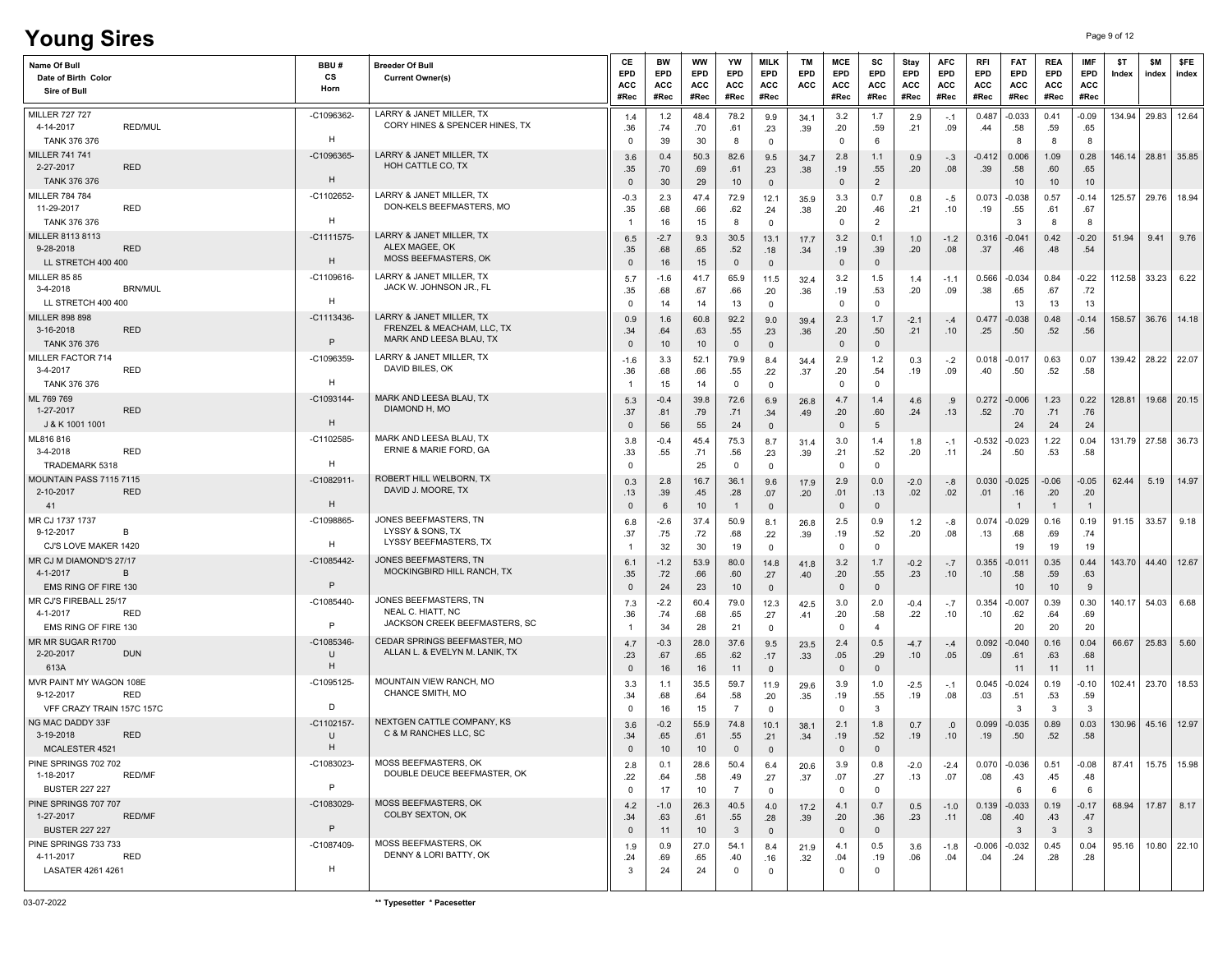# **Young Sires** Page 9 of 12

| Name Of Bull<br>Date of Birth Color<br>Sire of Bull |                | BBU#<br>cs<br>Horn | <b>Breeder Of Bull</b><br><b>Current Owner(s)</b>      | CE<br>EPD<br>ACC<br>#Rec | BW<br><b>EPD</b><br>ACC<br>#Rec | <b>WW</b><br><b>EPD</b><br>ACC<br>#Rec | YW<br>EPD<br>ACC<br>#Rec | <b>MILK</b><br>EPD<br><b>ACC</b><br>#Rec | <b>TM</b><br><b>EPD</b><br>ACC | MCE<br><b>EPD</b><br><b>ACC</b><br>#Rec | sc<br><b>EPD</b><br><b>ACC</b><br>#Rec | Stay<br>EPD<br><b>ACC</b><br>#Rec | <b>AFC</b><br>EPD<br>ACC<br>#Rec | <b>RFI</b><br>EPD<br>ACC<br>#Rec | <b>FAT</b><br>EPD<br>ACC<br>#Rec | <b>REA</b><br>EPD<br><b>ACC</b><br>#Rec | <b>IMF</b><br>EPD<br><b>ACC</b><br>#Rec | \$T<br>Index | <b>SM</b><br>index | \$FE<br>index |
|-----------------------------------------------------|----------------|--------------------|--------------------------------------------------------|--------------------------|---------------------------------|----------------------------------------|--------------------------|------------------------------------------|--------------------------------|-----------------------------------------|----------------------------------------|-----------------------------------|----------------------------------|----------------------------------|----------------------------------|-----------------------------------------|-----------------------------------------|--------------|--------------------|---------------|
| <b>MILLER 727 727</b>                               |                | -C1096362-         | LARRY & JANET MILLER, TX                               | 1.4                      | 1.2                             | 48.4                                   | 78.2                     | 9.9                                      | 34.1                           | 3.2                                     | 1.7                                    | 2.9                               | $-.1$                            | 0.487                            | $-0.033$                         | 0.41                                    | $-0.09$                                 | 134.94       | 29.83              | 12.64         |
| 4-14-2017<br><b>TANK 376 376</b>                    | <b>RED/MUL</b> | H                  | CORY HINES & SPENCER HINES, TX                         | .36                      | .74                             | .70                                    | .61                      | .23                                      | .39                            | .20<br>$\mathbf 0$                      | .59                                    | .21                               | .09                              | .44                              | .58                              | .59                                     | .65                                     |              |                    |               |
| MILLER 741 741                                      |                | -C1096365          | LARRY & JANET MILLER, TX                               | $\mathbf 0$<br>3.6       | 39<br>0.4                       | 30<br>50.3                             | 8<br>82.6                | $\mathbf 0$<br>9.5                       | 34.7                           | 2.8                                     | 6<br>1.1                               | 0.9                               | $-.3$                            | $-0.412$                         | 8<br>0.006                       | - 8<br>1.09                             | -8<br>0.28                              | 146.14       | 28.81              | 35.85         |
| 2-27-2017                                           | <b>RED</b>     |                    | HOH CATTLE CO, TX                                      | .35                      | .70                             | .69                                    | .61                      | .23                                      | .38                            | .19                                     | .55                                    | .20                               | .08                              | .39                              | .58                              | .60                                     | .65                                     |              |                    |               |
| <b>TANK 376 376</b>                                 |                | H                  |                                                        | $\mathbf{0}$             | 30                              | 29                                     | 10                       | $\mathbf 0$                              |                                | 0                                       | $\overline{2}$                         |                                   |                                  |                                  | 10                               | 10                                      | 10                                      |              |                    |               |
| <b>MILLER 784 784</b><br>11-29-2017                 | RED            | $-C1102652$        | LARRY & JANET MILLER, TX<br>DON-KELS BEEFMASTERS, MO   | -0.3<br>.35              | 2.3<br>.68                      | 47.4<br>.66                            | 72.9<br>.62              | 12.1<br>.24                              | 35.9<br>.38                    | 3.3<br>.20                              | 0.7<br>.46                             | 0.8<br>.21                        | -.5<br>.10                       | 0.073<br>.19                     | $-0.038$<br>.55                  | 0.57<br>.61                             | $-0.14$<br>.67                          | 125.57       | 29.76              | 18.94         |
| <b>TANK 376 376</b>                                 |                | H                  |                                                        | -1                       | 16                              | 15                                     | 8                        | $\mathbf 0$                              |                                | $\Omega$                                | 2                                      |                                   |                                  |                                  | 3                                | 8                                       | -8                                      |              |                    |               |
| MILLER 8113 8113                                    |                | $-C1111575$        | LARRY & JANET MILLER, TX                               | 6.5                      | $-2.7$                          | 9.3                                    | 30.5                     | 13.1                                     | 17.7                           | 3.2                                     | 0.1                                    | 1.0                               | $-1.2$                           | 0.316                            | -0.041                           | 0.42                                    | -0.20                                   | 51.94        | 9.41               | 9.76          |
| 9-28-2018<br>LL STRETCH 400 400                     | <b>RED</b>     | H                  | ALEX MAGEE, OK<br><b>MOSS BEEFMASTERS, OK</b>          | .35<br>$\mathbf{0}$      | .68<br>16                       | .65<br>15                              | .52<br>$\mathbf{0}$      | .18<br>$\overline{0}$                    | .34                            | .19<br>$\mathbf 0$                      | .39<br>$\mathbf{0}$                    | .20                               | .08                              | .37                              | .46                              | .48                                     | .54                                     |              |                    |               |
| <b>MILLER 85 85</b>                                 |                | -C1109616-         | LARRY & JANET MILLER. TX                               | 5.7                      | $-1.6$                          | 41.7                                   | 65.9                     | 11.5                                     | 32.4                           | 3.2                                     | 1.5                                    | 1.4                               | $-1.1$                           | 0.566                            | $-0.034$                         | 0.84                                    | $-0.22$                                 | 112.58       | 33.23              | 6.22          |
| 3-4-2018                                            | <b>BRN/MUL</b> |                    | JACK W. JOHNSON JR., FL                                | .35                      | .68                             | .67                                    | .66                      | .20                                      | .36                            | .19                                     | .53                                    | .20                               | .09                              | .38                              | .65                              | .67                                     | .72                                     |              |                    |               |
| LL STRETCH 400 400                                  |                | H                  |                                                        | $\mathbf 0$              | 14                              | 14                                     | 13                       | $\mathbf 0$                              |                                | 0                                       | $\mathbf 0$                            |                                   |                                  |                                  | 13                               | 13                                      | 13                                      |              |                    |               |
| <b>MILLER 898 898</b><br>3-16-2018                  | <b>RED</b>     | $-C1113436$        | LARRY & JANET MILLER, TX<br>FRENZEL & MEACHAM, LLC, TX | 0.9<br>.34               | 1.6<br>.64                      | 60.8<br>.63                            | 92.2<br>.55              | 9.0<br>.23                               | 39.4<br>.36                    | 2.3<br>.20                              | 1.7<br>.50                             | $-2.1$<br>.21                     | $-.4$<br>.10                     | 0.477<br>.25                     | $-0.038$<br>.50                  | 0.48<br>.52                             | $-0.14$<br>.56                          | 158.57       |                    | 36.76 14.18   |
| TANK 376 376                                        |                | $\mathsf{P}$       | MARK AND LEESA BLAU, TX                                | $\Omega$                 | 10                              | 10                                     | $\mathbf{0}$             | $\overline{0}$                           |                                | $\mathbf 0$                             | $\mathbf{0}$                           |                                   |                                  |                                  |                                  |                                         |                                         |              |                    |               |
| MILLER FACTOR 714                                   |                | -C1096359          | LARRY & JANET MILLER. TX                               | $-1.6$                   | 3.3                             | 52.1                                   | 79.9                     | 8.4                                      | 34.4                           | 2.9                                     | 1.2                                    | 0.3                               | $-.2$                            | 0.018                            | $-0.017$                         | 0.63                                    | 0.07                                    | 139.42       | 28.22              | 22.07         |
| 3-4-2017<br><b>TANK 376 376</b>                     | RED            | H                  | DAVID BILES, OK                                        | .36                      | .68<br>15                       | .66<br>14                              | .55<br>$\mathbf 0$       | .22<br>$\mathbf{0}$                      | .37                            | .20<br>$\overline{0}$                   | .54<br>$\overline{\mathbf{0}}$         | .19                               | .09                              | .40                              | .50                              | .52                                     | .58                                     |              |                    |               |
| ML 769 769                                          |                | -C1093144-         | MARK AND LEESA BLAU. TX                                | 5.3                      | $-0.4$                          | 39.8                                   | 72.6                     | 6.9                                      | 26.8                           | 4.7                                     | 1.4                                    | 4.6                               | .9                               | 0.272                            | $-0.006$                         | 1.23                                    | 0.22                                    | 128.81       |                    | 19.68 20.15   |
| 1-27-2017                                           | <b>RED</b>     |                    | DIAMOND H, MO                                          | .37                      | .81                             | .79                                    | .71                      | .34                                      | .49                            | .20                                     | .60                                    | .24                               | .13                              | .52                              | .70                              | .71                                     | .76                                     |              |                    |               |
| J & K 1001 1001                                     |                | H                  |                                                        | $\mathbf{0}$             | 56                              | 55                                     | 24                       | $\overline{0}$                           |                                | 0                                       | $5\phantom{.0}$                        |                                   |                                  |                                  | 24                               | 24                                      | 24                                      |              |                    |               |
| ML816816<br>3-4-2018                                | <b>RED</b>     | $-C1102585$        | MARK AND LEESA BLAU, TX<br>ERNIE & MARIE FORD, GA      | 3.8<br>.33               | -0.4<br>.55                     | 45.4<br>.71                            | 75.3<br>.56              | 8.7<br>.23                               | 31.4<br>.39                    | 3.0<br>.21                              | 1.4<br>.52                             | 1.8<br>.20                        | $-.1$<br>.11                     | -0.532<br>.24                    | $-0.023$<br>.50                  | 1.22<br>.53                             | 0.04<br>.58                             | 131.79       |                    | 27.58 36.73   |
| TRADEMARK 5318                                      |                | H                  |                                                        | $\Omega$                 |                                 | 25                                     | $\Omega$                 | $\mathbf 0$                              |                                | $\Omega$                                | $^{\circ}$                             |                                   |                                  |                                  |                                  |                                         |                                         |              |                    |               |
| MOUNTAIN PASS 7115 7115                             |                | $-C1082911$        | ROBERT HILL WELBORN, TX<br>DAVID J. MOORE, TX          | 0.3                      | 2.8                             | 16.7                                   | 36.1                     | 9.6                                      | 17.9                           | 2.9                                     | 0.0                                    | $-2.0$                            | $-.8$                            | 0.030                            | $-0.025$                         | $-0.06$                                 | $-0.05$                                 | 62.44        | 5.19               | 14.97         |
| 2-10-2017<br>41                                     | <b>RED</b>     | H                  |                                                        | .13<br>$\mathbf 0$       | .39<br>6                        | .45<br>10                              | .28<br>$\mathbf{1}$      | .07<br>$\mathbf 0$                       | .20                            | .01<br>$\mathbf 0$                      | .13<br>$\mathbf{0}$                    | .02                               | .02                              | .01                              | .16                              | .20<br>$\overline{1}$                   | .20<br>$\overline{1}$                   |              |                    |               |
| MR CJ 1737 1737                                     |                | -C1098865-         | JONES BEEFMASTERS, TN                                  | 6.8                      | $-2.6$                          | 37.4                                   | 50.9                     | 8.1                                      | 26.8                           | 2.5                                     | 0.9                                    | 1.2                               | $-.8$                            | 0.074                            | $-0.029$                         | 0.16                                    | 0.19                                    | 91.15        | 33.57              | 9.18          |
| 9-12-2017                                           | B              |                    | LYSSY & SONS, TX<br><b>LYSSY BEEFMASTERS, TX</b>       | .37                      | .75                             | .72                                    | .68                      | .22                                      | .39                            | .19                                     | .52                                    | .20                               | .08                              | .13                              | .68                              | .69                                     | .74                                     |              |                    |               |
| CJ'S LOVE MAKER 1420<br>MR CJ M DIAMOND'S 27/17     |                | H<br>-C1085442-    | JONES BEEFMASTERS, TN                                  |                          | 32                              | 30                                     | 19                       | $\mathbf 0$                              |                                | 0                                       | $\mathbf 0$                            |                                   |                                  |                                  | 19                               | 19                                      | 19                                      |              |                    |               |
| 4-1-2017                                            | B              |                    | MOCKINGBIRD HILL RANCH, TX                             | 6.1<br>.35               | $-1.2$<br>.72                   | 53.9<br>.66                            | 80.0<br>.60              | 14.8<br>.27                              | 41.8<br>.40                    | 3.2<br>.20                              | 1.7<br>.55                             | $-0.2$<br>.23                     | $-.7$<br>.10                     | 0.355<br>.10                     | -0.011<br>.58                    | 0.35<br>.59                             | 0.44<br>.63                             | 143.70       | 44.40              | 12.67         |
| EMS RING OF FIRE 130                                |                | $\mathsf{P}$       |                                                        | $\mathbf{0}$             | 24                              | 23                                     | 10                       | $\mathbf 0$                              |                                | $\mathbf 0$                             | $\mathbf{0}$                           |                                   |                                  |                                  | 10                               | 10                                      | 9                                       |              |                    |               |
| MR CJ'S FIREBALL 25/17<br>4-1-2017                  | <b>RED</b>     | -C1085440-         | JONES BEEFMASTERS, TN<br>NEAL C. HIATT, NC             | 7.3                      | $-2.2$                          | 60.4                                   | 79.0                     | 12.3                                     | 42.5                           | 3.0                                     | 2.0                                    | $-0.4$                            | $-.7$                            | 0.354                            | $-0.007$                         | 0.39                                    | 0.30                                    | 140.17       | 54.03              | 6.68          |
| EMS RING OF FIRE 130                                |                | P                  | JACKSON CREEK BEEFMASTERS, SC                          | .36                      | .74<br>34                       | .68<br>28                              | .65<br>21                | .27<br>$\mathbf 0$                       | .41                            | .20<br>$\mathbf 0$                      | .58<br>$\overline{4}$                  | .22                               | .10                              | .10                              | .62<br>20                        | .64<br>20                               | .69<br>20                               |              |                    |               |
| MR MR SUGAR R1700                                   |                | $-C1085346$        | CEDAR SPRINGS BEEFMASTER, MO                           | 4.7                      | $-0.3$                          | 28.0                                   | 37.6                     | 9.5                                      | 23.5                           | 2.4                                     | 0.5                                    | $-4.7$                            | $-.4$                            | 0.092                            | $-0.040$                         | 0.16                                    | 0.04                                    | 66.67        | 25.83              | 5.60          |
| 2-20-2017                                           | <b>DUN</b>     | U<br>H             | ALLAN L. & EVELYN M. LANIK, TX                         | .23                      | .67                             | .65                                    | .62                      | .17                                      | .33                            | .05                                     | .29                                    | .10                               | .05                              | .09                              | .61                              | .63                                     | .68                                     |              |                    |               |
| 613A<br>MVR PAINT MY WAGON 108E                     |                | -C1095125-         | MOUNTAIN VIEW RANCH, MO                                | $\Omega$<br>3.3          | 16<br>1.1                       | 16<br>35.5                             | 11<br>59.7               | $\overline{0}$<br>11.9                   |                                | $\mathbf 0$<br>3.9                      | $\mathbf{0}$<br>1.0                    | $-2.5$                            |                                  | 0.045                            | 11<br>$-0.024$                   | 11<br>0.19                              | 11<br>$-0.10$                           | 102.41       | 23.70              | 18.53         |
| 9-12-2017                                           | <b>RED</b>     |                    | CHANCE SMITH, MO                                       | .34                      | .68                             | .64                                    | .58                      | .20                                      | 29.6<br>.35                    | .19                                     | .55                                    | .19                               | $-.1$<br>.08                     | .03                              | .51                              | .53                                     | .59                                     |              |                    |               |
| VFF CRAZY TRAIN 157C 157C                           |                | D                  |                                                        | $\Omega$                 | 16                              | 15                                     | 7                        | $\mathbf 0$                              |                                | 0                                       | 3                                      |                                   |                                  |                                  | -3                               | 3                                       | 3                                       |              |                    |               |
| <b>NG MAC DADDY 33F</b><br>3-19-2018                | <b>RED</b>     | $-C1102157$<br>U   | NEXTGEN CATTLE COMPANY, KS<br>C & M RANCHES LLC, SC    | 3.6<br>.34               | $-0.2$<br>.65                   | 55.9<br>.61                            | 74.8<br>.55              | 10.1<br>.21                              | 38.1<br>.34                    | 2.1<br>.19                              | 1.8<br>.52                             | 0.7<br>.19                        | .0<br>.10                        | 0.099<br>.19                     | $-0.035$<br>.50                  | 0.89<br>.52                             | 0.03<br>.58                             | 130.96       |                    | 45.16 12.97   |
| MCALESTER 4521                                      |                | H                  |                                                        |                          | 10                              | 10                                     | $\Omega$                 | $\Omega$                                 |                                | $\Omega$                                | $\Omega$                               |                                   |                                  |                                  |                                  |                                         |                                         |              |                    |               |
| PINE SPRINGS 702 702                                |                | -C1083023-         | MOSS BEEFMASTERS, OK                                   | 2.8                      | 0.1                             | 28.6                                   | 50.4                     | 6.4                                      | 20.6                           | 3.9                                     | 0.8                                    | $-2.0$                            | $-2.4$                           | 0.070                            | $-0.036$                         | 0.51                                    | $-0.08$                                 | 87.41        |                    | 15.75 15.98   |
| 1-18-2017<br><b>BUSTER 227 227</b>                  | RED/MF         | P                  | DOUBLE DEUCE BEEFMASTER, OK                            | .22<br>$^{\circ}$        | .64<br>17                       | .58<br>10                              | .49<br>$\overline{7}$    | .27                                      | .37                            | .07<br>$\mathbf 0$                      | .27<br>$^{\circ}$                      | .13                               | .07                              | .08                              | .43<br>6                         | .45<br>6                                | .48<br>-6                               |              |                    |               |
| PINE SPRINGS 707 707                                |                | -C1083029-         | <b>MOSS BEEFMASTERS, OK</b>                            | 4.2                      | $-1.0$                          | 26.3                                   | 40.5                     | $\mathbf 0$<br>4.0                       | 17.2                           | 4.1                                     | 0.7                                    | 0.5                               | $-1.0$                           | 0.139                            | $-0.033$                         | 0.19                                    | $-0.17$                                 | 68.94        |                    | 17.87 8.17    |
| 1-27-2017                                           | <b>RED/MF</b>  |                    | COLBY SEXTON, OK                                       | .34                      | .63                             | .61                                    | .55                      | .28                                      | .39                            | .20                                     | .36                                    | .23                               | .11                              | .08                              | .40                              | .43                                     | .47                                     |              |                    |               |
| <b>BUSTER 227 227</b>                               |                | P                  | MOSS BEEFMASTERS, OK                                   | $\mathbf 0$              | 11                              | 10                                     | $\mathbf{3}$             | $\overline{0}$                           |                                | $\mathbf{0}$                            | $\mathbf{0}$                           |                                   |                                  |                                  | $\mathbf{3}$                     | $\mathbf{3}$                            | $\overline{\mathbf{3}}$                 |              |                    |               |
| PINE SPRINGS 733 733<br>4-11-2017                   | RED            | -C1087409-         | DENNY & LORI BATTY, OK                                 | 1.9<br>.24               | 0.9<br>.69                      | 27.0<br>.65                            | 54.1<br>.40              | 8.4<br>.16                               | 21.9<br>.32                    | 4.1<br>.04                              | 0.5<br>.19                             | 3.6<br>.06                        | $-1.8$<br>.04                    | $-0.006$<br>.04                  | $-0.032$<br>.24                  | 0.45<br>.28                             | 0.04<br>.28                             | 95.16        |                    | 10.80 22.10   |
| LASATER 4261 4261                                   |                | H                  |                                                        | 3                        | 24                              | 24                                     | $\mathbf 0$              | $^{\circ}$                               |                                | $\mathbf 0$                             | $\mathbf 0$                            |                                   |                                  |                                  |                                  |                                         |                                         |              |                    |               |
|                                                     |                |                    |                                                        |                          |                                 |                                        |                          |                                          |                                |                                         |                                        |                                   |                                  |                                  |                                  |                                         |                                         |              |                    |               |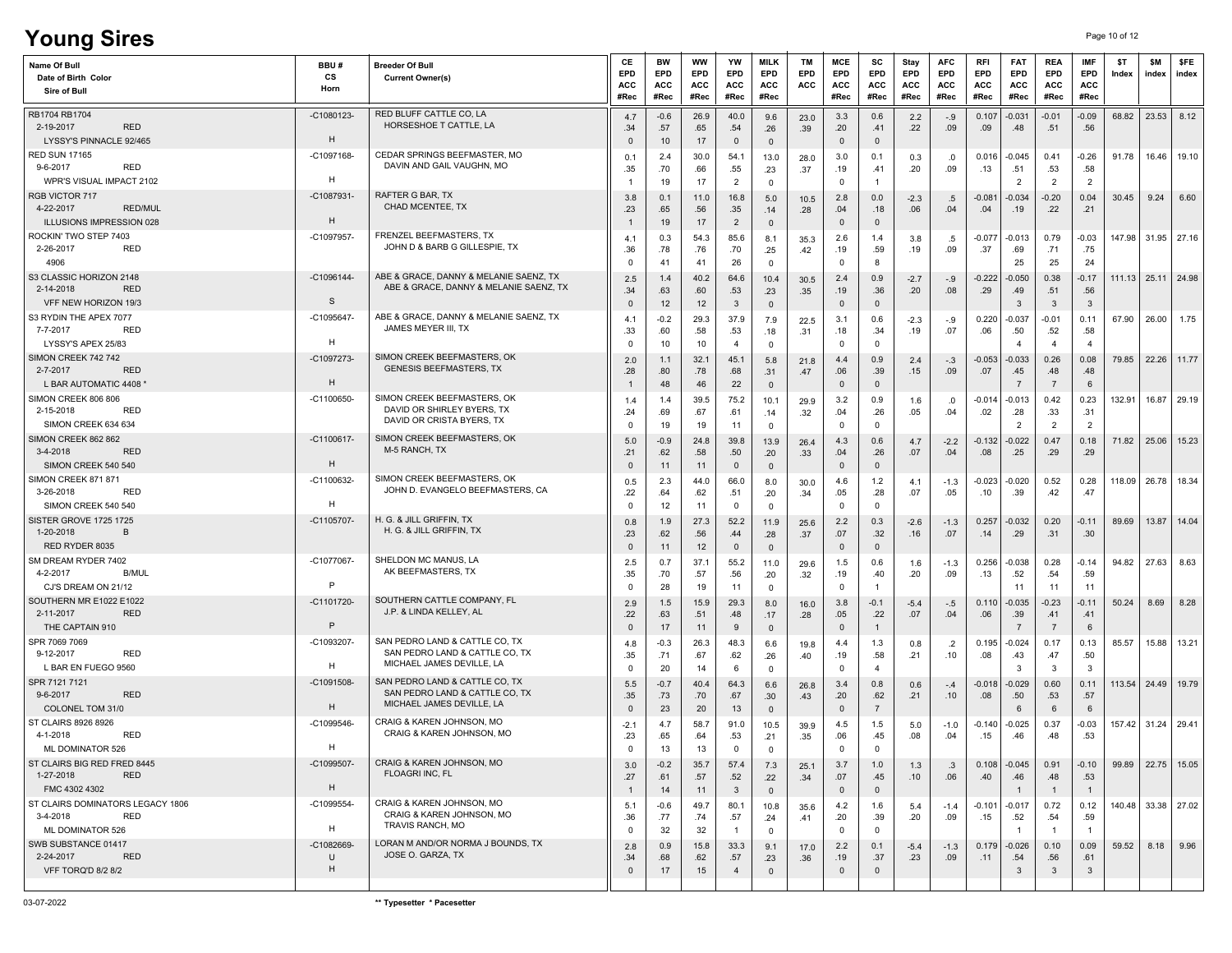| <b>Young Sires</b>                                                                   |                              |                                                                                               |                              |                                        |                                        |                                     |                                             |                         |                                          |                                 |                                   |                                         |                           |                                         |                                         |                                         | Page 10 of 12 |               |                         |
|--------------------------------------------------------------------------------------|------------------------------|-----------------------------------------------------------------------------------------------|------------------------------|----------------------------------------|----------------------------------------|-------------------------------------|---------------------------------------------|-------------------------|------------------------------------------|---------------------------------|-----------------------------------|-----------------------------------------|---------------------------|-----------------------------------------|-----------------------------------------|-----------------------------------------|---------------|---------------|-------------------------|
| Name Of Bull<br>Date of Birth Color<br>Sire of Bull                                  | BBU#<br>cs<br>Horn           | <b>Breeder Of Bull</b><br><b>Current Owner(s)</b>                                             | CE<br>EPD<br>ACC<br>#Rec     | <b>BW</b><br>EPD<br><b>ACC</b><br>#Rec | <b>WW</b><br><b>EPD</b><br>ACC<br>#Rec | YW<br>EPD<br>ACC<br>#Rec            | <b>MILK</b><br>EPD<br><b>ACC</b><br>#Rec    | <b>TM</b><br>EPD<br>ACC | MCE<br>EPD<br>ACC<br>#Rec                | sc<br><b>EPD</b><br>ACC<br>#Rec | Stay<br><b>EPD</b><br>ACC<br>#Rec | <b>AFC</b><br><b>EPD</b><br>ACC<br>#Rec | RFI<br>EPD<br>ACC<br>#Rec | <b>FAT</b><br><b>EPD</b><br>ACC<br>#Rec | <b>REA</b><br>EPD<br><b>ACC</b><br>#Rec | <b>IMF</b><br>EPD<br><b>ACC</b><br>#Rec | \$T<br>Index  | \$M<br>index  | <b>SFE</b><br>index     |
| RB1704 RB1704<br>2-19-2017<br><b>RED</b><br>LYSSY'S PINNACLE 92/465                  | -C1080123<br>H               | RED BLUFF CATTLE CO, LA<br>HORSESHOE T CATTLE, LA                                             | 4.7<br>.34<br>$\Omega$       | $-0.6$<br>.57<br>10                    | 26.9<br>.65<br>17                      | 40.0<br>.54<br>$\mathbf 0$          | 9.6<br>.26<br>$\mathsf 0$                   | 23.0<br>.39             | 3.3<br>.20<br>$\mathbf{0}$               | 0.6<br>.41<br>$\mathbf{0}$      | 2.2<br>.22                        | $-.9$<br>.09                            | 0.107<br>.09              | $-0.031$<br>.48                         | $-0.01$<br>.51                          | $-0.09$<br>.56                          | 68.82         | 23.53         | 8.12                    |
| <b>RED SUN 17165</b><br>9-6-2017<br>RED                                              | -C1097168-                   | CEDAR SPRINGS BEEFMASTER, MO<br>DAVIN AND GAIL VAUGHN, MO                                     | 0.1<br>.35                   | 2.4<br>.70                             | 30.0<br>.66                            | 54.1<br>.55                         | 13.0<br>.23                                 | 28.0<br>.37             | 3.0<br>.19                               | 0.1<br>.41                      | 0.3<br>.20                        | .0<br>.09                               | 0.016<br>.13              | $-0.045$<br>.51                         | 0.41<br>.53                             | $-0.26$<br>.58                          | 91.78         | 16.46         | 19.10                   |
| WPR'S VISUAL IMPACT 2102<br>RGB VICTOR 717<br><b>RED/MUL</b><br>4-22-2017            | H<br>$-C1087931$<br>H        | RAFTER G BAR, TX<br>CHAD MCENTEE, TX                                                          | 3.8<br>.23                   | 19<br>0.1<br>.65                       | 17<br>11.0<br>.56                      | $\overline{2}$<br>16.8<br>.35       | $\mathbf 0$<br>$5.0$<br>.14                 | 10.5<br>.28             | $\mathbf 0$<br>2.8<br>.04                | $\overline{1}$<br>0.0<br>.18    | $-2.3$<br>.06                     | .5<br>.04                               | $-0.081$<br>.04           | $\overline{2}$<br>$-0.034$<br>.19       | $\overline{2}$<br>$-0.20$<br>.22        | $\overline{2}$<br>0.04<br>.21           | 30.45         | 9.24          | 6.60                    |
| ILLUSIONS IMPRESSION 028<br>ROCKIN' TWO STEP 7403<br>2-26-2017<br><b>RED</b><br>4906 | -C1097957                    | FRENZEL BEEFMASTERS, TX<br>JOHN D & BARB G GILLESPIE, TX                                      | 4.1<br>.36<br>$\Omega$       | 19<br>0.3<br>.78<br>41                 | 17<br>54.3<br>.76<br>41                | $\overline{2}$<br>85.6<br>.70<br>26 | $\overline{0}$<br>8.1<br>.25<br>$\mathbf 0$ | 35.3<br>.42             | $\mathbf 0$<br>2.6<br>.19<br>$\mathbf 0$ | $\mathbf{0}$<br>1.4<br>.59<br>8 | 3.8<br>.19                        | .5<br>.09                               | $-0.077$<br>.37           | $-0.013$<br>.69<br>25                   | 0.79<br>.71<br>25                       | $-0.03$<br>.75<br>24                    | 147.98        |               | 31.95 27.16             |
| S3 CLASSIC HORIZON 2148<br>2-14-2018<br><b>RED</b><br>VFF NEW HORIZON 19/3           | $-C1096144-$<br><sub>S</sub> | ABE & GRACE, DANNY & MELANIE SAENZ, TX<br>ABE & GRACE, DANNY & MELANIE SAENZ, TX              | 2.5<br>.34<br>$\mathbf{0}$   | 1.4<br>.63<br>12                       | 40.2<br>.60<br>12                      | 64.6<br>.53<br>$\mathbf{3}$         | 10.4<br>.23<br>$\overline{0}$               | 30.5<br>.35             | 2.4<br>.19<br>$\mathsf 0$                | 0.9<br>.36<br>$\mathbf 0$       | $-2.7$<br>.20                     | $-.9$<br>.08                            | $-0.222$<br>.29           | $-0.050$<br>.49<br>3                    | 0.38<br>.51<br>$\mathbf{3}$             | $-0.17$<br>.56<br>$\mathbf{3}$          | 111.13        | $25.11$ 24.98 |                         |
| S3 RYDIN THE APEX 7077<br>7-7-2017<br>RED<br>LYSSY'S APEX 25/83                      | -C1095647<br>H               | ABE & GRACE, DANNY & MELANIE SAENZ, TX<br>JAMES MEYER III, TX                                 | 4.1<br>.33<br>0              | $-0.2$<br>.60<br>10                    | 29.3<br>.58<br>10                      | 37.9<br>.53<br>$\overline{4}$       | 7.9<br>.18<br>$\mathbf 0$                   | 22.5<br>.31             | 3.1<br>.18<br>$\mathbf 0$                | 0.6<br>.34<br>$\mathbf 0$       | $-2.3$<br>.19                     | -.9<br>.07                              | 0.220<br>.06              | $-0.037$<br>.50<br>$\overline{4}$       | $-0.01$<br>.52<br>$\overline{4}$        | 0.11<br>.58<br>$\overline{a}$           | 67.90         | 26.00         | 1.75                    |
| SIMON CREEK 742 742<br>2-7-2017<br><b>RED</b><br>L BAR AUTOMATIC 4408                | -C1097273<br>H               | SIMON CREEK BEEFMASTERS, OK<br><b>GENESIS BEEFMASTERS, TX</b>                                 | 2.0<br>.28                   | 1.1<br>.80<br>48                       | 32.1<br>.78<br>46                      | 45.1<br>.68<br>22                   | 5.8<br>.31<br>$\mathsf 0$                   | 21.8<br>.47             | 4.4<br>.06<br>$\mathbf{0}$               | 0.9<br>.39<br>$\mathbf{0}$      | 2.4<br>.15                        | $-.3$<br>.09                            | $-0.053$<br>.07           | $-0.033$<br>.45<br>$\overline{7}$       | 0.26<br>.48<br>$\overline{7}$           | 0.08<br>.48<br>6                        | 79.85         | 22.26         | 11.77                   |
| SIMON CREEK 806 806<br>2-15-2018<br><b>RED</b><br>SIMON CREEK 634 634                | -C1100650                    | SIMON CREEK BEEFMASTERS, OK<br>DAVID OR SHIRLEY BYERS, TX<br>DAVID OR CRISTA BYERS, TX        | 1.4<br>.24<br>0              | 1.4<br>.69<br>19                       | 39.5<br>.67<br>19                      | 75.2<br>.61<br>11                   | 10.1<br>.14<br>$\mathbf 0$                  | 29.9<br>.32             | 3.2<br>.04<br>$\mathbf 0$                | 0.9<br>.26<br>$\mathbf 0$       | 1.6<br>.05                        | .0<br>.04                               | -0.014<br>.02             | $-0.013$<br>.28<br>$\overline{2}$       | 0.42<br>.33<br>$\overline{2}$           | 0.23<br>.31<br>$\overline{2}$           | 132.91        | 16.87         | 29.19                   |
| SIMON CREEK 862 862<br>3-4-2018<br><b>RED</b><br>SIMON CREEK 540 540                 | $-C1100617$<br>H             | SIMON CREEK BEEFMASTERS, OK<br>M-5 RANCH, TX                                                  | 5.0<br>.21<br>$\mathbf{0}$   | $-0.9$<br>.62<br>11                    | 24.8<br>.58<br>11                      | 39.8<br>.50<br>$\mathbf{0}$         | 13.9<br>.20<br>$\mathsf 0$                  | 26.4<br>.33             | 4.3<br>.04<br>$\mathbf 0$                | 0.6<br>.26<br>$\mathbf 0$       | 4.7<br>.07                        | $-2.2$<br>.04                           | -0.132<br>.08             | -0.022<br>.25                           | 0.47<br>.29                             | 0.18<br>.29                             | 71.82         |               | 25.06 15.23             |
| SIMON CREEK 871 871<br>3-26-2018<br><b>RED</b><br>SIMON CREEK 540 540                | -C1100632<br>H               | SIMON CREEK BEEFMASTERS, OK<br>JOHN D. EVANGELO BEEFMASTERS, CA                               | 0.5<br>.22<br>$^{\circ}$     | 2.3<br>.64<br>12                       | 44.0<br>.62<br>11                      | 66.0<br>.51<br>$\mathbf 0$          | 8.0<br>.20<br>$\mathbf 0$                   | 30.0<br>.34             | 4.6<br>.05<br>$\mathbf 0$                | 1.2<br>.28<br>$^{\circ}$        | 4.1<br>.07                        | $-1.3$<br>.05                           | -0.023<br>.10             | -0.020<br>.39                           | 0.52<br>.42                             | 0.28<br>.47                             | 118.09        | 26.78         | 18.34                   |
| SISTER GROVE 1725 1725<br>1-20-2018<br>B<br>RED RYDER 8035                           | -C1105707-                   | H. G. & JILL GRIFFIN, TX<br>H. G. & JILL GRIFFIN, TX                                          | 0.8<br>.23<br>$\mathbf{0}$   | 1.9<br>.62<br>11                       | 27.3<br>.56<br>12                      | 52.2<br>.44<br>$\mathbf{0}$         | 11.9<br>.28<br>$\overline{0}$               | 25.6<br>.37             | 2.2<br>.07<br>$\mathbf 0$                | 0.3<br>.32<br>$\mathbf 0$       | $-2.6$<br>.16                     | $-1.3$<br>.07                           | 0.257<br>.14              | $-0.032$<br>.29                         | 0.20<br>.31                             | $-0.11$<br>.30                          | 89.69         | 13.87         | 14.04                   |
| SM DREAM RYDER 7402<br>4-2-2017<br><b>B/MUL</b><br>CJ'S DREAM ON 21/12               | -C1077067<br>$\mathsf{P}$    | SHELDON MC MANUS, LA<br>AK BEEFMASTERS, TX                                                    | 2.5<br>.35<br>0              | 0.7<br>.70<br>28                       | 37.1<br>.57<br>19                      | 55.2<br>.56<br>11                   | 11.0<br>.20<br>$\mathsf 0$                  | 29.6<br>.32             | 1.5<br>.19<br>$\mathbf 0$                | 0.6<br>.40<br>$\overline{1}$    | 1.6<br>.20                        | $-1.3$<br>.09                           | 0.256<br>.13              | $-0.038$<br>.52<br>11                   | 0.28<br>.54<br>11                       | $-0.14$<br>.59<br>11                    | 94.82         | 27.63         | 8.63                    |
| SOUTHERN MR E1022 E1022<br><b>RED</b><br>2-11-2017<br>THE CAPTAIN 910                | -C1101720<br>$\mathsf{P}$    | SOUTHERN CATTLE COMPANY, FL<br>J.P. & LINDA KELLEY, AL                                        | 2.9<br>.22<br>$\mathbf{0}$   | 1.5<br>.63<br>17                       | 15.9<br>.51<br>11                      | 29.3<br>.48<br>9                    | 8.0<br>.17<br>$\mathbf 0$                   | 16.0<br>.28             | 3.8<br>.05<br>$\mathbf 0$                | $-0.1$<br>.22<br>$\mathbf{1}$   | $-5.4$<br>.07                     | $-.5$<br>.04                            | 0.110<br>.06              | $-0.035$<br>.39<br>$\overline{7}$       | $-0.23$<br>.41<br>$\overline{7}$        | $-0.11$<br>.41<br>6                     | 50.24         | 8.69          | 8.28                    |
| SPR 7069 7069<br><b>RED</b><br>9-12-2017<br>L BAR EN FUEGO 9560                      | -C1093207-<br>H              | SAN PEDRO LAND & CATTLE CO. TX<br>SAN PEDRO LAND & CATTLE CO, TX<br>MICHAEL JAMES DEVILLE, LA | 4.8<br>.35<br>0              | $-0.3$<br>.71<br>20                    | 26.3<br>.67<br>14                      | 48.3<br>.62<br>6                    | 6.6<br>.26<br>$\mathbf 0$                   | 19.8<br>.40             | 4.4<br>.19<br>$\mathbf 0$                | 1.3<br>.58<br>$\overline{4}$    | 0.8<br>.21                        | $.2\phantom{0}$<br>.10                  | 0.195<br>.08              | $-0.024$<br>.43<br>-3                   | 0.17<br>.47<br>3                        | 0.13<br>.50<br>3                        | 85.57         | 15.88         | 13.21                   |
| SPR 7121 7121<br>9-6-2017<br><b>RED</b><br>COLONEL TOM 31/0                          | $-C1091508$<br>H             | SAN PEDRO LAND & CATTLE CO, TX<br>SAN PEDRO LAND & CATTLE CO. TX<br>MICHAEL JAMES DEVILLE, LA | 5.5<br>.35<br>$\mathbf 0$    | $-0.7$<br>.73<br>23                    | 40.4<br>.70<br>20                      | 64.3<br>.67<br>13                   | 6.6<br>.30 <sub>0</sub><br>$\mathbb O$      | 26.8<br>.43             | 3.4<br>.20<br>$\mathbf 0$                | 0.8<br>.62<br>$\overline{7}$    | 0.6<br>.21                        | $-.4$<br>.10                            | -0.018<br>.08             | $-0.029$<br>.50<br>6                    | 0.60<br>.53<br>6                        | 0.11<br>.57<br>6                        |               |               | 113.54   24.49   19.79  |
| ST CLAIRS 8926 8926<br>4-1-2018<br>RED<br>ML DOMINATOR 526                           | -C1099546-<br>H              | CRAIG & KAREN JOHNSON, MO<br>CRAIG & KAREN JOHNSON, MO                                        | -2.1<br>.23<br>0             | 4.7<br>.65<br>13                       | 58.7<br>.64<br>13                      | 91.0<br>.53<br>$\mathbf 0$          | 10.5<br>.21<br>$\mathbf 0$                  | 39.9<br>.35             | 4.5<br>.06<br>$\mathbf 0$                | 1.5<br>.45<br>$^{\circ}$        | $5.0$<br>.08                      | $-1.0$<br>.04                           | $-0.140$<br>.15           | $-0.025$<br>.46                         | 0.37<br>.48                             | $-0.03$<br>.53                          |               |               | 157.42 31.24 29.41      |
| ST CLAIRS BIG RED FRED 8445<br>1-27-2018<br><b>RED</b><br>FMC 4302 4302              | -C1099507-<br>H              | CRAIG & KAREN JOHNSON, MO<br>FLOAGRI INC. FL                                                  | 3.0<br>.27<br>$\overline{1}$ | $-0.2$<br>.61<br>14                    | 35.7<br>.57<br>11                      | 57.4<br>.52<br>$\mathbf{3}$         | 7.3<br>.22<br>$\overline{0}$                | 25.1<br>.34             | 3.7<br>.07<br>$\mathbf 0$                | 1.0<br>.45<br>$\mathbf{0}$      | 1.3<br>.10                        | .3<br>.06                               | 0.108<br>.40              | $-0.045$<br>.46<br>-1                   | 0.91<br>.48<br>$\overline{1}$           | $-0.10$<br>.53<br>$\overline{1}$        |               |               | $99.89$   22.75   15.05 |
| ST CLAIRS DOMINATORS LEGACY 1806<br>3-4-2018<br>RED<br>ML DOMINATOR 526              | -C1099554-<br>H              | CRAIG & KAREN JOHNSON, MO<br>CRAIG & KAREN JOHNSON, MO<br>TRAVIS RANCH, MO                    | 5.1<br>.36<br>0              | -0.6<br>.77<br>32                      | 49.7<br>.74<br>32                      | 80.1<br>.57<br>$\overline{1}$       | 10.8<br>.24<br>$\mathbf 0$                  | 35.6<br>.41             | 4.2<br>.20<br>$\mathbf 0$                | 1.6<br>.39<br>$\mathbf 0$       | 5.4<br>.20                        | $-1.4$<br>.09                           | -0.101<br>.15             | $-0.017$<br>.52<br>$\overline{1}$       | 0.72<br>.54<br>$\overline{1}$           | 0.12<br>.59<br>$\overline{1}$           |               |               | 140.48 33.38 27.02      |
| SWB SUBSTANCE 01417<br>2-24-2017<br>RED<br><b>VFF TORQ'D 8/2 8/2</b>                 | -C1082669-<br>U<br>H         | LORAN M AND/OR NORMA J BOUNDS, TX<br>JOSE O. GARZA, TX                                        | 2.8<br>.34<br>$\mathbf 0$    | 0.9<br>.68<br>17                       | 15.8<br>.62<br>15                      | 33.3<br>.57<br>$\overline{4}$       | 9.1<br>.23<br>$\mathbf{0}$                  | 17.0<br>.36             | 2.2<br>.19<br>$\overline{0}$             | 0.1<br>.37<br>$\mathbf 0$       | $-5.4$<br>.23                     | $-1.3$<br>.09                           | 0.179<br>.11              | $-0.026$<br>.54<br>$\mathbf{3}$         | 0.10<br>.56<br>$\mathbf{3}$             | 0.09<br>.61<br>$\mathbf{3}$             | 59.52         | 8.18          | 9.96                    |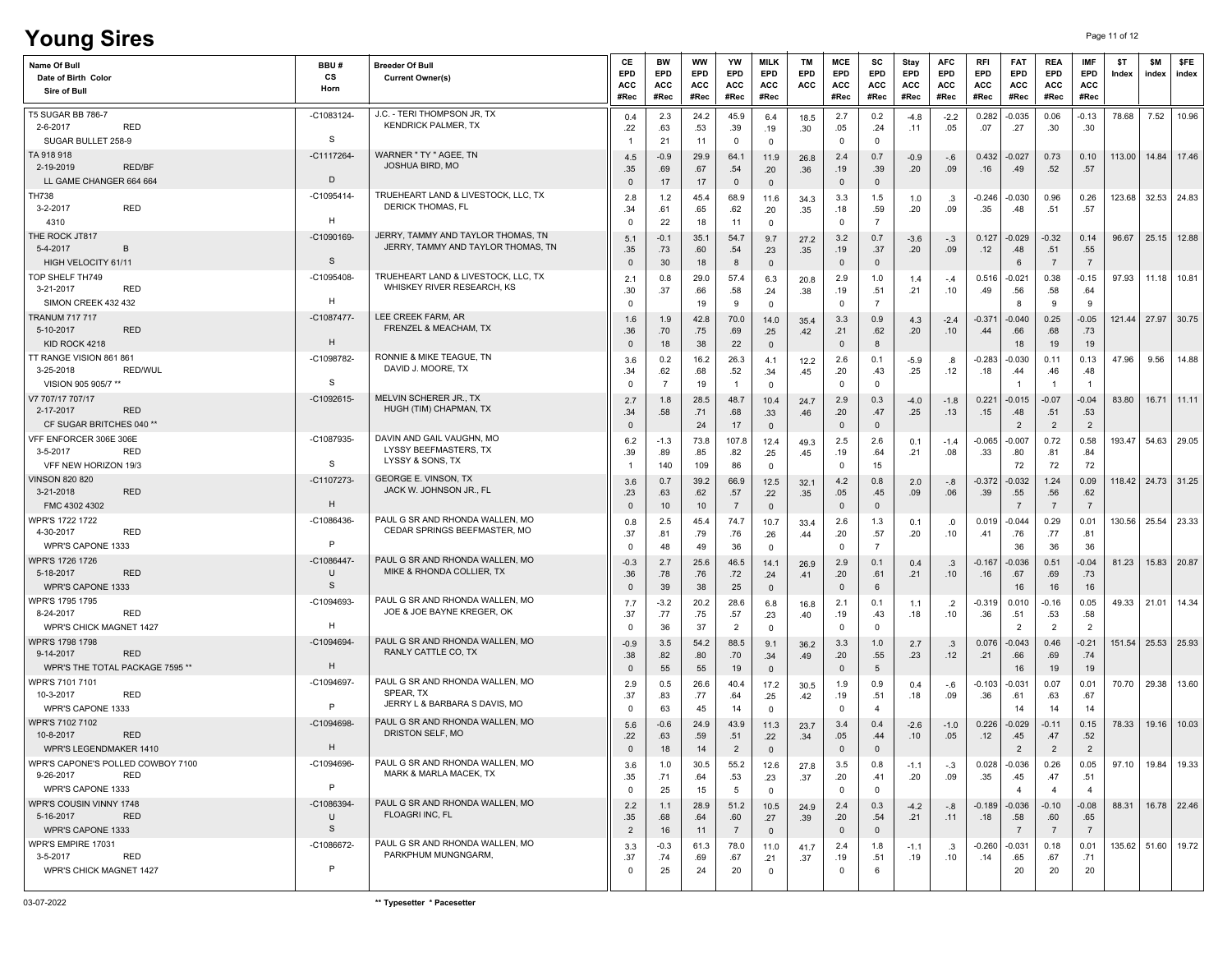| <b>Young Sires</b>                                                                       |                                   |                                                                               |                                       |                                 |                                        |                               |                                          |                         |                                          |                                              |                            |                                  |                           |                                         |                                         |                                       | Page 11 of 12 |                        |                     |
|------------------------------------------------------------------------------------------|-----------------------------------|-------------------------------------------------------------------------------|---------------------------------------|---------------------------------|----------------------------------------|-------------------------------|------------------------------------------|-------------------------|------------------------------------------|----------------------------------------------|----------------------------|----------------------------------|---------------------------|-----------------------------------------|-----------------------------------------|---------------------------------------|---------------|------------------------|---------------------|
| Name Of Bull<br>Date of Birth Color<br>Sire of Bull                                      | BBU#<br>cs<br>Horn                | <b>Breeder Of Bull</b><br><b>Current Owner(s)</b>                             | CE<br>EPD<br>ACC<br>#Rec              | BW<br>EPD<br><b>ACC</b><br>#Rec | <b>WW</b><br><b>EPD</b><br>ACC<br>#Rec | YW<br>EPD<br>ACC<br>#Rec      | <b>MILK</b><br>EPD<br><b>ACC</b><br>#Rec | <b>TM</b><br>EPD<br>ACC | MCE<br>EPD<br>ACC<br>#Rec                | sc<br>EPD<br>ACC<br>#Rec                     | Stay<br>EPD<br>ACC<br>#Rec | <b>AFC</b><br>EPD<br>ACC<br>#Rec | RFI<br>EPD<br>ACC<br>#Rec | <b>FAT</b><br><b>EPD</b><br>ACC<br>#Rec | <b>REA</b><br>EPD<br><b>ACC</b><br>#Rec | IMF<br>EPD<br><b>ACC</b><br>#Rec      | \$T<br>Index  | \$M<br>index           | <b>SFE</b><br>index |
| <b>T5 SUGAR BB 786-7</b><br>2-6-2017<br><b>RED</b><br>SUGAR BULLET 258-9                 | -C1083124<br>-S                   | J.C. - TERI THOMPSON JR, TX<br><b>KENDRICK PALMER, TX</b>                     | 0.4<br>.22                            | 2.3<br>.63<br>21                | 24.2<br>.53<br>11                      | 45.9<br>.39<br>$\mathbf 0$    | 6.4<br>.19<br>$\mathbf 0$                | 18.5<br>.30             | 2.7<br>.05<br>$\mathbf 0$                | 0.2<br>.24<br>$^{\circ}$                     | -4.8<br>.11                | $-2.2$<br>.05                    | 0.282<br>.07              | $-0.035$<br>.27                         | 0.06<br>.30                             | $-0.13$<br>.30                        | 78.68         | 7.52                   | 10.96               |
| TA 918 918<br>2-19-2019<br>RED/BF<br>LL GAME CHANGER 664 664                             | $-C1117264$<br>D                  | WARNER " TY " AGEE, TN<br><b>JOSHUA BIRD, MO</b>                              | 4.5<br>.35<br>$\mathbf 0$             | $-0.9$<br>.69                   | 29.9<br>.67                            | 64.1<br>.54                   | 11.9<br>.20                              | 26.8<br>.36             | 2.4<br>.19                               | 0.7<br>.39<br>$\mathsf 0$                    | $-0.9$<br>.20              | $-.6$<br>.09                     | 0.432<br>.16              | $-0.027$<br>.49                         | 0.73<br>.52                             | 0.10<br>.57                           | 113.00        | 14.84                  | 17.46               |
| TH738<br><b>RED</b><br>$3 - 2 - 2017$                                                    | -C1095414-<br>H                   | TRUEHEART LAND & LIVESTOCK, LLC, TX<br><b>DERICK THOMAS, FL</b>               | 2.8<br>.34                            | 17<br>1.2<br>.61                | 17<br>45.4<br>.65                      | $\mathbf 0$<br>68.9<br>.62    | $\mathsf 0$<br>11.6<br>.20               | 34.3<br>.35             | $\mathbf 0$<br>3.3<br>.18                | 1.5<br>.59                                   | 1.0<br>.20                 | .3<br>.09                        | -0.246<br>.35             | $-0.030$<br>.48                         | 0.96<br>.51                             | 0.26<br>.57                           | 123.68        |                        | $32.53$ 24.83       |
| 4310<br>THE ROCK JT817<br>5-4-2017<br>$\overline{B}$                                     | -C1090169                         | JERRY, TAMMY AND TAYLOR THOMAS, TN<br>JERRY, TAMMY AND TAYLOR THOMAS, TN      | 0<br>5.1<br>.35                       | 22<br>$-0.1$<br>.73             | 18<br>35.1<br>.60                      | 11<br>54.7<br>.54             | $\mathbf 0$<br>9.7<br>.23                | 27.2<br>.35             | $\mathbf 0$<br>3.2<br>.19                | $\overline{7}$<br>0.7<br>.37                 | $-3.6$<br>.20              | $-.3$<br>.09                     | 0.127<br>.12              | $-0.029$<br>.48                         | $-0.32$<br>.51                          | 0.14<br>.55                           | 96.67         |                        | 25.15 12.88         |
| HIGH VELOCITY 61/11<br>TOP SHELF TH749<br><b>RED</b><br>3-21-2017<br>SIMON CREEK 432 432 | S<br>-C1095408-<br>H              | TRUEHEART LAND & LIVESTOCK, LLC, TX<br>WHISKEY RIVER RESEARCH, KS             | $\Omega$<br>2.1<br>.30<br>$\mathbf 0$ | 30<br>0.8<br>.37                | 18<br>29.0<br>.66<br>19                | 8<br>57.4<br>.58<br>9         | $\mathsf 0$<br>6.3<br>.24<br>$\mathbf 0$ | 20.8<br>.38             | $\mathbf 0$<br>2.9<br>.19<br>$\mathsf 0$ | $\mathbf{0}$<br>1.0<br>.51<br>$\overline{7}$ | 1.4<br>.21                 | $-.4$<br>.10                     | 0.516<br>.49              | 6<br>$-0.021$<br>.56<br>8               | $\overline{7}$<br>0.38<br>.58<br>9      | $\overline{7}$<br>$-0.15$<br>.64<br>9 | 97.93         | 11.18                  | 10.81               |
| <b>TRANUM 717 717</b><br><b>RED</b><br>5-10-2017<br>KID ROCK 4218                        | -C1087477<br>H                    | LEE CREEK FARM, AR<br>FRENZEL & MEACHAM, TX                                   | 1.6<br>.36<br>$\mathbf{0}$            | 1.9<br>.70<br>18                | 42.8<br>.75<br>38                      | 70.0<br>.69<br>22             | 14.0<br>.25<br>$\mathbf 0$               | 35.4<br>.42             | 3.3<br>.21<br>$\mathbf 0$                | 0.9<br>.62<br>8                              | 4.3<br>.20                 | $-2.4$<br>.10                    | $-0.371$<br>.44           | $-0.040$<br>.66<br>18                   | 0.25<br>.68<br>19                       | $-0.05$<br>.73<br>19                  |               | 121.44   27.97   30.75 |                     |
| TT RANGE VISION 861 861<br>3-25-2018<br><b>RED/WUL</b><br>VISION 905 905/7 **            | -C1098782-<br>-S                  | RONNIE & MIKE TEAGUE, TN<br>DAVID J. MOORE, TX                                | 3.6<br>.34<br>$\Omega$                | 0.2<br>.62<br>$\overline{7}$    | 16.2<br>.68<br>19                      | 26.3<br>.52<br>$\mathbf{1}$   | 4.1<br>.34<br>$\mathbf 0$                | 12.2<br>.45             | 2.6<br>.20<br>$\mathbf 0$                | 0.1<br>.43<br>$^{\circ}$                     | $-5.9$<br>.25              | .8<br>.12                        | $-0.283$<br>.18           | $-0.030$<br>.44                         | 0.11<br>.46<br>$\overline{1}$           | 0.13<br>.48<br>$\mathbf{1}$           | 47.96         | 9.56                   | 14.88               |
| V7 707/17 707/17<br><b>RED</b><br>2-17-2017<br>CF SUGAR BRITCHES 040 **                  | -C1092615                         | MELVIN SCHERER JR., TX<br>HUGH (TIM) CHAPMAN, TX                              | 2.7<br>.34<br>$\mathbf{0}$            | 1.8<br>.58                      | 28.5<br>.71<br>24                      | 48.7<br>.68<br>17             | 10.4<br>.33<br>$\overline{0}$            | 24.7<br>.46             | 2.9<br>.20<br>$\mathbf 0$                | 0.3<br>.47<br>$\mathbf 0$                    | $-4.0$<br>.25              | $-1.8$<br>.13                    | 0.221<br>.15              | $-0.015$<br>.48<br>$\overline{2}$       | $-0.07$<br>.51<br>$\overline{2}$        | $-0.04$<br>.53<br>$\overline{2}$      | 83.80         | 16.71                  | 11.11               |
| VFF ENFORCER 306E 306E<br>3-5-2017<br><b>RED</b><br>VFF NEW HORIZON 19/3                 | -C1087935-<br>s                   | DAVIN AND GAIL VAUGHN, MO<br>LYSSY BEEFMASTERS, TX<br>LYSSY & SONS, TX        | 6.2<br>.39                            | $-1.3$<br>.89<br>140            | 73.8<br>.85<br>109                     | 107.8<br>.82<br>86            | 12.4<br>.25<br>$\mathsf 0$               | 49.3<br>.45             | 2.5<br>.19<br>$\mathbf 0$                | 2.6<br>.64<br>15                             | 0.1<br>.21                 | $-1.4$<br>.08                    | $-0.065$<br>.33           | $-0.007$<br>.80<br>72                   | 0.72<br>.81<br>72                       | 0.58<br>.84<br>72                     | 193.47        |                        | 54.63 29.05         |
| <b>VINSON 820 820</b><br>3-21-2018<br><b>RED</b><br>FMC 4302 4302                        | -C1107273<br>H                    | <b>GEORGE E. VINSON, TX</b><br>JACK W. JOHNSON JR., FL                        | 3.6<br>.23<br>$\mathbf{0}$            | 0.7<br>.63<br>10                | 39.2<br>.62<br>10                      | 66.9<br>.57<br>$\overline{7}$ | 12.5<br>.22<br>$\mathsf 0$               | 32.1<br>.35             | 4.2<br>.05<br>$\mathbf 0$                | 0.8<br>.45<br>$\mathbf{0}$                   | 2.0<br>.09                 | $-.8$<br>.06                     | -0.372<br>.39             | $-0.032$<br>.55<br>$\overline{7}$       | 1.24<br>.56<br>$\overline{7}$           | 0.09<br>.62<br>$\overline{7}$         |               | 118.42   24.73   31.25 |                     |
| WPR'S 1722 1722<br><b>RED</b><br>4-30-2017<br>WPR'S CAPONE 1333                          | $-C1086436$<br>$\mathsf{P}$       | PAUL G SR AND RHONDA WALLEN, MO<br>CEDAR SPRINGS BEEFMASTER, MO               | 0.8<br>.37<br>$^{\circ}$              | 2.5<br>.81<br>48                | 45.4<br>.79<br>49                      | 74.7<br>.76<br>36             | 10.7<br>.26<br>$\mathbf 0$               | 33.4<br>.44             | 2.6<br>.20<br>$\mathbf 0$                | 1.3<br>.57<br>$\overline{7}$                 | 0.1<br>.20                 | .0<br>.10                        | 0.019<br>.41              | $-0.044$<br>.76<br>36                   | 0.29<br>.77<br>36                       | 0.01<br>.81<br>36                     | 130.56        |                        | 25.54 23.33         |
| WPR'S 1726 1726<br>5-18-2017<br><b>RED</b><br>WPR'S CAPONE 1333                          | $-C1086447$<br>-U<br><sub>S</sub> | PAUL G SR AND RHONDA WALLEN, MO<br>MIKE & RHONDA COLLIER, TX                  | $-0.3$<br>.36<br>$\mathbf 0$          | 2.7<br>.78<br>39                | 25.6<br>.76<br>38                      | 46.5<br>.72<br>25             | 14.1<br>.24<br>$\mathsf 0$               | 26.9<br>.41             | 2.9<br>.20<br>$\mathbf 0$                | 0.1<br>.61<br>$6\phantom{.}6$                | 0.4<br>.21                 | .3<br>.10                        | $-0.167$<br>.16           | $-0.036$<br>.67<br>16                   | 0.51<br>.69<br>16                       | $-0.04$<br>.73<br>16                  | 81.23         |                        | 15.83 20.87         |
| WPR'S 1795 1795<br><b>RED</b><br>8-24-2017<br>WPR'S CHICK MAGNET 1427                    | -C1094693-<br>Н                   | PAUL G SR AND RHONDA WALLEN, MO<br>JOE & JOE BAYNE KREGER, OK                 | 7.7<br>.37<br>$^{\circ}$              | $-3.2$<br>.77<br>36             | 20.2<br>.75<br>37                      | 28.6<br>.57<br>$\overline{2}$ | 6.8<br>.23<br>$\mathbf 0$                | 16.8<br>.40             | 2.1<br>.19<br>$\mathbf 0$                | 0.1<br>.43<br>$\mathbf 0$                    | 1.1<br>.18                 | $\cdot$ .2<br>.10                | $-0.319$<br>.36           | 0.010<br>.51<br>2                       | -0.16<br>.53<br>$\overline{2}$          | 0.05<br>.58<br>$\overline{2}$         | 49.33         | 21.01                  | 14.34               |
| WPR'S 1798 1798<br><b>RED</b><br>9-14-2017<br>WPR'S THE TOTAL PACKAGE 7595 **            | $-C1094694$<br>H                  | PAUL G SR AND RHONDA WALLEN. MO<br>RANLY CATTLE CO, TX                        | $-0.9$<br>.38<br>$\mathbf{0}$         | 3.5<br>.82<br>55                | 54.2<br>.80<br>55                      | 88.5<br>.70<br>19             | 9.1<br>.34<br>$\overline{0}$             | 36.2<br>.49             | 3.3<br>.20<br>$\mathbf 0$                | 1.0<br>.55<br>5                              | 2.7<br>.23                 | .3<br>.12                        | 0.076<br>.21              | $-0.043$<br>.66<br>16                   | 0.46<br>.69<br>19                       | $-0.21$<br>.74<br>19                  | 151.54        |                        | 25.53 25.93         |
| WPR'S 7101 7101<br>10-3-2017<br><b>RED</b><br>WPR'S CAPONE 1333                          | -C1094697<br>$\mathsf{P}$         | PAUL G SR AND RHONDA WALLEN, MO<br>SPEAR, TX<br>JERRY L & BARBARA S DAVIS, MO | 2.9<br>.37<br>$^{\circ}$              | 0.5<br>.83<br>63                | 26.6<br>.77<br>45                      | 40.4<br>.64<br>14             | 17.2<br>.25<br>$\mathsf 0$               | 30.5<br>.42             | 1.9<br>.19<br>$\mathbf 0$                | 0.9<br>.51<br>$\overline{4}$                 | 0.4<br>.18                 | -.6<br>.09                       | $-0.103$<br>.36           | $-0.031$<br>.61<br>14                   | 0.07<br>.63<br>14                       | 0.01<br>.67<br>14                     | 70.70         | 29.38                  | 13.60               |
| WPR'S 7102 7102<br>10-8-2017<br><b>RED</b><br>WPR'S LEGENDMAKER 1410                     | -C1094698-<br>H                   | PAUL G SR AND RHONDA WALLEN, MO<br>DRISTON SELF, MO                           | 5.6<br>.22<br>$\mathbf{0}$            | $-0.6$<br>.63<br>18             | 24.9<br>.59<br>14                      | 43.9<br>.51<br>$\overline{2}$ | 11.3<br>.22<br>$\mathbf{0}$              | 23.7<br>.34             | 3.4<br>.05<br>$\mathbf{0}$               | 0.4<br>.44<br>$\mathbf{0}$                   | $-2.6$<br>.10              | $-1.0$<br>.05                    | 0.226<br>.12              | $-0.029$<br>.45<br>$\overline{2}$       | $-0.11$<br>.47<br>$\overline{2}$        | 0.15<br>.52<br>$\overline{2}$         |               |                        | 78.33 19.16 10.03   |
| WPR'S CAPONE'S POLLED COWBOY 7100<br>9-26-2017<br>RED<br>WPR'S CAPONE 1333               | -C1094696<br>P                    | PAUL G SR AND RHONDA WALLEN, MO<br>MARK & MARLA MACEK, TX                     | 3.6<br>.35<br>0                       | 1.0<br>.71<br>25                | 30.5<br>.64<br>15                      | 55.2<br>.53<br>5              | 12.6<br>.23<br>$\mathbf 0$               | 27.8<br>.37             | 3.5<br>.20<br>$\mathbf 0$                | 0.8<br>.41<br>$\mathbf 0$                    | $-1.1$<br>.20              | $-.3$<br>.09                     | 0.028<br>.35              | $-0.036$<br>.45<br>$\overline{4}$       | 0.26<br>.47<br>$\overline{4}$           | 0.05<br>.51<br>$\overline{4}$         | 97.10         |                        | 19.84 19.33         |
| WPR'S COUSIN VINNY 1748<br>5-16-2017<br>RED<br>WPR'S CAPONE 1333                         | -C1086394-<br>U<br>S              | PAUL G SR AND RHONDA WALLEN, MO<br>FLOAGRI INC, FL                            | 2.2<br>.35<br>$\overline{2}$          | 1.1<br>.68<br>16                | 28.9<br>.64<br>11                      | 51.2<br>.60<br>$\overline{7}$ | 10.5<br>.27<br>$\mathbf 0$               | 24.9<br>.39             | 2.4<br>.20<br>$\mathsf 0$                | 0.3<br>.54<br>$\mathbf{0}$                   | $-4.2$<br>.21              | $-.8$<br>.11                     | $-0.189$<br>.18           | $-0.036$<br>.58<br>$\overline{7}$       | $-0.10$<br>.60<br>$\overline{7}$        | $-0.08$<br>.65<br>$\overline{7}$      | 88.31         |                        | 16.78 22.46         |
| WPR'S EMPIRE 17031<br>3-5-2017<br>RED<br>WPR'S CHICK MAGNET 1427                         | -C1086672-<br>P                   | PAUL G SR AND RHONDA WALLEN, MO<br>PARKPHUM MUNGNGARM,                        | 3.3<br>.37<br>$^{\circ}$              | $-0.3$<br>.74<br>25             | 61.3<br>.69<br>24                      | 78.0<br>.67<br>20             | 11.0<br>.21<br>$\mathbf 0$               | 41.7<br>.37             | 2.4<br>.19<br>$\mathbf 0$                | 1.8<br>.51<br>6                              | $-1.1$<br>.19              | .3<br>.10                        | $-0.260$<br>.14           | $-0.031$<br>.65<br>20                   | 0.18<br>.67<br>20                       | 0.01<br>.71<br>20                     |               | 135.62 51.60 19.72     |                     |
|                                                                                          |                                   |                                                                               |                                       |                                 |                                        |                               |                                          |                         |                                          |                                              |                            |                                  |                           |                                         |                                         |                                       |               |                        |                     |